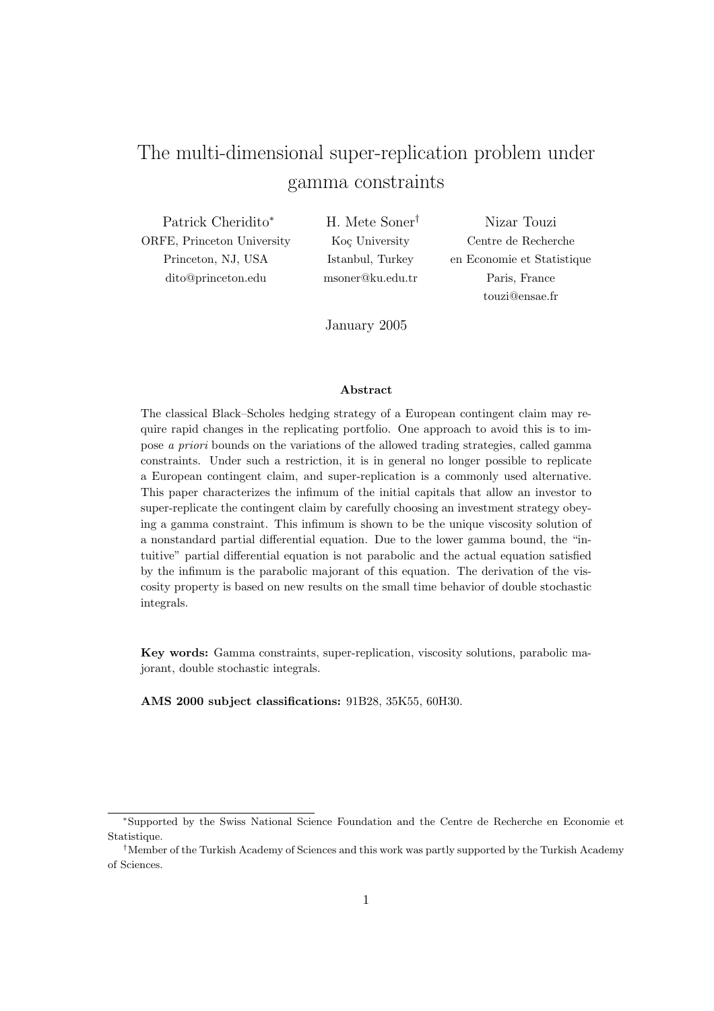# The multi-dimensional super-replication problem under gamma constraints

Patrick Cheridito<sup>∗</sup> ORFE, Princeton University Princeton, NJ, USA dito@princeton.edu

H. Mete Soner† Koç University Istanbul, Turkey msoner@ku.edu.tr

Nizar Touzi Centre de Recherche en Economie et Statistique Paris, France touzi@ensae.fr

January 2005

#### Abstract

The classical Black–Scholes hedging strategy of a European contingent claim may require rapid changes in the replicating portfolio. One approach to avoid this is to impose a priori bounds on the variations of the allowed trading strategies, called gamma constraints. Under such a restriction, it is in general no longer possible to replicate a European contingent claim, and super-replication is a commonly used alternative. This paper characterizes the infimum of the initial capitals that allow an investor to super-replicate the contingent claim by carefully choosing an investment strategy obeying a gamma constraint. This infimum is shown to be the unique viscosity solution of a nonstandard partial differential equation. Due to the lower gamma bound, the "intuitive" partial differential equation is not parabolic and the actual equation satisfied by the infimum is the parabolic majorant of this equation. The derivation of the viscosity property is based on new results on the small time behavior of double stochastic integrals.

Key words: Gamma constraints, super-replication, viscosity solutions, parabolic majorant, double stochastic integrals.

AMS 2000 subject classifications: 91B28, 35K55, 60H30.

<sup>∗</sup>Supported by the Swiss National Science Foundation and the Centre de Recherche en Economie et Statistique.

<sup>†</sup>Member of the Turkish Academy of Sciences and this work was partly supported by the Turkish Academy of Sciences.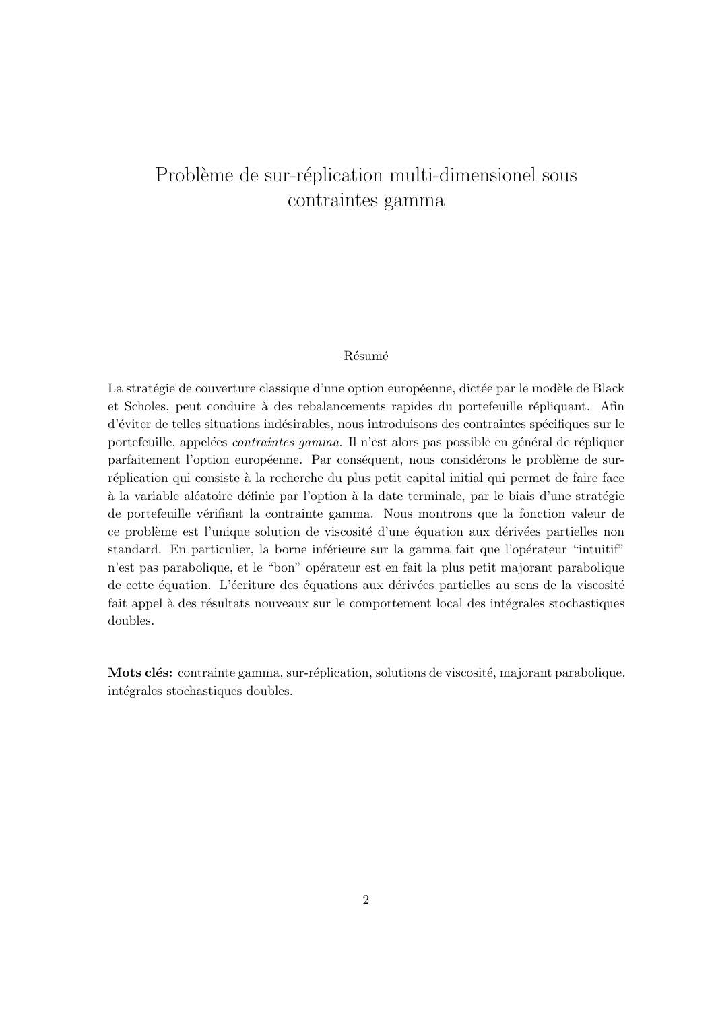# Problème de sur-réplication multi-dimensionel sous contraintes gamma

### **Résumé**

La stratégie de couverture classique d'une option européenne, dictée par le modèle de Black et Scholes, peut conduire à des rebalancements rapides du portefeuille répliquant. Afin d'éviter de telles situations indésirables, nous introduisons des contraintes spécifiques sur le portefeuille, appelées *contraintes gamma*. Il n'est alors pas possible en général de répliquer parfaitement l'option européenne. Par conséquent, nous considérons le problème de surréplication qui consiste à la recherche du plus petit capital initial qui permet de faire face à la variable aléatoire définie par l'option à la date terminale, par le biais d'une stratégie de portefeuille vérifiant la contrainte gamma. Nous montrons que la fonction valeur de ce problème est l'unique solution de viscosité d'une équation aux dérivées partielles non standard. En particulier, la borne inférieure sur la gamma fait que l'opérateur "intuitif" n'est pas parabolique, et le "bon" opérateur est en fait la plus petit majorant parabolique de cette équation. L'écriture des équations aux dérivées partielles au sens de la viscosité fait appel à des résultats nouveaux sur le comportement local des intégrales stochastiques doubles.

Mots clés: contrainte gamma, sur-réplication, solutions de viscosité, majorant parabolique, intégrales stochastiques doubles.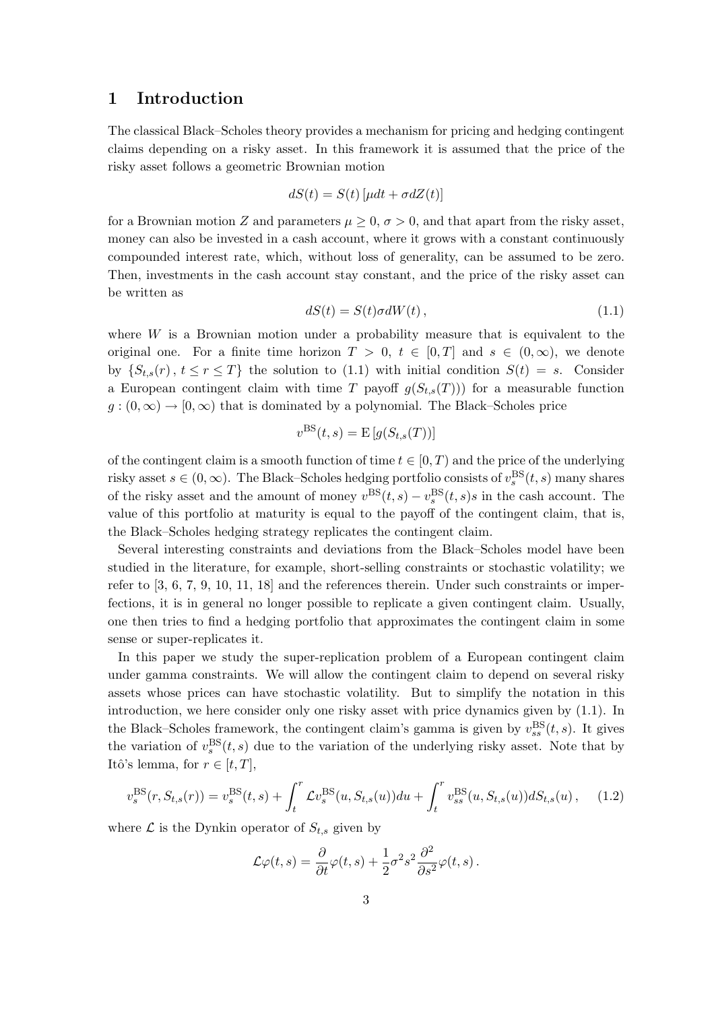# 1 Introduction

The classical Black–Scholes theory provides a mechanism for pricing and hedging contingent claims depending on a risky asset. In this framework it is assumed that the price of the risky asset follows a geometric Brownian motion

$$
dS(t) = S(t) \left[ \mu dt + \sigma dZ(t) \right]
$$

for a Brownian motion Z and parameters  $\mu > 0$ ,  $\sigma > 0$ , and that apart from the risky asset, money can also be invested in a cash account, where it grows with a constant continuously compounded interest rate, which, without loss of generality, can be assumed to be zero. Then, investments in the cash account stay constant, and the price of the risky asset can be written as

$$
dS(t) = S(t)\sigma dW(t), \qquad (1.1)
$$

where  $W$  is a Brownian motion under a probability measure that is equivalent to the original one. For a finite time horizon  $T > 0$ ,  $t \in [0, T]$  and  $s \in (0, \infty)$ , we denote by  $\{S_{t,s}(r), t \leq r \leq T\}$  the solution to (1.1) with initial condition  $S(t) = s$ . Consider a European contingent claim with time T payoff  $g(S_{t,s}(T))$  for a measurable function  $g:(0,\infty) \to [0,\infty)$  that is dominated by a polynomial. The Black–Scholes price

$$
v^{\text{BS}}(t,s) = \mathbb{E}\left[g(S_{t,s}(T))\right]
$$

of the contingent claim is a smooth function of time  $t \in [0, T)$  and the price of the underlying risky asset  $s \in (0, \infty)$ . The Black–Scholes hedging portfolio consists of  $v_s^{\text{BS}}(t, s)$  many shares of the risky asset and the amount of money  $v^{\text{BS}}(t, s) - v^{\text{BS}}_s(t, s) s$  in the cash account. The value of this portfolio at maturity is equal to the payoff of the contingent claim, that is, the Black–Scholes hedging strategy replicates the contingent claim.

Several interesting constraints and deviations from the Black–Scholes model have been studied in the literature, for example, short-selling constraints or stochastic volatility; we refer to [3, 6, 7, 9, 10, 11, 18] and the references therein. Under such constraints or imperfections, it is in general no longer possible to replicate a given contingent claim. Usually, one then tries to find a hedging portfolio that approximates the contingent claim in some sense or super-replicates it.

In this paper we study the super-replication problem of a European contingent claim under gamma constraints. We will allow the contingent claim to depend on several risky assets whose prices can have stochastic volatility. But to simplify the notation in this introduction, we here consider only one risky asset with price dynamics given by (1.1). In the Black–Scholes framework, the contingent claim's gamma is given by  $v_{ss}^{\text{BS}}(t, s)$ . It gives the variation of  $v_s^{\text{BS}}(t, s)$  due to the variation of the underlying risky asset. Note that by Itô's lemma, for  $r \in [t, T]$ ,

$$
v_s^{\rm BS}(r, S_{t,s}(r)) = v_s^{\rm BS}(t,s) + \int_t^r \mathcal{L}v_s^{\rm BS}(u, S_{t,s}(u))du + \int_t^r v_{ss}^{\rm BS}(u, S_{t,s}(u))dS_{t,s}(u), \quad (1.2)
$$

where  $\mathcal L$  is the Dynkin operator of  $S_{t,s}$  given by

$$
\mathcal{L}\varphi(t,s)=\frac{\partial}{\partial t}\varphi(t,s)+\frac{1}{2}\sigma^2 s^2\frac{\partial^2}{\partial s^2}\varphi(t,s)\,.
$$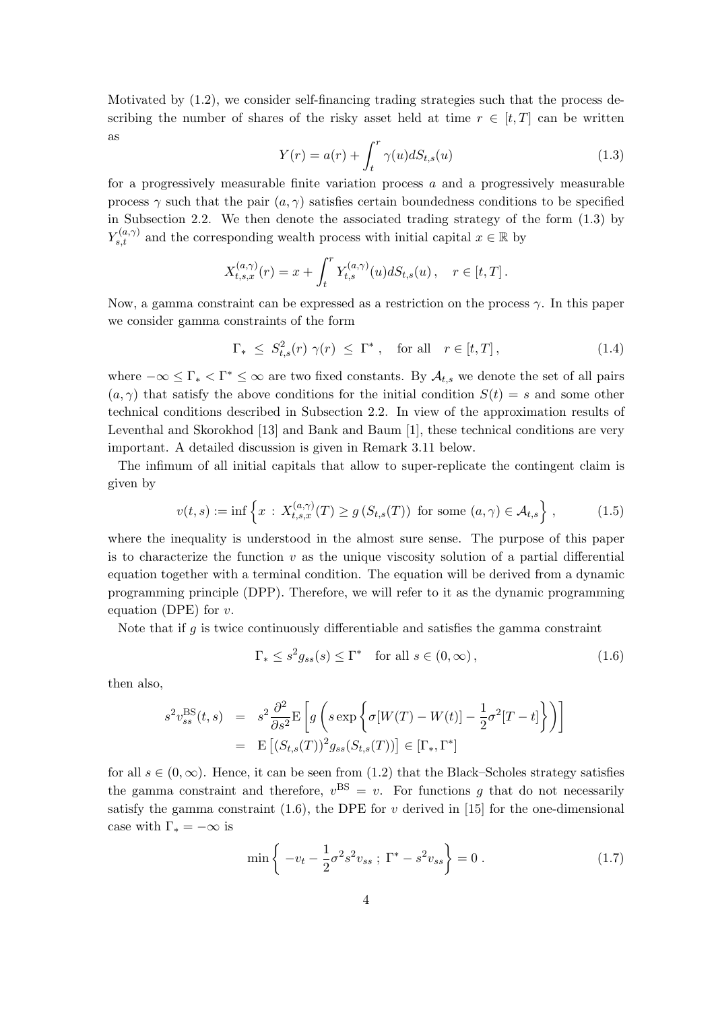Motivated by (1.2), we consider self-financing trading strategies such that the process describing the number of shares of the risky asset held at time  $r \in [t, T]$  can be written as

$$
Y(r) = a(r) + \int_{t}^{r} \gamma(u)dS_{t,s}(u)
$$
\n(1.3)

for a progressively measurable finite variation process a and a progressively measurable process  $\gamma$  such that the pair  $(a, \gamma)$  satisfies certain boundedness conditions to be specified in Subsection 2.2. We then denote the associated trading strategy of the form (1.3) by  $Y_{s,t}^{(a,\gamma)}$  and the corresponding wealth process with initial capital  $x \in \mathbb{R}$  by

$$
X_{t,s,x}^{(a,\gamma)}(r) = x + \int_t^r Y_{t,s}^{(a,\gamma)}(u) dS_{t,s}(u) , \quad r \in [t,T].
$$

Now, a gamma constraint can be expressed as a restriction on the process  $\gamma$ . In this paper we consider gamma constraints of the form

$$
\Gamma_* \leq S_{t,s}^2(r) \gamma(r) \leq \Gamma^*, \quad \text{for all} \quad r \in [t, T], \tag{1.4}
$$

where  $-\infty \leq \Gamma_* < \Gamma^* \leq \infty$  are two fixed constants. By  $\mathcal{A}_{t,s}$  we denote the set of all pairs  $(a, \gamma)$  that satisfy the above conditions for the initial condition  $S(t) = s$  and some other technical conditions described in Subsection 2.2. In view of the approximation results of Leventhal and Skorokhod [13] and Bank and Baum [1], these technical conditions are very important. A detailed discussion is given in Remark 3.11 below.

The infimum of all initial capitals that allow to super-replicate the contingent claim is given by

$$
v(t,s) := \inf \left\{ x : X_{t,s,x}^{(a,\gamma)}(T) \ge g \left( S_{t,s}(T) \right) \text{ for some } (a,\gamma) \in \mathcal{A}_{t,s} \right\},\tag{1.5}
$$

where the inequality is understood in the almost sure sense. The purpose of this paper is to characterize the function  $v$  as the unique viscosity solution of a partial differential equation together with a terminal condition. The equation will be derived from a dynamic programming principle (DPP). Therefore, we will refer to it as the dynamic programming equation (DPE) for  $v$ .

Note that if  $g$  is twice continuously differentiable and satisfies the gamma constraint

$$
\Gamma_* \le s^2 g_{ss}(s) \le \Gamma^* \quad \text{for all } s \in (0, \infty), \tag{1.6}
$$

then also,

$$
s^{2}v_{ss}^{\text{BS}}(t,s) = s^{2} \frac{\partial^{2}}{\partial s^{2}} \mathbf{E} \left[ g \left( s \exp \left\{ \sigma[W(T) - W(t)] - \frac{1}{2} \sigma^{2} [T - t] \right\} \right) \right]
$$
  
=  $\mathbf{E} \left[ (S_{t,s}(T))^{2} g_{ss}(S_{t,s}(T)) \right] \in [\Gamma_{*}, \Gamma^{*}]$ 

for all  $s \in (0,\infty)$ . Hence, it can be seen from  $(1.2)$  that the Black–Scholes strategy satisfies the gamma constraint and therefore,  $v^{BS} = v$ . For functions g that do not necessarily satisfy the gamma constraint (1.6), the DPE for v derived in [15] for the one-dimensional case with  $\Gamma_* = -\infty$  is

$$
\min\left\{-v_t - \frac{1}{2}\sigma^2 s^2 v_{ss} ; \Gamma^* - s^2 v_{ss}\right\} = 0.
$$
\n(1.7)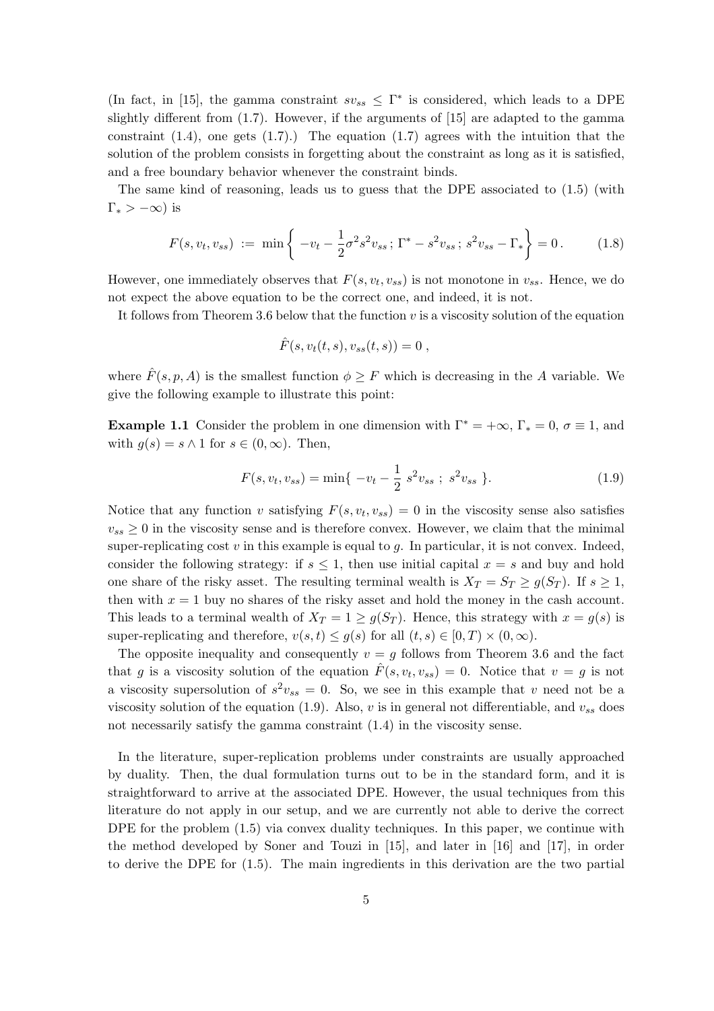(In fact, in [15], the gamma constraint  $sv_{ss} \leq \Gamma^*$  is considered, which leads to a DPE slightly different from  $(1.7)$ . However, if the arguments of  $[15]$  are adapted to the gamma constraint  $(1.4)$ , one gets  $(1.7)$ .) The equation  $(1.7)$  agrees with the intuition that the solution of the problem consists in forgetting about the constraint as long as it is satisfied, and a free boundary behavior whenever the constraint binds.

The same kind of reasoning, leads us to guess that the DPE associated to (1.5) (with  $\Gamma_* > -\infty$ ) is

$$
F(s, v_t, v_{ss}) := \min \left\{ -v_t - \frac{1}{2} \sigma^2 s^2 v_{ss}; \Gamma^* - s^2 v_{ss}; s^2 v_{ss} - \Gamma_* \right\} = 0. \quad (1.8)
$$

However, one immediately observes that  $F(s, v_t, v_{ss})$  is not monotone in  $v_{ss}$ . Hence, we do not expect the above equation to be the correct one, and indeed, it is not.

It follows from Theorem 3.6 below that the function  $v$  is a viscosity solution of the equation

$$
\hat{F}(s, v_t(t,s), v_{ss}(t,s)) = 0 ,
$$

where  $\hat{F}(s, p, A)$  is the smallest function  $\phi \geq F$  which is decreasing in the A variable. We give the following example to illustrate this point:

**Example 1.1** Consider the problem in one dimension with  $\Gamma^* = +\infty$ ,  $\Gamma_* = 0$ ,  $\sigma \equiv 1$ , and with  $q(s) = s \wedge 1$  for  $s \in (0, \infty)$ . Then,

$$
F(s, v_t, v_{ss}) = \min\{-v_t - \frac{1}{2} s^2 v_{ss} ; s^2 v_{ss} \}.
$$
 (1.9)

Notice that any function v satisfying  $F(s, v_t, v_{ss}) = 0$  in the viscosity sense also satisfies  $v_{ss} \geq 0$  in the viscosity sense and is therefore convex. However, we claim that the minimal super-replicating cost  $v$  in this example is equal to  $g$ . In particular, it is not convex. Indeed, consider the following strategy: if  $s \leq 1$ , then use initial capital  $x = s$  and buy and hold one share of the risky asset. The resulting terminal wealth is  $X_T = S_T \geq g(S_T)$ . If  $s \geq 1$ , then with  $x = 1$  buy no shares of the risky asset and hold the money in the cash account. This leads to a terminal wealth of  $X_T = 1 \ge g(S_T)$ . Hence, this strategy with  $x = g(s)$  is super-replicating and therefore,  $v(s, t) \leq g(s)$  for all  $(t, s) \in [0, T) \times (0, \infty)$ .

The opposite inequality and consequently  $v = g$  follows from Theorem 3.6 and the fact that g is a viscosity solution of the equation  $\hat{F}(s, v_t, v_{ss}) = 0$ . Notice that  $v = g$  is not a viscosity supersolution of  $s^2v_{ss} = 0$ . So, we see in this example that v need not be a viscosity solution of the equation (1.9). Also, v is in general not differentiable, and  $v_{ss}$  does not necessarily satisfy the gamma constraint (1.4) in the viscosity sense.

In the literature, super-replication problems under constraints are usually approached by duality. Then, the dual formulation turns out to be in the standard form, and it is straightforward to arrive at the associated DPE. However, the usual techniques from this literature do not apply in our setup, and we are currently not able to derive the correct DPE for the problem  $(1.5)$  via convex duality techniques. In this paper, we continue with the method developed by Soner and Touzi in [15], and later in [16] and [17], in order to derive the DPE for (1.5). The main ingredients in this derivation are the two partial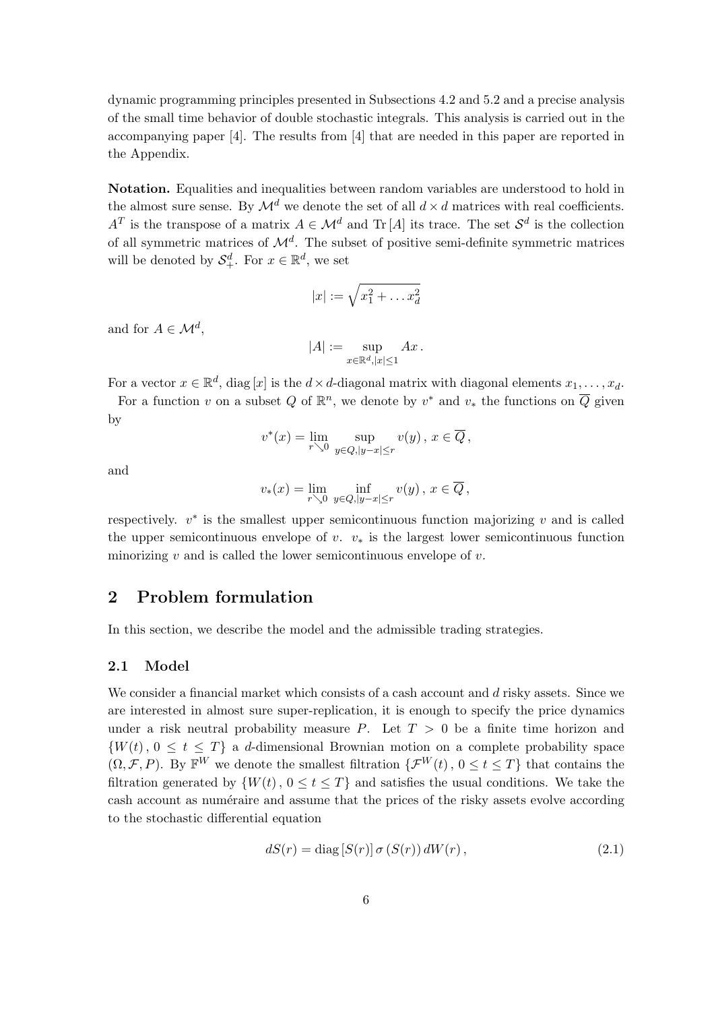dynamic programming principles presented in Subsections 4.2 and 5.2 and a precise analysis of the small time behavior of double stochastic integrals. This analysis is carried out in the accompanying paper [4]. The results from [4] that are needed in this paper are reported in the Appendix.

Notation. Equalities and inequalities between random variables are understood to hold in the almost sure sense. By  $\mathcal{M}^d$  we denote the set of all  $d \times d$  matrices with real coefficients.  $A^T$  is the transpose of a matrix  $A \in \mathcal{M}^d$  and Tr [A] its trace. The set  $\mathcal{S}^d$  is the collection of all symmetric matrices of  $\mathcal{M}^d$ . The subset of positive semi-definite symmetric matrices will be denoted by  $\mathcal{S}_{+}^{d}$ . For  $x \in \mathbb{R}^{d}$ , we set

$$
|x| := \sqrt{x_1^2 + \dots x_d^2}
$$

and for  $A \in \mathcal{M}^d$ ,

$$
|A| := \sup_{x \in \mathbb{R}^d, |x| \le 1} Ax.
$$

For a vector  $x \in \mathbb{R}^d$ , diag  $[x]$  is the  $d \times d$ -diagonal matrix with diagonal elements  $x_1, \ldots, x_d$ .

For a function v on a subset Q of  $\mathbb{R}^n$ , we denote by  $v^*$  and  $v_*$  the functions on  $\overline{Q}$  given by

$$
v^*(x) = \lim_{r \searrow 0} \sup_{y \in Q, |y-x| \le r} v(y), \ x \in \overline{Q},
$$

and

$$
v_*(x) = \lim_{r \searrow 0} \inf_{y \in Q, |y-x| \le r} v(y), \ x \in \overline{Q},
$$

respectively.  $v^*$  is the smallest upper semicontinuous function majorizing v and is called the upper semicontinuous envelope of v.  $v_*$  is the largest lower semicontinuous function minorizing  $v$  and is called the lower semicontinuous envelope of  $v$ .

# 2 Problem formulation

In this section, we describe the model and the admissible trading strategies.

## 2.1 Model

We consider a financial market which consists of a cash account and d risky assets. Since we are interested in almost sure super-replication, it is enough to specify the price dynamics under a risk neutral probability measure P. Let  $T > 0$  be a finite time horizon and  $\{W(t), 0 \le t \le T\}$  a d-dimensional Brownian motion on a complete probability space  $(\Omega, \mathcal{F}, P)$ . By  $\mathbb{F}^W$  we denote the smallest filtration  $\{\mathcal{F}^W(t), 0 \le t \le T\}$  that contains the filtration generated by  $\{W(t), 0 \le t \le T\}$  and satisfies the usual conditions. We take the cash account as numéraire and assume that the prices of the risky assets evolve according to the stochastic differential equation

$$
dS(r) = \text{diag}[S(r)] \sigma(S(r)) dW(r), \qquad (2.1)
$$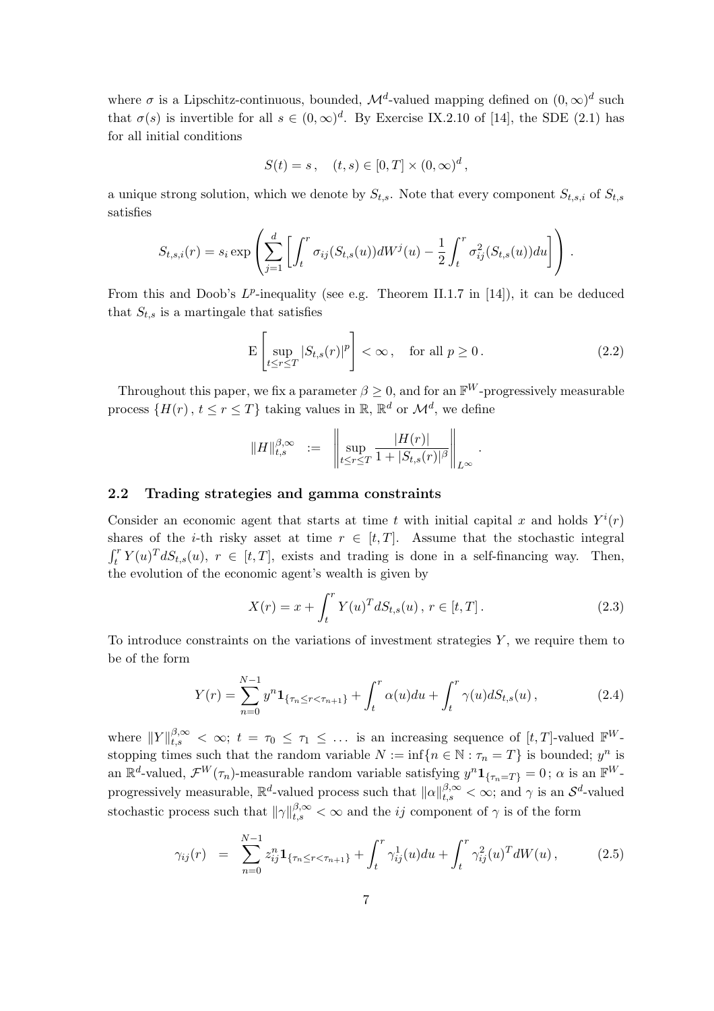where  $\sigma$  is a Lipschitz-continuous, bounded,  $\mathcal{M}^d$ -valued mapping defined on  $(0,\infty)^d$  such that  $\sigma(s)$  is invertible for all  $s \in (0,\infty)^d$ . By Exercise IX.2.10 of [14], the SDE (2.1) has for all initial conditions

$$
S(t) = s, \quad (t, s) \in [0, T] \times (0, \infty)^d,
$$

a unique strong solution, which we denote by  $S_{t,s}$ . Note that every component  $S_{t,s,i}$  of  $S_{t,s}$ satisfies

$$
S_{t,s,i}(r) = s_i \exp\left(\sum_{j=1}^d \left[\int_t^r \sigma_{ij}(S_{t,s}(u))dW^j(u) - \frac{1}{2}\int_t^r \sigma_{ij}^2(S_{t,s}(u))du\right]\right).
$$

From this and Doob's  $L^p$ -inequality (see e.g. Theorem II.1.7 in [14]), it can be deduced that  $S_{t,s}$  is a martingale that satisfies

$$
\mathcal{E}\left[\sup_{t\leq r\leq T}|S_{t,s}(r)|^p\right]<\infty,\quad\text{for all }p\geq 0\,.
$$
 (2.2)

Throughout this paper, we fix a parameter  $\beta \geq 0$ , and for an  $\mathbb{F}^W$ -progressively measurable process  $\{H(r), t \leq r \leq T\}$  taking values in  $\mathbb{R}, \mathbb{R}^d$  or  $\mathcal{M}^d$ , we define

$$
\|H\|_{t,s}^{\beta,\infty} \ := \ \left\|\sup_{t\leq r\leq T}\frac{|H(r)|}{1+|S_{t,s}(r)|^\beta}\right\|_{L^\infty}.
$$

# 2.2 Trading strategies and gamma constraints

Consider an economic agent that starts at time t with initial capital x and holds  $Y^{i}(r)$ shares of the *i*-th risky asset at time  $r \in [t, T]$ . Assume that the stochastic integral  $\frac{\mathsf{d}}{\mathsf{d}r}$  $t_t^r Y(u)^T dS_{t,s}(u), r \in [t, T],$  exists and trading is done in a self-financing way. Then, the evolution of the economic agent's wealth is given by

$$
X(r) = x + \int_{t}^{r} Y(u)^{T} dS_{t,s}(u), \ r \in [t, T]. \tag{2.3}
$$

To introduce constraints on the variations of investment strategies  $Y$ , we require them to be of the form

$$
Y(r) = \sum_{n=0}^{N-1} y^n \mathbf{1}_{\{\tau_n \le r < \tau_{n+1}\}} + \int_t^r \alpha(u) du + \int_t^r \gamma(u) dS_{t,s}(u) ,\tag{2.4}
$$

where  $||Y||_{t,s}^{\beta,\infty} < \infty$ ;  $t = \tau_0 \leq \tau_1 \leq \ldots$  is an increasing sequence of  $[t, T]$ -valued  $\mathbb{F}^{W}$ stopping times such that the random variable  $N := \inf\{n \in \mathbb{N} : \tau_n = T\}$  is bounded;  $y^n$  is an  $\mathbb{R}^d$ -valued,  $\mathcal{F}^W(\tau_n)$ -measurable random variable satisfying  $y^n \mathbf{1}_{\{\tau_n = T\}} = 0$ ;  $\alpha$  is an  $\mathbb{F}^W$ progressively measurable,  $\mathbb{R}^d$ -valued process such that  $\|\alpha\|_{t,s}^{\beta,\infty} < \infty$ ; and  $\gamma$  is an  $\mathcal{S}^d$ -valued stochastic process such that  $\|\gamma\|_{t,s}^{\beta,\infty} < \infty$  and the *ij* component of  $\gamma$  is of the form

$$
\gamma_{ij}(r) = \sum_{n=0}^{N-1} z_{ij}^n \mathbf{1}_{\{\tau_n \le r < \tau_{n+1}\}} + \int_t^r \gamma_{ij}^1(u) du + \int_t^r \gamma_{ij}^2(u)^T dW(u), \tag{2.5}
$$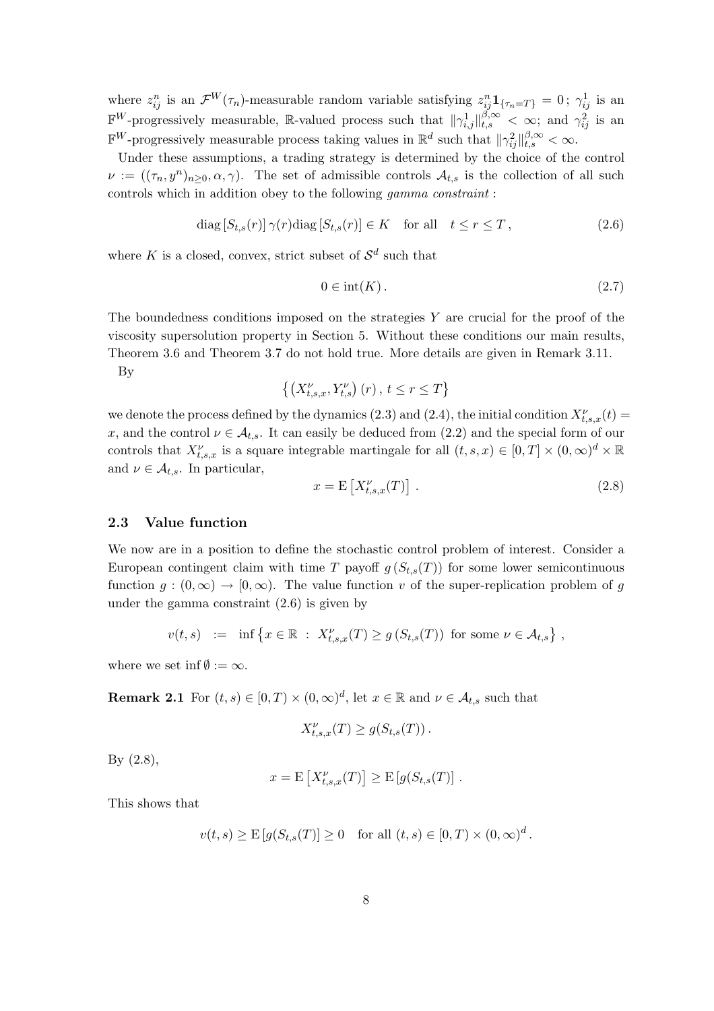where  $z_{ij}^n$  is an  $\mathcal{F}^W(\tau_n)$ -measurable random variable satisfying  $z_{ij}^n \mathbf{1}_{\{\tau_n = T\}} = 0$ ;  $\gamma_{ij}^1$  is an  $\mathbb{F}^W$ -progressively measurable, R-valued process such that  $\|\gamma_{i,j}^1\|_{t,s}^{\beta,\infty} < \infty$ ; and  $\gamma_{ij}^2$  is an  $\mathbb{F}^W$ -progressively measurable process taking values in  $\mathbb{R}^d$  such that  $\|\gamma_{ij}^2\|_{t,s}^{\beta,\infty} < \infty$ .

Under these assumptions, a trading strategy is determined by the choice of the control  $\nu := ((\tau_n, y^n)_{n \geq 0}, \alpha, \gamma)$ . The set of admissible controls  $\mathcal{A}_{t,s}$  is the collection of all such controls which in addition obey to the following gamma constraint :

$$
\text{diag}\left[S_{t,s}(r)\right]\gamma(r)\text{diag}\left[S_{t,s}(r)\right] \in K \quad \text{for all} \quad t \le r \le T \,,\tag{2.6}
$$

where K is a closed, convex, strict subset of  $\mathcal{S}^d$  such that

$$
0 \in \text{int}(K). \tag{2.7}
$$

The boundedness conditions imposed on the strategies  $Y$  are crucial for the proof of the viscosity supersolution property in Section 5. Without these conditions our main results, Theorem 3.6 and Theorem 3.7 do not hold true. More details are given in Remark 3.11.

By

$$
\left\{ \left(X_{t,s,x}^{\nu}, Y_{t,s}^{\nu}\right)(r), t \leq r \leq T \right\}
$$

we denote the process defined by the dynamics (2.3) and (2.4), the initial condition  $X_{t,s,x}^{\nu}(t)$  = x, and the control  $\nu \in \mathcal{A}_{t,s}$ . It can easily be deduced from (2.2) and the special form of our controls that  $X_{t,s,x}^{\nu}$  is a square integrable martingale for all  $(t, s, x) \in [0, T] \times (0, \infty)^{d} \times \mathbb{R}$ and  $\nu \in \mathcal{A}_{t,s}$ . In particular, .<br>∍

$$
x = \mathcal{E}\left[X_{t,s,x}^{\nu}(T)\right].\tag{2.8}
$$

## 2.3 Value function

We now are in a position to define the stochastic control problem of interest. Consider a European contingent claim with time T payoff  $g(S_{t,s}(T))$  for some lower semicontinuous function  $g:(0,\infty) \to [0,\infty)$ . The value function v of the super-replication problem of g under the gamma constraint (2.6) is given by

$$
v(t,s) := \inf \left\{ x \in \mathbb{R} : X_{t,s,x}^{\nu}(T) \ge g\left(S_{t,s}(T)\right) \text{ for some } \nu \in \mathcal{A}_{t,s} \right\},
$$

where we set inf $\emptyset := \infty$ .

**Remark 2.1** For  $(t, s) \in [0, T) \times (0, \infty)^d$ , let  $x \in \mathbb{R}$  and  $\nu \in \mathcal{A}_{t,s}$  such that

$$
X_{t,s,x}^{\nu}(T) \ge g(S_{t,s}(T)).
$$

By (2.8),

$$
x = \mathrm{E}\left[X_{t,s,x}^{\nu}(T)\right] \geq \mathrm{E}\left[g(S_{t,s}(T)\right].
$$

This shows that

$$
v(t,s) \ge E[g(S_{t,s}(T)] \ge 0
$$
 for all  $(t,s) \in [0,T) \times (0,\infty)^d$ .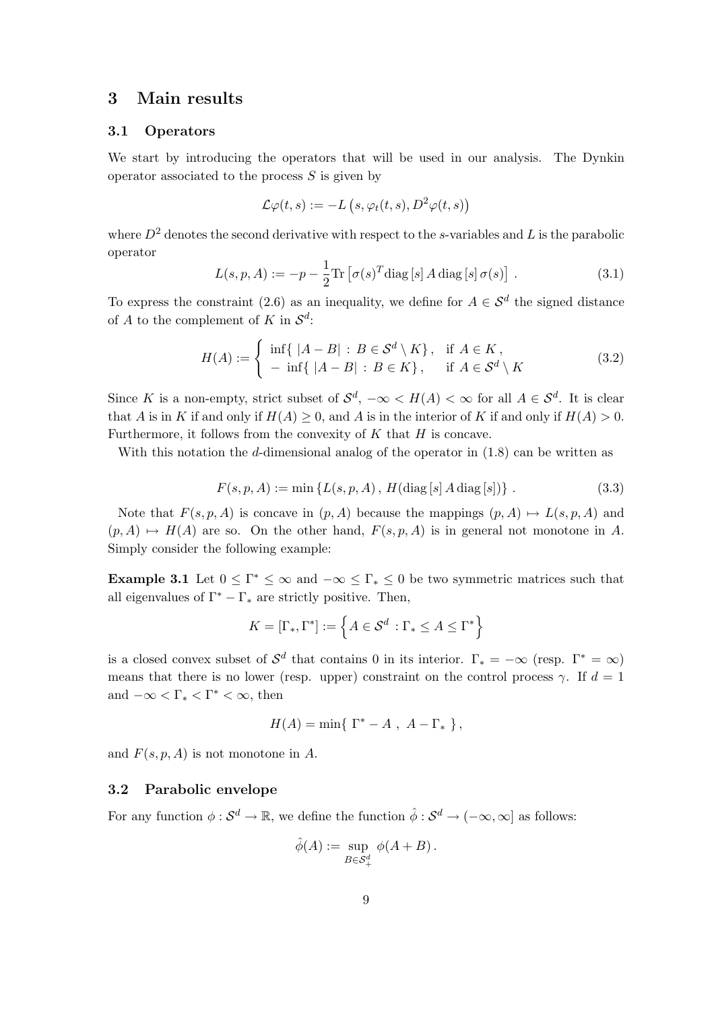# 3 Main results

## 3.1 Operators

We start by introducing the operators that will be used in our analysis. The Dynkin operator associated to the process  $S$  is given by

$$
\mathcal{L}\varphi(t,s) := -L\left(s, \varphi_t(t,s), D^2\varphi(t,s)\right)
$$

where  $D^2$  denotes the second derivative with respect to the s-variables and L is the parabolic operator

$$
L(s, p, A) := -p - \frac{1}{2} \text{Tr} \left[ \sigma(s)^T \text{diag} \left[ s \right] A \text{diag} \left[ s \right] \sigma(s) \right] . \tag{3.1}
$$

To express the constraint (2.6) as an inequality, we define for  $A \in \mathcal{S}^d$  the signed distance of A to the complement of K in  $\mathcal{S}^d$ :

$$
H(A) := \begin{cases} \inf\{|A - B| : B \in \mathcal{S}^d \setminus K\}, & \text{if } A \in K, \\ -\inf\{|A - B| : B \in K\}, & \text{if } A \in \mathcal{S}^d \setminus K \end{cases}
$$
(3.2)

Since K is a non-empty, strict subset of  $\mathcal{S}^d$ ,  $-\infty < H(A) < \infty$  for all  $A \in \mathcal{S}^d$ . It is clear that A is in K if and only if  $H(A) \geq 0$ , and A is in the interior of K if and only if  $H(A) > 0$ . Furthermore, it follows from the convexity of  $K$  that  $H$  is concave.

With this notation the d-dimensional analog of the operator in  $(1.8)$  can be written as

$$
F(s, p, A) := \min \{ L(s, p, A), H(\text{diag}[s] A \text{ diag}[s]) \}.
$$
 (3.3)

Note that  $F(s, p, A)$  is concave in  $(p, A)$  because the mappings  $(p, A) \mapsto L(s, p, A)$  and  $(p, A) \mapsto H(A)$  are so. On the other hand,  $F(s, p, A)$  is in general not monotone in A. Simply consider the following example:

**Example 3.1** Let  $0 \leq \Gamma^* \leq \infty$  and  $-\infty \leq \Gamma_* \leq 0$  be two symmetric matrices such that all eigenvalues of  $\Gamma^* - \Gamma_*$  are strictly positive. Then,

$$
K = [\Gamma_*, \Gamma^*] := \left\{ A \in \mathcal{S}^d : \Gamma_* \le A \le \Gamma^* \right\}
$$

is a closed convex subset of  $\mathcal{S}^d$  that contains 0 in its interior.  $\Gamma_* = -\infty$  (resp.  $\Gamma^* = \infty$ ) means that there is no lower (resp. upper) constraint on the control process  $\gamma$ . If  $d = 1$ and  $-\infty < \Gamma_* < \Gamma^* < \infty$ , then

$$
H(A) = \min\{ \Gamma^* - A , A - \Gamma_* \},
$$

and  $F(s, p, A)$  is not monotone in A.

## 3.2 Parabolic envelope

For any function  $\phi: \mathcal{S}^d \to \mathbb{R}$ , we define the function  $\hat{\phi}: \mathcal{S}^d \to (-\infty, \infty]$  as follows:

$$
\hat{\phi}(A) := \sup_{B \in \mathcal{S}_+^d} \phi(A + B).
$$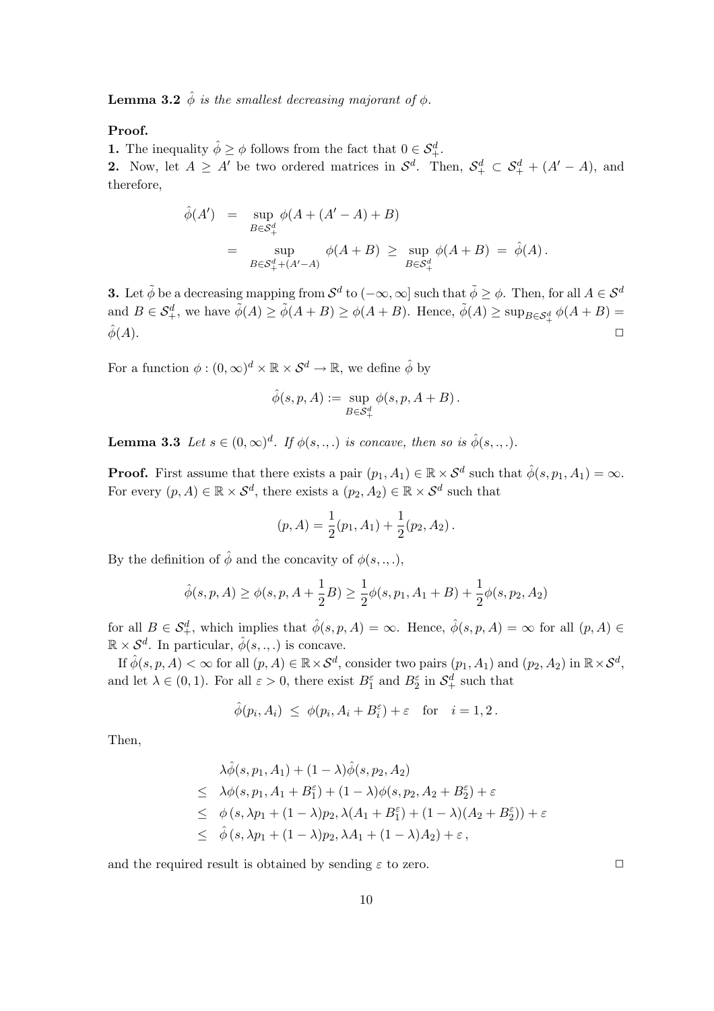**Lemma 3.2**  $\hat{\phi}$  is the smallest decreasing majorant of  $\phi$ .

## Proof.

**1.** The inequality  $\hat{\phi} \geq \phi$  follows from the fact that  $0 \in \mathcal{S}_{+}^{d}$ .

**2.** Now, let  $A \geq A'$  be two ordered matrices in  $\mathcal{S}^d$ . Then,  $\mathcal{S}^d_+ \subset \mathcal{S}^d_+ + (A'-A)$ , and therefore,

$$
\hat{\phi}(A') = \sup_{B \in \mathcal{S}_+^d} \phi(A + (A' - A) + B)
$$
  
= 
$$
\sup_{B \in \mathcal{S}_+^d + (A' - A)} \phi(A + B) \ge \sup_{B \in \mathcal{S}_+^d} \phi(A + B) = \hat{\phi}(A).
$$

**3.** Let  $\tilde{\phi}$  be a decreasing mapping from  $\mathcal{S}^d$  to  $(-\infty, \infty]$  such that  $\tilde{\phi} \geq \phi$ . Then, for all  $A \in \mathcal{S}^d$ and  $B \in \mathcal{S}_{+}^d$ , we have  $\tilde{\phi}(A) \geq \tilde{\phi}(A+B) \geq \phi(A+B)$ . Hence,  $\tilde{\phi}(A) \geq \sup_{B \in \mathcal{S}_{+}^d} \phi(A+B)$  $\hat{\phi}(A)$ .

For a function  $\phi : (0, \infty)^d \times \mathbb{R} \times S^d \to \mathbb{R}$ , we define  $\hat{\phi}$  by

$$
\hat{\phi}(s, p, A) := \sup_{B \in \mathcal{S}_+^d} \phi(s, p, A + B) .
$$

**Lemma 3.3** Let  $s \in (0,\infty)^d$ . If  $\phi(s, \ldots)$  is concave, then so is  $\hat{\phi}(s, \ldots)$ .

**Proof.** First assume that there exists a pair  $(p_1, A_1) \in \mathbb{R} \times S^d$  such that  $\hat{\phi}(s, p_1, A_1) = \infty$ . For every  $(p, A) \in \mathbb{R} \times S^d$ , there exists a  $(p_2, A_2) \in \mathbb{R} \times S^d$  such that

$$
(p, A) = \frac{1}{2}(p_1, A_1) + \frac{1}{2}(p_2, A_2).
$$

By the definition of  $\hat{\phi}$  and the concavity of  $\phi(s, \ldots)$ ,

$$
\hat{\phi}(s, p, A) \ge \phi(s, p, A + \frac{1}{2}B) \ge \frac{1}{2}\phi(s, p_1, A_1 + B) + \frac{1}{2}\phi(s, p_2, A_2)
$$

for all  $B \in \mathcal{S}_{+}^d$ , which implies that  $\hat{\phi}(s, p, A) = \infty$ . Hence,  $\hat{\phi}(s, p, A) = \infty$  for all  $(p, A) \in$  $\mathbb{R} \times S^d$ . In particular,  $\hat{\phi}(s, \ldots)$  is concave.

If  $\hat{\phi}(s, p, A) < \infty$  for all  $(p, A) \in \mathbb{R} \times S^d$ , consider two pairs  $(p_1, A_1)$  and  $(p_2, A_2)$  in  $\mathbb{R} \times S^d$ , and let  $\lambda \in (0,1)$ . For all  $\varepsilon > 0$ , there exist  $B_1^{\varepsilon}$  and  $B_2^{\varepsilon}$  in  $\mathcal{S}_+^d$  such that

$$
\widehat{\phi}(p_i,A_i) \ \leq \ \phi(p_i,A_i+B_i^{\varepsilon}) + \varepsilon \quad \text{for} \quad i=1,2 \, .
$$

Then,

$$
\lambda \hat{\phi}(s, p_1, A_1) + (1 - \lambda)\hat{\phi}(s, p_2, A_2)
$$
\n
$$
\leq \lambda \phi(s, p_1, A_1 + B_1^{\varepsilon}) + (1 - \lambda)\phi(s, p_2, A_2 + B_2^{\varepsilon}) + \varepsilon
$$
\n
$$
\leq \phi(s, \lambda p_1 + (1 - \lambda)p_2, \lambda(A_1 + B_1^{\varepsilon}) + (1 - \lambda)(A_2 + B_2^{\varepsilon})) + \varepsilon
$$
\n
$$
\leq \hat{\phi}(s, \lambda p_1 + (1 - \lambda)p_2, \lambda A_1 + (1 - \lambda)A_2) + \varepsilon,
$$

and the required result is obtained by sending  $\varepsilon$  to zero.  $\Box$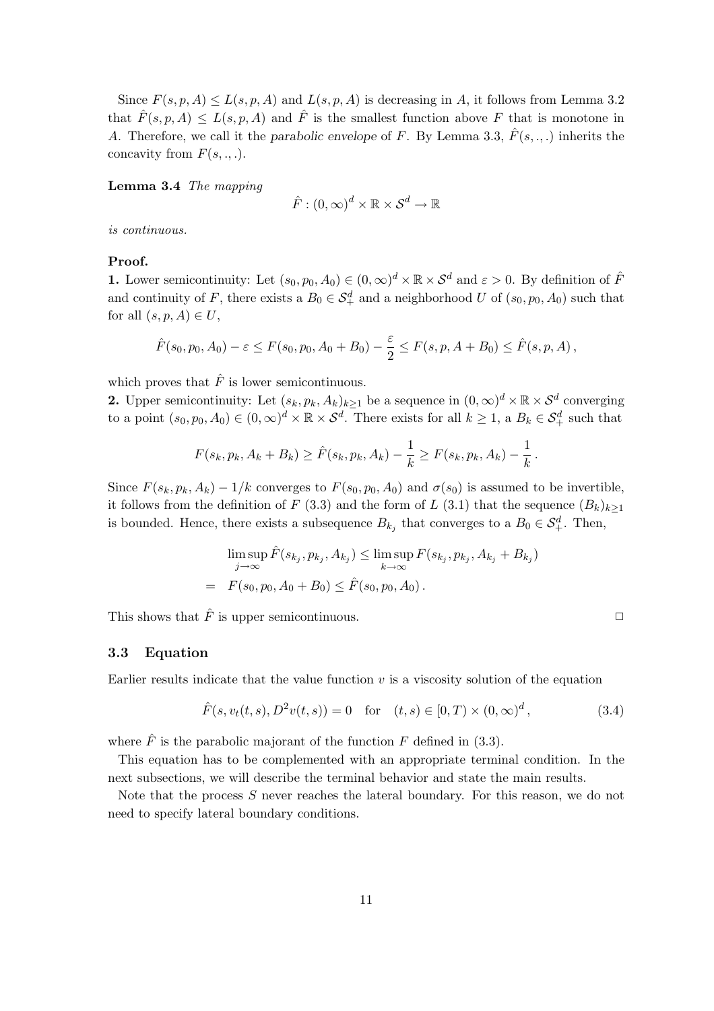Since  $F(s, p, A) \le L(s, p, A)$  and  $L(s, p, A)$  is decreasing in A, it follows from Lemma 3.2 that  $\hat{F}(s, p, A) \leq L(s, p, A)$  and  $\hat{F}$  is the smallest function above F that is monotone in A. Therefore, we call it the parabolic envelope of F. By Lemma 3.3,  $\hat{F}(s, \ldots)$  inherits the concavity from  $F(s, \ldots)$ .

Lemma 3.4 The mapping

$$
\hat{F}:(0,\infty)^d\times\mathbb{R}\times\mathcal{S}^d\to\mathbb{R}
$$

is continuous.

## Proof.

**1.** Lower semicontinuity: Let  $(s_0, p_0, A_0) \in (0, \infty)^d \times \mathbb{R} \times S^d$  and  $\varepsilon > 0$ . By definition of  $\hat{F}$ and continuity of F, there exists a  $B_0 \in S_+^d$  and a neighborhood U of  $(s_0, p_0, A_0)$  such that for all  $(s, p, A) \in U$ ,

$$
\hat{F}(s_0, p_0, A_0) - \varepsilon \le F(s_0, p_0, A_0 + B_0) - \frac{\varepsilon}{2} \le F(s, p, A + B_0) \le \hat{F}(s, p, A),
$$

which proves that  $\hat{F}$  is lower semicontinuous.

**2.** Upper semicontinuity: Let  $(s_k, p_k, A_k)_{k\geq 1}$  be a sequence in  $(0, \infty)^d \times \mathbb{R} \times S^d$  converging to a point  $(s_0, p_0, A_0) \in (0, \infty)^d \times \mathbb{R} \times S^d$ . There exists for all  $k \geq 1$ , a  $B_k \in S^d_+$  such that

$$
F(s_k, p_k, A_k + B_k) \ge \hat{F}(s_k, p_k, A_k) - \frac{1}{k} \ge F(s_k, p_k, A_k) - \frac{1}{k}
$$

Since  $F(s_k, p_k, A_k) - 1/k$  converges to  $F(s_0, p_0, A_0)$  and  $\sigma(s_0)$  is assumed to be invertible, it follows from the definition of F (3.3) and the form of L (3.1) that the sequence  $(B_k)_{k>1}$ is bounded. Hence, there exists a subsequence  $B_{k_j}$  that converges to a  $B_0 \in \mathcal{S}_{+}^d$ . Then,

$$
\limsup_{j \to \infty} \hat{F}(s_{k_j}, p_{k_j}, A_{k_j}) \leq \limsup_{k \to \infty} F(s_{k_j}, p_{k_j}, A_{k_j} + B_{k_j})
$$
  
=  $F(s_0, p_0, A_0 + B_0) \leq \hat{F}(s_0, p_0, A_0).$ 

This shows that  $\hat{F}$  is upper semicontinuous.

#### 3.3 Equation

Earlier results indicate that the value function  $v$  is a viscosity solution of the equation

$$
\hat{F}(s, v_t(t, s), D^2v(t, s)) = 0 \quad \text{for} \quad (t, s) \in [0, T) \times (0, \infty)^d,
$$
\n(3.4)

where  $\hat{F}$  is the parabolic majorant of the function F defined in (3.3).

This equation has to be complemented with an appropriate terminal condition. In the next subsections, we will describe the terminal behavior and state the main results.

Note that the process S never reaches the lateral boundary. For this reason, we do not need to specify lateral boundary conditions.

.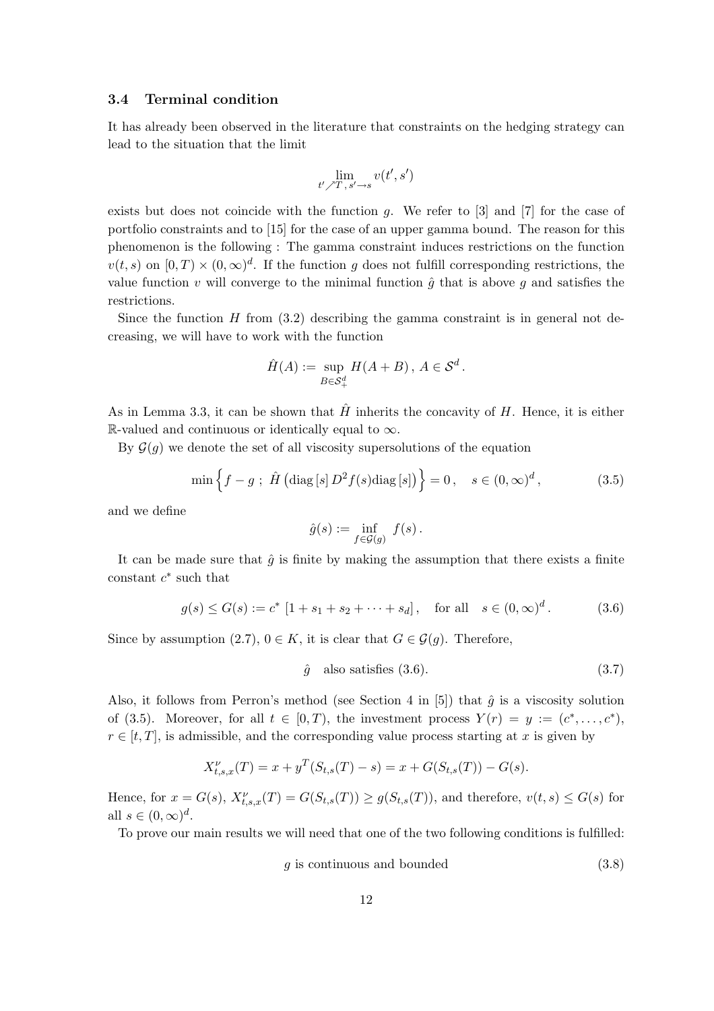#### 3.4 Terminal condition

It has already been observed in the literature that constraints on the hedging strategy can lead to the situation that the limit

$$
\lim_{t'\nearrow T\,,\,s'\rightarrow s}v(t',s')
$$

exists but does not coincide with the function  $q$ . We refer to  $[3]$  and  $[7]$  for the case of portfolio constraints and to [15] for the case of an upper gamma bound. The reason for this phenomenon is the following : The gamma constraint induces restrictions on the function  $v(t,s)$  on  $[0,T) \times (0,\infty)^d$ . If the function g does not fulfill corresponding restrictions, the value function v will converge to the minimal function  $\hat{q}$  that is above q and satisfies the restrictions.

Since the function  $H$  from  $(3.2)$  describing the gamma constraint is in general not decreasing, we will have to work with the function

$$
\hat{H}(A) := \sup_{B \in \mathcal{S}_+^d} H(A + B), A \in \mathcal{S}^d.
$$

As in Lemma 3.3, it can be shown that  $\hat{H}$  inherits the concavity of H. Hence, it is either R-valued and continuous or identically equal to  $\infty$ .

By  $\mathcal{G}(q)$  we denote the set of all viscosity supersolutions of the equation

$$
\min \left\{ f - g \; ; \; \hat{H} \left( \text{diag} \left[ s \right] D^2 f(s) \text{diag} \left[ s \right] \right) \right\} = 0, \quad s \in (0, \infty)^d, \tag{3.5}
$$

and we define

$$
\hat{g}(s) := \inf_{f \in \mathcal{G}(g)} f(s).
$$

It can be made sure that  $\hat{g}$  is finite by making the assumption that there exists a finite constant  $c^*$  such that

$$
g(s) \le G(s) := c^* [1 + s_1 + s_2 + \dots + s_d], \text{ for all } s \in (0, \infty)^d.
$$
 (3.6)

Since by assumption (2.7),  $0 \in K$ , it is clear that  $G \in \mathcal{G}(q)$ . Therefore,

$$
\hat{g} \quad \text{also satisfies (3.6).} \tag{3.7}
$$

Also, it follows from Perron's method (see Section 4 in [5]) that  $\hat{g}$  is a viscosity solution of (3.5). Moreover, for all  $t \in [0, T)$ , the investment process  $Y(r) = y := (c^*, \ldots, c^*)$ ,  $r \in [t, T]$ , is admissible, and the corresponding value process starting at x is given by

$$
X_{t,s,x}^{\nu}(T) = x + y^T(S_{t,s}(T) - s) = x + G(S_{t,s}(T)) - G(s).
$$

Hence, for  $x = G(s)$ ,  $X_{t,s,x}^{\nu}(T) = G(S_{t,s}(T)) \ge g(S_{t,s}(T))$ , and therefore,  $v(t,s) \le G(s)$  for all  $s \in (0, \infty)^d$ .

To prove our main results we will need that one of the two following conditions is fulfilled:

$$
g \text{ is continuous and bounded} \tag{3.8}
$$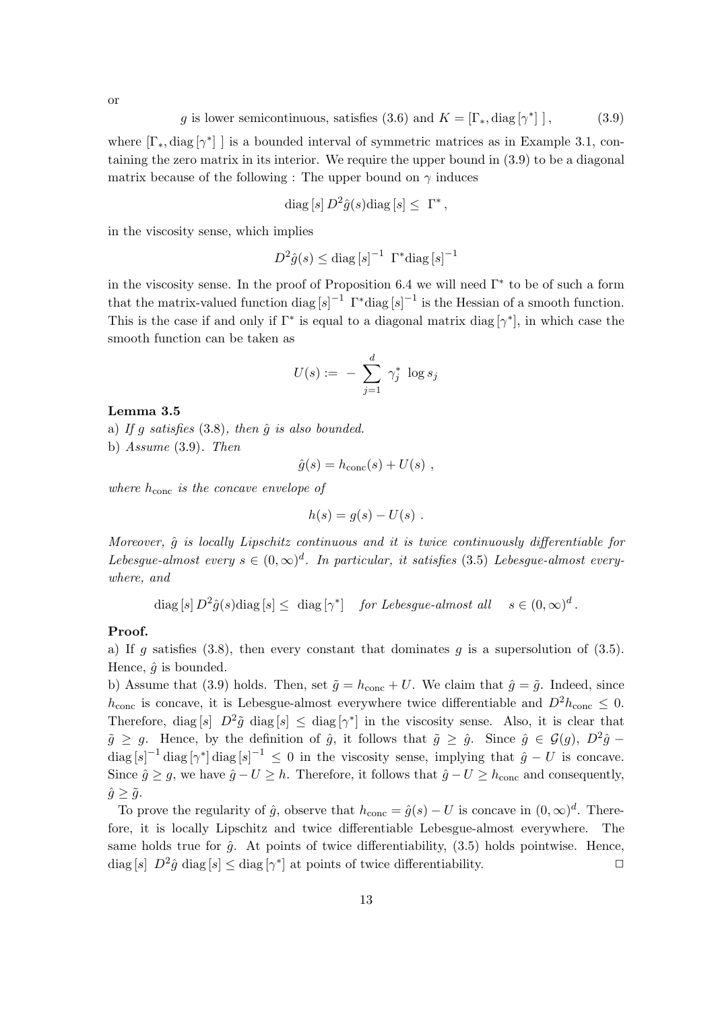g is lower semicontinuous, satisfies (3.6) and 
$$
K = [\Gamma_*, \text{diag}[\gamma^*]]
$$
, (3.9)

where  $[\Gamma_*, \text{diag}[\gamma^*]]$  is a bounded interval of symmetric matrices as in Example 3.1, containing the zero matrix in its interior. We require the upper bound in (3.9) to be a diagonal matrix because of the following : The upper bound on  $\gamma$  induces

$$
\mathrm{diag}\,[s]\,D^2\hat{g}(s)\mathrm{diag}\,[s]\leq\,\Gamma^*\,,
$$

in the viscosity sense, which implies

$$
D^2\hat{g}(s) \le \text{diag}\left[s\right]^{-1} \left[\Gamma^*\text{diag}\left[s\right]^{-1}\right]
$$

in the viscosity sense. In the proof of Proposition 6.4 we will need  $\Gamma^*$  to be of such a form that the matrix-valued function diag  $[s]^{-1}$   $\Gamma^*$ diag  $[s]^{-1}$  is the Hessian of a smooth function. This is the case if and only if  $\Gamma^*$  is equal to a diagonal matrix diag  $[\gamma^*]$ , in which case the smooth function can be taken as

$$
U(s):=~-~\sum_{j=1}^d~\gamma_j^*~\log s_j
$$

#### Lemma 3.5

a) If g satisfies  $(3.8)$ , then  $\hat{g}$  is also bounded.

b) Assume (3.9). Then

$$
\hat{g}(s) = h_{\text{conc}}(s) + U(s) \text{ ,}
$$

where  $h_{\text{conc}}$  is the concave envelope of

$$
h(s) = g(s) - U(s) .
$$

Moreover,  $\hat{g}$  is locally Lipschitz continuous and it is twice continuously differentiable for Lebesgue-almost every  $s \in (0,\infty)^d$ . In particular, it satisfies (3.5) Lebesgue-almost everywhere, and

 $\text{diag}\left[s\right]D^2\hat{g}(s)\text{diag}\left[s\right] \leq \text{diag}\left[\gamma^*\right]$  for Lebesgue-almost all  $s \in (0,\infty)^d$ .

## Proof.

a) If g satisfies (3.8), then every constant that dominates g is a supersolution of (3.5). Hence,  $\hat{q}$  is bounded.

b) Assume that (3.9) holds. Then, set  $\tilde{g} = h_{\text{conc}} + U$ . We claim that  $\hat{g} = \tilde{g}$ . Indeed, since  $h_{\text{conc}}$  is concave, it is Lebesgue-almost everywhere twice differentiable and  $D^2 h_{\text{conc}} \leq 0$ . Therefore, diag [s]  $D^2 \tilde{g}$  diag [s]  $\leq$  diag [ $\gamma^*$ ] in the viscosity sense. Also, it is clear that  $\tilde{g} \geq g$ . Hence, by the definition of  $\hat{g}$ , it follows that  $\tilde{g} \geq \hat{g}$ . Since  $\hat{g} \in \mathcal{G}(g)$ ,  $D^2\hat{g}$  $\text{diag}\left[s\right]^{-1} \text{diag}\left[\gamma^*\right] \text{diag}\left[s\right]^{-1} \leq 0$  in the viscosity sense, implying that  $\hat{g} - U$  is concave. Since  $\hat{g} \geq g$ , we have  $\hat{g} - U \geq h$ . Therefore, it follows that  $\hat{g} - U \geq h_{\text{conc}}$  and consequently,  $\hat{g} \geq \tilde{g}$ .

To prove the regularity of  $\hat{g}$ , observe that  $h_{\text{conc}} = \hat{g}(s) - U$  is concave in  $(0, \infty)^d$ . Therefore, it is locally Lipschitz and twice differentiable Lebesgue-almost everywhere. The same holds true for  $\hat{g}$ . At points of twice differentiability, (3.5) holds pointwise. Hence,  $\text{diag}[s]$   $D^2\hat{g}$  diag $[s] \leq \text{diag}[\gamma^*]$  at points of twice differentiability.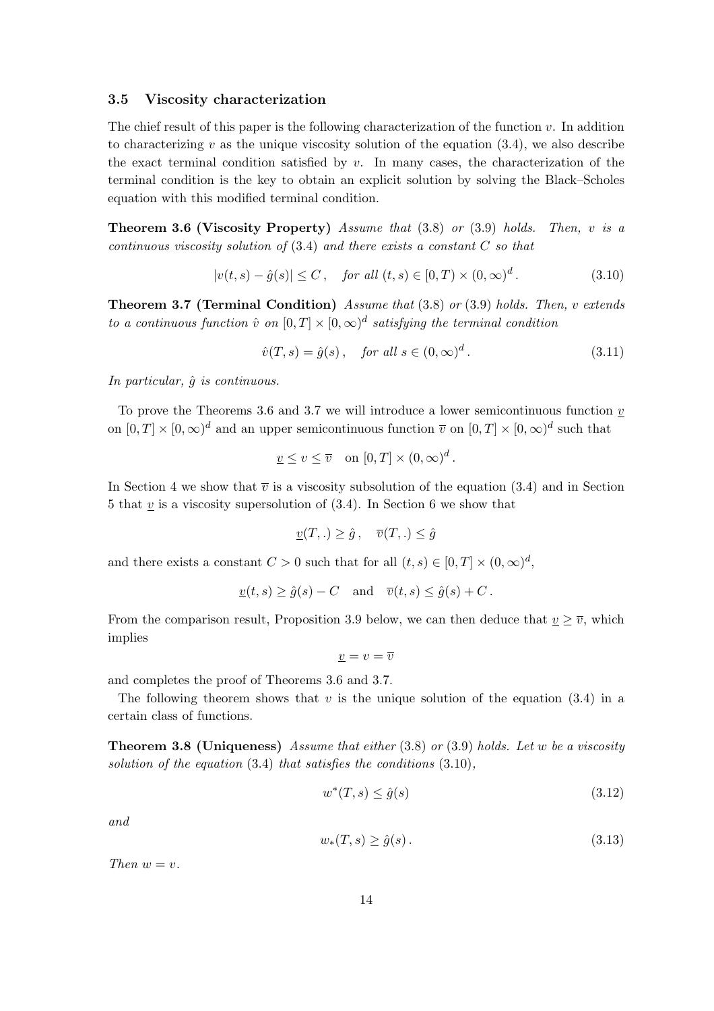#### 3.5 Viscosity characterization

The chief result of this paper is the following characterization of the function  $v$ . In addition to characterizing v as the unique viscosity solution of the equation  $(3.4)$ , we also describe the exact terminal condition satisfied by  $v$ . In many cases, the characterization of the terminal condition is the key to obtain an explicit solution by solving the Black–Scholes equation with this modified terminal condition.

**Theorem 3.6 (Viscosity Property)** Assume that  $(3.8)$  or  $(3.9)$  holds. Then, v is a continuous viscosity solution of  $(3.4)$  and there exists a constant C so that

$$
|v(t,s) - \hat{g}(s)| \le C, \quad \text{for all } (t,s) \in [0,T) \times (0,\infty)^d. \tag{3.10}
$$

Theorem 3.7 (Terminal Condition) Assume that (3.8) or (3.9) holds. Then, v extends to a continuous function  $\hat{v}$  on  $[0,T] \times [0,\infty)^d$  satisfying the terminal condition

$$
\hat{v}(T,s) = \hat{g}(s), \quad \text{for all } s \in (0,\infty)^d. \tag{3.11}
$$

In particular,  $\hat{g}$  is continuous.

To prove the Theorems 3.6 and 3.7 we will introduce a lower semicontinuous function  $\nu$ on  $[0,T] \times [0,\infty)^d$  and an upper semicontinuous function  $\overline{v}$  on  $[0,T] \times [0,\infty)^d$  such that

$$
\underline{v} \le v \le \overline{v} \quad \text{on } [0, T] \times (0, \infty)^d.
$$

In Section 4 we show that  $\overline{v}$  is a viscosity subsolution of the equation (3.4) and in Section 5 that  $v$  is a viscosity supersolution of  $(3.4)$ . In Section 6 we show that

$$
\underline{v}(T,.) \ge \hat{g}, \quad \overline{v}(T,.) \le \hat{g}
$$

and there exists a constant  $C > 0$  such that for all  $(t, s) \in [0, T] \times (0, \infty)^d$ ,

$$
\underline{v}(t,s) \ge \hat{g}(s) - C
$$
 and  $\overline{v}(t,s) \le \hat{g}(s) + C$ .

From the comparison result, Proposition 3.9 below, we can then deduce that  $v \geq \overline{v}$ , which implies

$$
\underline{v} = v = \overline{v}
$$

and completes the proof of Theorems 3.6 and 3.7.

The following theorem shows that  $v$  is the unique solution of the equation (3.4) in a certain class of functions.

**Theorem 3.8 (Uniqueness)** Assume that either  $(3.8)$  or  $(3.9)$  holds. Let w be a viscosity solution of the equation  $(3.4)$  that satisfies the conditions  $(3.10)$ ,

$$
w^*(T,s) \le \hat{g}(s) \tag{3.12}
$$

and

$$
w_*(T,s) \ge \hat{g}(s). \tag{3.13}
$$

Then  $w = v$ .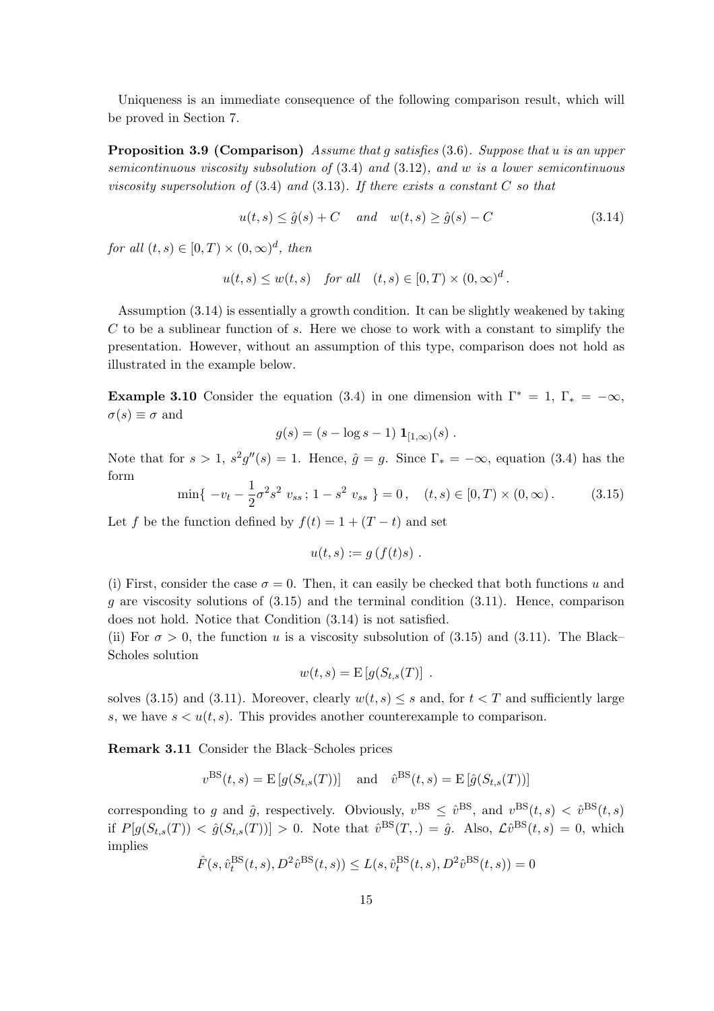Uniqueness is an immediate consequence of the following comparison result, which will be proved in Section 7.

Proposition 3.9 (Comparison) Assume that g satisfies (3.6). Suppose that u is an upper semicontinuous viscosity subsolution of (3.4) and (3.12), and w is a lower semicontinuous viscosity supersolution of  $(3.4)$  and  $(3.13)$ . If there exists a constant C so that

$$
u(t,s) \le \hat{g}(s) + C \quad and \quad w(t,s) \ge \hat{g}(s) - C \tag{3.14}
$$

for all  $(t, s) \in [0, T) \times (0, \infty)^d$ , then

$$
u(t,s) \le w(t,s) \quad \text{for all} \quad (t,s) \in [0,T) \times (0,\infty)^d.
$$

Assumption (3.14) is essentially a growth condition. It can be slightly weakened by taking  $C$  to be a sublinear function of  $s$ . Here we chose to work with a constant to simplify the presentation. However, without an assumption of this type, comparison does not hold as illustrated in the example below.

**Example 3.10** Consider the equation (3.4) in one dimension with  $\Gamma^* = 1$ ,  $\Gamma_* = -\infty$ ,  $\sigma(s) \equiv \sigma$  and

$$
g(s) = (s - \log s - 1) \mathbf{1}_{[1,\infty)}(s) .
$$

Note that for  $s > 1$ ,  $s^2g''(s) = 1$ . Hence,  $\hat{g} = g$ . Since  $\Gamma_* = -\infty$ , equation (3.4) has the form

$$
\min\{ -v_t - \frac{1}{2}\sigma^2 s^2 v_{ss} ; 1 - s^2 v_{ss} \} = 0, \quad (t, s) \in [0, T) \times (0, \infty). \tag{3.15}
$$

Let f be the function defined by  $f(t) = 1 + (T - t)$  and set

$$
u(t,s) := g(f(t)s) .
$$

(i) First, consider the case  $\sigma = 0$ . Then, it can easily be checked that both functions u and  $g$  are viscosity solutions of  $(3.15)$  and the terminal condition  $(3.11)$ . Hence, comparison does not hold. Notice that Condition (3.14) is not satisfied.

(ii) For  $\sigma > 0$ , the function u is a viscosity subsolution of (3.15) and (3.11). The Black– Scholes solution

$$
w(t,s) = \mathbb{E}\left[g(S_{t,s}(T)\right].
$$

solves (3.15) and (3.11). Moreover, clearly  $w(t, s) \leq s$  and, for  $t < T$  and sufficiently large s, we have  $s < u(t, s)$ . This provides another counterexample to comparison.

Remark 3.11 Consider the Black–Scholes prices

$$
v^{\text{BS}}(t, s) = E[g(S_{t,s}(T))] \text{ and } \hat{v}^{\text{BS}}(t, s) = E[\hat{g}(S_{t,s}(T))]
$$

corresponding to g and  $\hat{g}$ , respectively. Obviously,  $v^{\text{BS}} \leq \hat{v}^{\text{BS}}$ , and  $v^{\text{BS}}(t,s) < \hat{v}^{\text{BS}}(t,s)$ if  $P[g(S_{t,s}(T)) < \hat{g}(S_{t,s}(T))] > 0$ . Note that  $\hat{v}^{\text{BS}}(T,.) = \hat{g}$ . Also,  $\mathcal{L}\hat{v}^{\text{BS}}(t,s) = 0$ , which implies

$$
\hat{F}(s, \hat{v}_t^{\text{BS}}(t, s), D^2 \hat{v}^{\text{BS}}(t, s)) \le L(s, \hat{v}_t^{\text{BS}}(t, s), D^2 \hat{v}^{\text{BS}}(t, s)) = 0
$$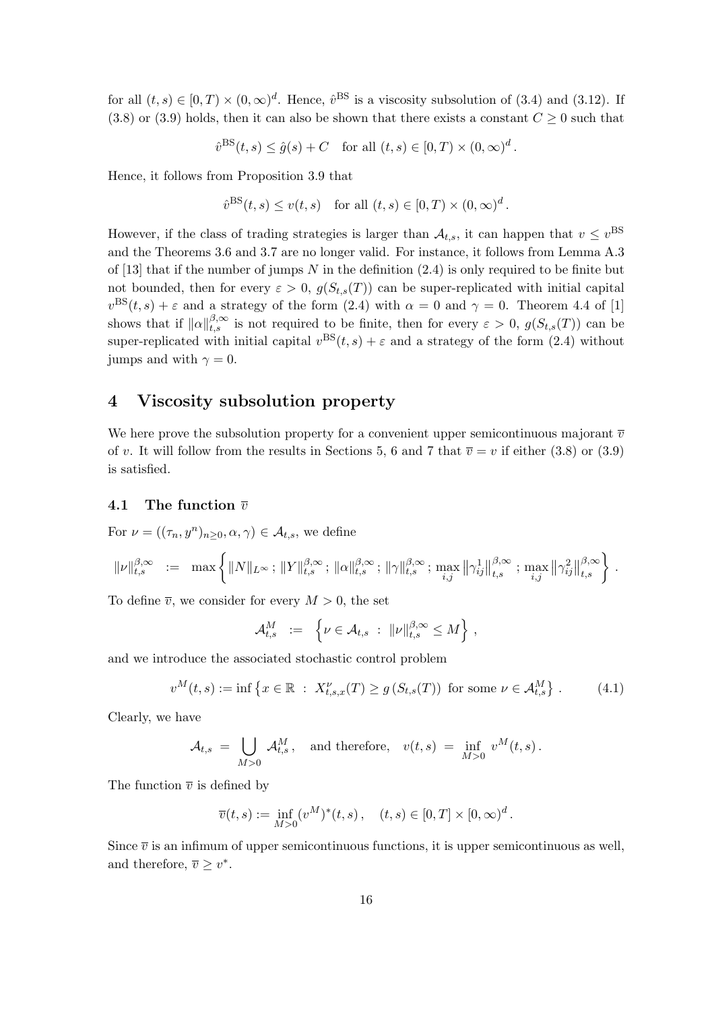for all  $(t,s) \in [0,T) \times (0,\infty)^d$ . Hence,  $\hat{v}^{\text{BS}}$  is a viscosity subsolution of (3.4) and (3.12). If (3.8) or (3.9) holds, then it can also be shown that there exists a constant  $C \geq 0$  such that

$$
\hat{v}^{\text{BS}}(t,s) \le \hat{g}(s) + C \quad \text{for all } (t,s) \in [0,T) \times (0,\infty)^d.
$$

Hence, it follows from Proposition 3.9 that

$$
\hat{v}^{\text{BS}}(t,s) \le v(t,s)
$$
 for all  $(t,s) \in [0,T) \times (0,\infty)^d$ .

However, if the class of trading strategies is larger than  $A_{t,s}$ , it can happen that  $v \leq v^{\text{BS}}$ and the Theorems 3.6 and 3.7 are no longer valid. For instance, it follows from Lemma A.3 of [13] that if the number of jumps  $N$  in the definition (2.4) is only required to be finite but not bounded, then for every  $\varepsilon > 0$ ,  $g(S_{t,s}(T))$  can be super-replicated with initial capital  $v^{\text{BS}}(t,s) + \varepsilon$  and a strategy of the form (2.4) with  $\alpha = 0$  and  $\gamma = 0$ . Theorem 4.4 of [1] shows that if  $\|\alpha\|_{t,s}^{\beta,\infty}$  is not required to be finite, then for every  $\varepsilon > 0$ ,  $g(S_{t,s}(T))$  can be super-replicated with initial capital  $v^{BS}(t, s) + \varepsilon$  and a strategy of the form (2.4) without jumps and with  $\gamma = 0$ .

# 4 Viscosity subsolution property

We here prove the subsolution property for a convenient upper semicontinuous majorant  $\bar{v}$ of v. It will follow from the results in Sections 5, 6 and 7 that  $\overline{v} = v$  if either (3.8) or (3.9) is satisfied.

## 4.1 The function  $\overline{v}$

For  $\nu = ((\tau_n, y^n)_{n \geq 0}, \alpha, \gamma) \in \mathcal{A}_{t,s}$ , we define

$$
\| \nu \|_{t,s}^{\beta, \infty} \ := \ \max \left\{ \| N \|_{L^{\infty}} \, ; \, \| Y \|_{t,s}^{\beta, \infty} \, ; \, \| \alpha \|_{t,s}^{\beta, \infty} \, ; \, \| \gamma \|_{t,s}^{\beta, \infty} \, ; \, \max_{i,j} \left\| \gamma_{ij}^1 \right\|_{t,s}^{\beta, \infty} \, ; \, \max_{i,j} \left\| \gamma_{ij}^2 \right\|_{t,s}^{\beta, \infty} \right\} \, .
$$

To define  $\overline{v}$ , we consider for every  $M > 0$ , the set

$$
\mathcal{A}_{t,s}^M \ := \ \left\{ \nu \in \mathcal{A}_{t,s} \ : \ \|\nu\|_{t,s}^{\beta,\infty} \leq M \right\} \, ,
$$

and we introduce the associated stochastic control problem

$$
v^M(t,s) := \inf \left\{ x \in \mathbb{R} \ : \ X_{t,s,x}^{\nu}(T) \ge g \left( S_{t,s}(T) \right) \text{ for some } \nu \in \mathcal{A}_{t,s}^M \right\}. \tag{4.1}
$$

Clearly, we have

$$
\mathcal{A}_{t,s} = \bigcup_{M>0} \mathcal{A}_{t,s}^M, \text{ and therefore, } v(t,s) = \inf_{M>0} v^M(t,s).
$$

The function  $\bar{v}$  is defined by

$$
\overline{v}(t,s) := \inf_{M>0} (v^M)^*(t,s), \quad (t,s) \in [0,T] \times [0,\infty)^d.
$$

Since  $\bar{v}$  is an infimum of upper semicontinuous functions, it is upper semicontinuous as well, and therefore,  $\overline{v} \geq v^*$ .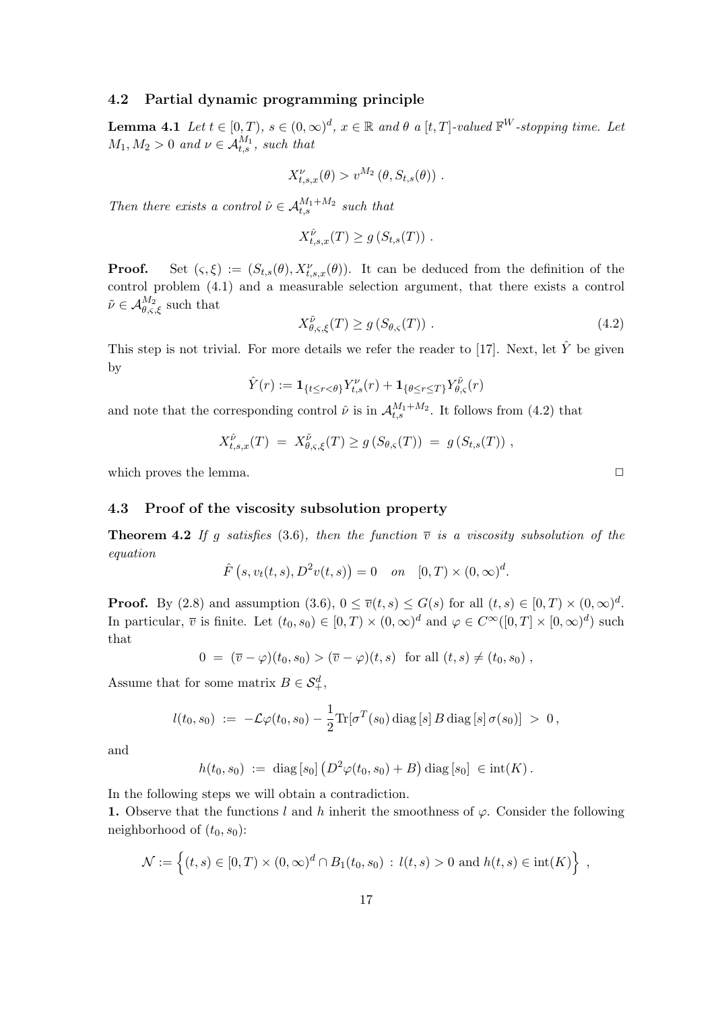## 4.2 Partial dynamic programming principle

**Lemma 4.1** Let  $t \in [0, T)$ ,  $s \in (0, \infty)^d$ ,  $x \in \mathbb{R}$  and  $\theta$  a  $[t, T]$ -valued  $\mathbb{F}^W$ -stopping time. Let  $M_1, M_2 > 0$  and  $\nu \in \mathcal{A}_{t,s}^{M_1}$ , such that

$$
X_{t,s,x}^{\nu}(\theta) > v^{M_2}(\theta, S_{t,s}(\theta)).
$$

Then there exists a control  $\hat{\nu} \in A_{t,s}^{M_1+M_2}$  such that

$$
X_{t,s,x}^{\hat{\nu}}(T) \ge g\left(S_{t,s}(T)\right).
$$

**Proof.** Set  $(\varsigma, \xi) := (S_{t,s}(\theta), X_{t,s,x}^{\nu}(\theta))$ . It can be deduced from the definition of the control problem (4.1) and a measurable selection argument, that there exists a control  $\tilde{\nu} \in \mathcal{A}_{\theta,\varsigma,\xi}^{M_2}$  such that

$$
X_{\theta,\varsigma,\xi}^{\tilde{\nu}}(T) \ge g\left(S_{\theta,\varsigma}(T)\right). \tag{4.2}
$$

This step is not trivial. For more details we refer the reader to [17]. Next, let  $\hat{Y}$  be given by

$$
\hat{Y}(r):=\mathbf{1}_{\{t\leq r<\theta\}}Y_{t,s}^\nu(r)+\mathbf{1}_{\{\theta\leq r\leq T\}}Y_{\theta,\varsigma}^{\tilde{\nu}}(r)
$$

and note that the corresponding control  $\hat{\nu}$  is in  $\mathcal{A}_{t,s}^{M_1+M_2}$ . It follows from (4.2) that

$$
X_{t,s,x}^{\hat{\nu}}(T) = X_{\theta,\varsigma,\xi}^{\tilde{\nu}}(T) \ge g\left(S_{\theta,\varsigma}(T)\right) = g\left(S_{t,s}(T)\right),
$$

which proves the lemma.  $\Box$ 

## 4.3 Proof of the viscosity subsolution property

**Theorem 4.2** If g satisfies (3.6), then the function  $\overline{v}$  is a viscosity subsolution of the equation ¡ ¢

$$
\hat{F}(s, v_t(t, s), D^2v(t, s)) = 0
$$
 on  $[0, T) \times (0, \infty)^d$ .

**Proof.** By (2.8) and assumption (3.6),  $0 \leq \overline{v}(t,s) \leq G(s)$  for all  $(t,s) \in [0,T) \times (0,\infty)^d$ . In particular,  $\overline{v}$  is finite. Let  $(t_0, s_0) \in [0, T) \times (0, \infty)^d$  and  $\varphi \in C^{\infty}([0, T] \times [0, \infty)^d)$  such that

$$
0 = (\overline{v} - \varphi)(t_0, s_0) > (\overline{v} - \varphi)(t, s) \text{ for all } (t, s) \neq (t_0, s_0),
$$

Assume that for some matrix  $B \in \mathcal{S}_{+}^{d}$ ,

$$
l(t_0, s_0) := -\mathcal{L}\varphi(t_0, s_0) - \frac{1}{2} \text{Tr}[\sigma^T(s_0) \,\text{diag}\,[s] \, B \,\text{diag}\,[s] \,\sigma(s_0)] > 0\,,
$$

and

$$
h(t_0, s_0) := \text{diag}\left[s_0\right] \left(D^2 \varphi(t_0, s_0) + B\right) \text{diag}\left[s_0\right] \in \text{int}(K).
$$

In the following steps we will obtain a contradiction.

1. Observe that the functions l and h inherit the smoothness of  $\varphi$ . Consider the following neighborhood of  $(t_0, s_0)$ :

$$
\mathcal{N} := \left\{ (t,s) \in [0,T) \times (0,\infty)^d \cap B_1(t_0,s_0) : l(t,s) > 0 \text{ and } h(t,s) \in \text{int}(K) \right\},\
$$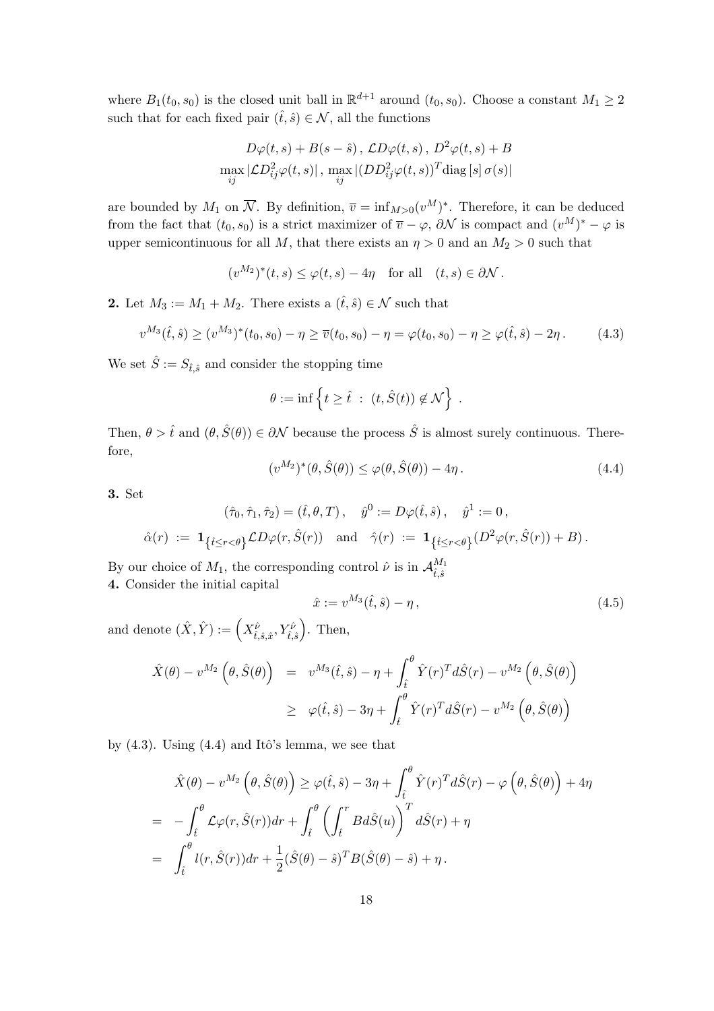where  $B_1(t_0, s_0)$  is the closed unit ball in  $\mathbb{R}^{d+1}$  around  $(t_0, s_0)$ . Choose a constant  $M_1 \geq 2$ such that for each fixed pair  $(\hat{t}, \hat{s}) \in \mathcal{N}$ , all the functions

$$
D\varphi(t,s) + B(s - \hat{s}), \, \mathcal{L}D\varphi(t,s), \, D^2\varphi(t,s) + B
$$

$$
\max_{ij} |\mathcal{L}D_{ij}^2\varphi(t,s)|, \, \max_{ij} |(DD_{ij}^2\varphi(t,s))^T \text{diag}[s] \, \sigma(s)|
$$

are bounded by  $M_1$  on  $\overline{\mathcal{N}}$ . By definition,  $\overline{v} = \inf_{M>0}(v^M)^*$ . Therefore, it can be deduced from the fact that  $(t_0, s_0)$  is a strict maximizer of  $\overline{v} - \varphi$ ,  $\partial \mathcal{N}$  is compact and  $(v^M)^* - \varphi$  is upper semicontinuous for all M, that there exists an  $\eta > 0$  and an  $M_2 > 0$  such that

$$
(v^{M_2})^*(t,s) \le \varphi(t,s) - 4\eta
$$
 for all  $(t,s) \in \partial \mathcal{N}$ .

2. Let  $M_3 := M_1 + M_2$ . There exists a  $(\hat{t}, \hat{s}) \in \mathcal{N}$  such that

$$
v^{M_3}(\hat{t}, \hat{s}) \ge (v^{M_3})^*(t_0, s_0) - \eta \ge \overline{v}(t_0, s_0) - \eta = \varphi(t_0, s_0) - \eta \ge \varphi(\hat{t}, \hat{s}) - 2\eta. \tag{4.3}
$$

We set  $\hat{S} := S_{\hat{t},\hat{s}}$  and consider the stopping time

$$
\theta := \inf \left\{ t \geq \hat{t} \ : \ (t, \hat{S}(t)) \notin \mathcal{N} \right\} \ .
$$

Then,  $\theta > \hat{t}$  and  $(\theta, \hat{S}(\theta)) \in \partial \mathcal{N}$  because the process  $\hat{S}$  is almost surely continuous. Therefore,

$$
(v^{M_2})^*(\theta, \hat{S}(\theta)) \le \varphi(\theta, \hat{S}(\theta)) - 4\eta. \tag{4.4}
$$

3. Set

$$
(\hat{\tau}_0, \hat{\tau}_1, \hat{\tau}_2) = (\hat{t}, \theta, T), \quad \hat{y}^0 := D\varphi(\hat{t}, \hat{s}), \quad \hat{y}^1 := 0,
$$
  

$$
\hat{\alpha}(r) := \mathbf{1}_{\{\hat{t} \le r < \theta\}} \mathcal{L}D\varphi(r, \hat{S}(r)) \quad \text{and} \quad \hat{\gamma}(r) := \mathbf{1}_{\{\hat{t} \le r < \theta\}} (D^2 \varphi(r, \hat{S}(r)) + B).
$$

By our choice of  $M_1$ , the corresponding control  $\hat{\nu}$  is in  $\mathcal{A}^{M_1}_{\hat{\ell}^2}$  $\hat{t}, \hat{s}$ 4. Consider the initial capital

$$
\hat{x} := v^{M_3}(\hat{t}, \hat{s}) - \eta, \tag{4.5}
$$

and denote  $(\hat{X}, \hat{Y}) := \left(X_{\hat{t}, \hat{s}, \hat{x}}^{\hat{\nu}}, Y_{\hat{t}, \hat{s}}^{\hat{\nu}}\right)$ ´ . Then,

$$
\hat{X}(\theta) - v^{M_2}(\theta, \hat{S}(\theta)) = v^{M_3}(\hat{t}, \hat{s}) - \eta + \int_{\hat{t}}^{\theta} \hat{Y}(r)^T d\hat{S}(r) - v^{M_2}(\theta, \hat{S}(\theta))
$$
\n
$$
\geq \varphi(\hat{t}, \hat{s}) - 3\eta + \int_{\hat{t}}^{\theta} \hat{Y}(r)^T d\hat{S}(r) - v^{M_2}(\theta, \hat{S}(\theta))
$$

by  $(4.3)$ . Using  $(4.4)$  and Itô's lemma, we see that

$$
\hat{X}(\theta) - v^{M_2}(\theta, \hat{S}(\theta)) \ge \varphi(\hat{t}, \hat{s}) - 3\eta + \int_{\hat{t}}^{\theta} \hat{Y}(r)^T d\hat{S}(r) - \varphi(\theta, \hat{S}(\theta)) + 4\eta
$$
\n
$$
= -\int_{\hat{t}}^{\theta} \mathcal{L}\varphi(r, \hat{S}(r))dr + \int_{\hat{t}}^{\theta} \left(\int_{\hat{t}}^r B d\hat{S}(u)\right)^T d\hat{S}(r) + \eta
$$
\n
$$
= \int_{\hat{t}}^{\theta} l(r, \hat{S}(r))dr + \frac{1}{2}(\hat{S}(\theta) - \hat{s})^T B(\hat{S}(\theta) - \hat{s}) + \eta.
$$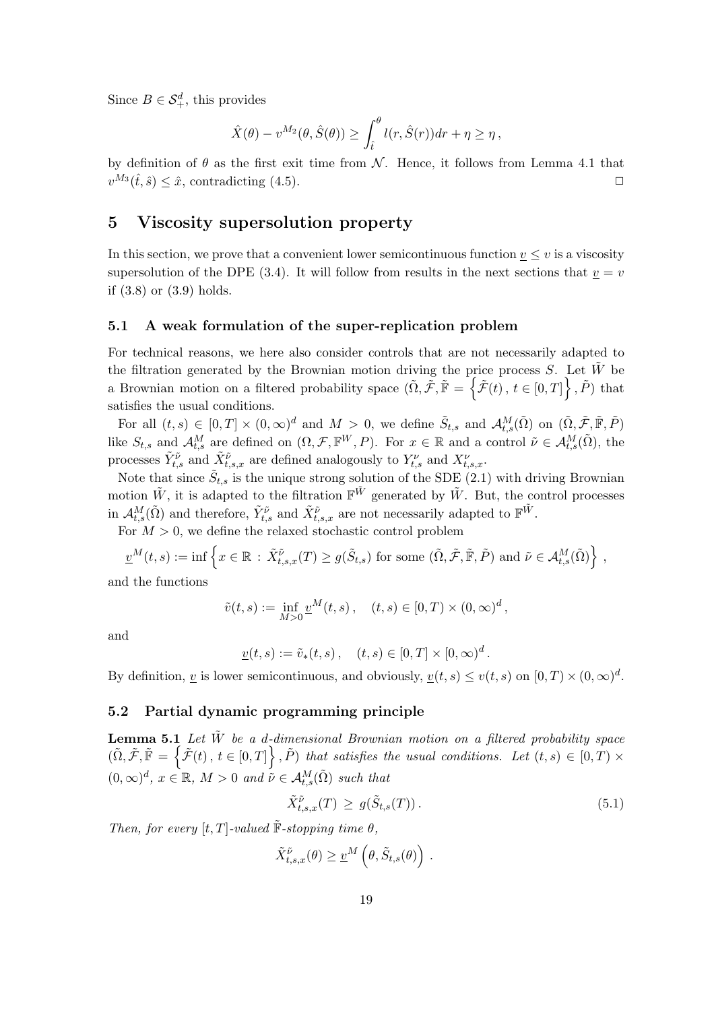Since  $B \in \mathcal{S}_{+}^d$ , this provides

$$
\hat{X}(\theta) - v^{M_2}(\theta, \hat{S}(\theta)) \ge \int_{\hat{t}}^{\theta} l(r, \hat{S}(r)) dr + \eta \ge \eta,
$$

by definition of  $\theta$  as the first exit time from N. Hence, it follows from Lemma 4.1 that  $v^{M_3}(\hat{t},\hat{s}) \leq \hat{x}$ , contradicting (4.5).

# 5 Viscosity supersolution property

In this section, we prove that a convenient lower semicontinuous function  $\underline{v} \leq v$  is a viscosity supersolution of the DPE (3.4). It will follow from results in the next sections that  $v = v$ if (3.8) or (3.9) holds.

## 5.1 A weak formulation of the super-replication problem

For technical reasons, we here also consider controls that are not necessarily adapted to the filtration generated by the Brownian motion driving the price process S. Let  $\tilde{W}$  be a Brownian motion on a filtered probability space  $(\tilde{\Omega}, \tilde{\mathcal{F}}, \tilde{\mathbb{F}} = \{ \tilde{\mathcal{F}}(t), t \in [0,T] \}, \tilde{P})$  that satisfies the usual conditions.

For all  $(t,s) \in [0,T] \times (0,\infty)^d$  and  $M > 0$ , we define  $\tilde{S}_{t,s}$  and  $\mathcal{A}_{t,s}^M(\tilde{\Omega})$  on  $(\tilde{\Omega}, \tilde{\mathcal{F}}, \tilde{\mathbb{F}}, \tilde{P})$ like  $S_{t,s}$  and  $\mathcal{A}_{t,s}^M$  are defined on  $(\Omega, \mathcal{F}, \mathbb{F}^W, P)$ . For  $x \in \mathbb{R}$  and a control  $\tilde{\nu} \in \mathcal{A}_{t,s}^M(\tilde{\Omega})$ , the processes  $\tilde{Y}_{t,s}^{\tilde{\nu}}$  and  $\tilde{X}_{t,s,x}^{\tilde{\nu}}$  are defined analogously to  $Y_{t,s}^{\nu}$  and  $X_{t,s,x}^{\nu}$ .

Note that since  $\tilde{S}_{t,s}$  is the unique strong solution of the SDE  $(2.1)$  with driving Brownian motion  $\tilde{W}$ , it is adapted to the filtration  $\mathbb{F}^{\tilde{W}}$  generated by  $\tilde{W}$ . But, the control processes in  $\mathcal{A}_{t,s}^M(\tilde{\Omega})$  and therefore,  $\tilde{Y}_{t,s}^{\tilde{\nu}}$  and  $\tilde{X}_{t,s,x}^{\tilde{\nu}}$  are not necessarily adapted to  $\mathbb{F}^{\tilde{W}}$ .

For  $M > 0$ , we define the relaxed stochastic control problem

 $\underline{v}^M(t,s) := \inf \left\{ x \in \mathbb{R} : \tilde{X}_{t,s,x}^{\tilde{\nu}}(T) \geq g(\tilde{S}_{t,s}) \text{ for some } (\tilde{\Omega}, \tilde{\mathcal{F}}, \tilde{\mathbb{F}}, \tilde{P}) \text{ and } \tilde{\nu} \in \mathcal{A}_{t,s}^M(\tilde{\Omega}) \right\}$ o ,

and the functions

$$
\tilde{v}(t,s) := \inf_{M>0} \underline{v}^M(t,s), \quad (t,s) \in [0,T) \times (0,\infty)^d,
$$

and

$$
\underline{v}(t,s) := \tilde{v}_*(t,s), \quad (t,s) \in [0,T] \times [0,\infty)^d.
$$

By definition, <u>v</u> is lower semicontinuous, and obviously,  $\underline{v}(t, s) \le v(t, s)$  on  $[0, T) \times (0, \infty)^d$ .

## 5.2 Partial dynamic programming principle

**Lemma 5.1** Let  $\tilde{W}$  be a d-dimensional Brownian motion on a filtered probability space  $(\tilde{\Omega}, \tilde{\mathcal{F}}, \tilde{\mathbb{F}} = \{\tilde{\mathcal{F}}(t), t \in [0,T]\}, \tilde{P})$  that satisfies the usual conditions. Let  $(t, s) \in [0,T] \times$  $(0,\infty)^d$ ,  $x \in \mathbb{R}$ ,  $M > 0$  and  $\tilde{\nu} \in \mathcal{A}_{t,s}^M(\tilde{\Omega})$  such that

$$
\tilde{X}_{t,s,x}^{\tilde{\nu}}(T) \ge g(\tilde{S}_{t,s}(T)). \tag{5.1}
$$

Then, for every  $[t, T]$ -valued  $\tilde{F}$ -stopping time  $\theta$ ,

$$
\tilde{X}_{t,s,x}^{\tilde{\nu}}(\theta) \geq \underline{v}^M\left(\theta, \tilde{S}_{t,s}(\theta)\right).
$$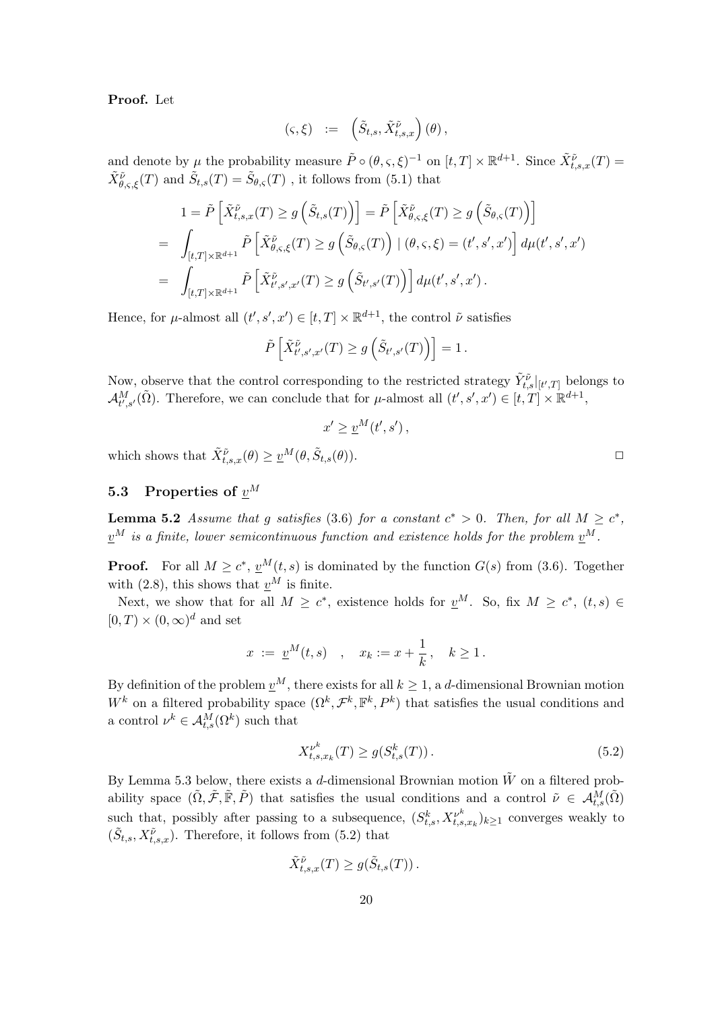Proof. Let

$$
(\varsigma,\xi) \ := \ \left(\tilde{S}_{t,s}, \tilde{X}^{\tilde{\nu}}_{t,s,x}\right)(\theta)\,,
$$

and denote by  $\mu$  the probability measure  $\tilde{P} \circ (\theta, \varsigma, \xi)^{-1}$  on  $[t, T] \times \mathbb{R}^{d+1}$ . Since  $\tilde{X}_{t,s,x}^{\tilde{\nu}}(T)$  =  $\tilde{X}_{\theta,\varsigma,\xi}^{\tilde{\nu}}(T)$  and  $\tilde{S}_{t,s}(T) = \tilde{S}_{\theta,\varsigma}(T)$ , it follows from (5.1) that

$$
1 = \tilde{P}\left[\tilde{X}_{t,s,x}^{\tilde{\nu}}(T) \ge g\left(\tilde{S}_{t,s}(T)\right)\right] = \tilde{P}\left[\tilde{X}_{\theta,s,\xi}^{\tilde{\nu}}(T) \ge g\left(\tilde{S}_{\theta,\varsigma}(T)\right)\right]
$$
  
\n
$$
= \int_{[t,T] \times \mathbb{R}^{d+1}} \tilde{P}\left[\tilde{X}_{\theta,s,\xi}^{\tilde{\nu}}(T) \ge g\left(\tilde{S}_{\theta,\varsigma}(T)\right) \mid (\theta,\varsigma,\xi) = (t',s',x')\right] d\mu(t',s',x')
$$
  
\n
$$
= \int_{[t,T] \times \mathbb{R}^{d+1}} \tilde{P}\left[\tilde{X}_{t',s',x'}^{\tilde{\nu}}(T) \ge g\left(\tilde{S}_{t',s'}(T)\right)\right] d\mu(t',s',x').
$$

Hence, for  $\mu$ -almost all  $(t', s', x') \in [t, T] \times \mathbb{R}^{d+1}$ , the control  $\tilde{\nu}$  satisfies

$$
\tilde{P}\left[\tilde{X}^{\tilde{\nu}}_{t',s',x'}(T) \ge g\left(\tilde{S}_{t',s'}(T)\right)\right] = 1.
$$

Now, observe that the control corresponding to the restricted strategy  $\tilde{Y}_{t,s}^{\tilde{\nu}}|_{[t',T]}$  belongs to  $\mathcal{A}_{t',s'}^M(\tilde{\Omega})$ . Therefore, we can conclude that for  $\mu$ -almost all  $(t',s',x') \in [t,T] \times \mathbb{R}^{d+1}$ ,

$$
x' \ge \underline{v}^M(t',s')
$$

which shows that  $\tilde{X}_{t,s,x}^{\tilde{\nu}}(\theta) \geq \underline{v}^M(\theta, \tilde{S}_{t,s}(\theta)).$ 

# 5.3 Properties of  $v^M$

**Lemma 5.2** Assume that g satisfies (3.6) for a constant  $c^* > 0$ . Then, for all  $M \geq c^*$ ,  $\underline{v}^M$  is a finite, lower semicontinuous function and existence holds for the problem  $\underline{v}^M$ .

**Proof.** For all  $M \geq c^*$ ,  $\underline{v}^M(t,s)$  is dominated by the function  $G(s)$  from (3.6). Together with (2.8), this shows that  $v^M$  is finite.

Next, we show that for all  $M \geq c^*$ , existence holds for  $v^M$ . So, fix  $M \geq c^*$ ,  $(t, s) \in$  $[0, T] \times (0, \infty)^d$  and set

$$
x := \underline{v}^M(t,s)
$$
,  $x_k := x + \frac{1}{k}$ ,  $k \ge 1$ .

By definition of the problem  $\underline{v}^M$ , there exists for all  $k \geq 1$ , a d-dimensional Brownian motion W<sup>k</sup> on a filtered probability space  $(\Omega^k, \mathcal{F}^k, \mathbb{F}^k, P^k)$  that satisfies the usual conditions and a control  $\nu^k \in \mathcal{A}_{t,s}^M(\Omega^k)$  such that

$$
X_{t,s,x_k}^{\nu^k}(T) \ge g(S_{t,s}^k(T)).
$$
\n(5.2)

By Lemma 5.3 below, there exists a d-dimensional Brownian motion  $\tilde{W}$  on a filtered probability space  $(\tilde{\Omega}, \tilde{\mathcal{F}}, \tilde{\mathbb{F}}, \tilde{P})$  that satisfies the usual conditions and a control  $\tilde{\nu} \in \mathcal{A}_{t,s}^M(\tilde{\Omega})$ such that, possibly after passing to a subsequence,  $(S_{t,s}^k, X_{t,s,x_k}^{\nu^k})_{k\geq 1}$  converges weakly to  $(\tilde{S}_{t,s}, X_{t,s,x}^{\tilde{\nu}})$ . Therefore, it follows from (5.2) that

$$
\tilde{X}_{t,s,x}^{\tilde{\nu}}(T) \ge g(\tilde{S}_{t,s}(T)).
$$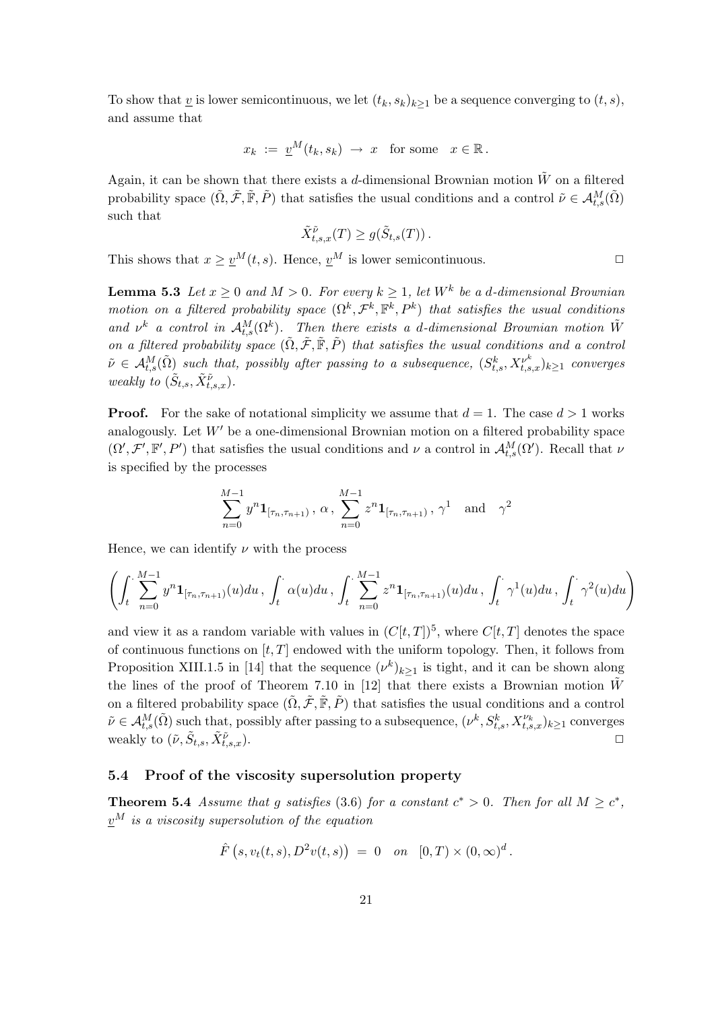To show that <u>v</u> is lower semicontinuous, we let  $(t_k, s_k)_{k\geq 1}$  be a sequence converging to  $(t, s)$ , and assume that

$$
x_k := \underline{v}^M(t_k, s_k) \rightarrow x
$$
 for some  $x \in \mathbb{R}$ .

Again, it can be shown that there exists a d-dimensional Brownian motion  $\tilde{W}$  on a filtered probability space  $(\tilde{\Omega}, \tilde{\mathcal{F}}, \tilde{\mathbb{F}}, \tilde{P})$  that satisfies the usual conditions and a control  $\tilde{\nu} \in \mathcal{A}_{t,s}^M(\tilde{\Omega})$ such that

$$
\tilde{X}_{t,s,x}^{\tilde{\nu}}(T) \ge g(\tilde{S}_{t,s}(T)).
$$

This shows that  $x \ge v^M(t, s)$ . Hence,  $v^M$  is lower semicontinuous.

**Lemma 5.3** Let  $x \ge 0$  and  $M > 0$ . For every  $k \ge 1$ , let  $W^k$  be a d-dimensional Brownian motion on a filtered probability space  $(\Omega^k, \mathcal{F}^k, \mathbb{F}^k, P^k)$  that satisfies the usual conditions and  $\nu^k$  a control in  $\mathcal{A}_{t,s}^M(\Omega^k)$ . Then there exists a d-dimensional Brownian motion  $\tilde{W}$ on a filtered probability space  $(\tilde{\Omega}, \tilde{\mathcal{F}}, \tilde{\mathbb{F}}, \tilde{P})$  that satisfies the usual conditions and a control  $\tilde{\nu} \in \mathcal{A}_{t,s}^M(\tilde{\Omega})$  such that, possibly after passing to a subsequence,  $(S_{t,s}^k, X_{t,s,x}^{\nu^k})_{k\geq 1}$  converges weakly to  $(\tilde{S}_{t,s}, \tilde{X}_{t,s,x}^{\tilde{\nu}})$ .

**Proof.** For the sake of notational simplicity we assume that  $d = 1$ . The case  $d > 1$  works analogously. Let  $W'$  be a one-dimensional Brownian motion on a filtered probability space  $(\Omega', \mathcal{F}', \mathbb{F}', P')$  that satisfies the usual conditions and  $\nu$  a control in  $\mathcal{A}_{t,s}^M(\Omega')$ . Recall that  $\nu$ is specified by the processes

$$
\sum_{n=0}^{M-1} y^n \mathbf{1}_{[\tau_n, \tau_{n+1})}, \alpha, \sum_{n=0}^{M-1} z^n \mathbf{1}_{[\tau_n, \tau_{n+1})}, \gamma^1 \text{ and } \gamma^2
$$

Hence, we can identify  $\nu$  with the process

$$
\left(\int_t \sum_{n=0}^{M-1} y^n \mathbf{1}_{[\tau_n,\tau_{n+1})}(u) du, \int_t \alpha(u) du, \int_t \sum_{n=0}^{M-1} z^n \mathbf{1}_{[\tau_n,\tau_{n+1})}(u) du, \int_t \gamma^1(u) du, \int_t \gamma^2(u) du\right)
$$

and view it as a random variable with values in  $(C[t, T])^5$ , where  $C[t, T]$  denotes the space of continuous functions on  $[t, T]$  endowed with the uniform topology. Then, it follows from Proposition XIII.1.5 in [14] that the sequence  $(\nu^k)_{k\geq 1}$  is tight, and it can be shown along the lines of the proof of Theorem 7.10 in [12] that there exists a Brownian motion  $\tilde{W}$ on a filtered probability space  $(\tilde{\Omega}, \tilde{\mathcal{F}}, \tilde{\mathbb{F}}, \tilde{P})$  that satisfies the usual conditions and a control  $\tilde{\nu} \in \mathcal{A}_{t,s}^M(\tilde{\Omega})$  such that, possibly after passing to a subsequence,  $(\nu^k, S_{t,s}^k, X_{t,s,x}^{\nu_k})_{k\geq 1}$  converges weakly to  $(\tilde{\nu}, \tilde{S}_{t,s}, \tilde{X}_{t,s}^{\tilde{\nu}})$  $\overrightarrow{v}_{t,s,x}$ ).

## 5.4 Proof of the viscosity supersolution property

**Theorem 5.4** Assume that g satisfies (3.6) for a constant  $c^* > 0$ . Then for all  $M \geq c^*$ ,  $v^M$  is a viscosity supersolution of the equation

$$
\hat{F}(s, v_t(t, s), D^2v(t, s)) = 0
$$
 on  $[0, T) \times (0, \infty)^d$ .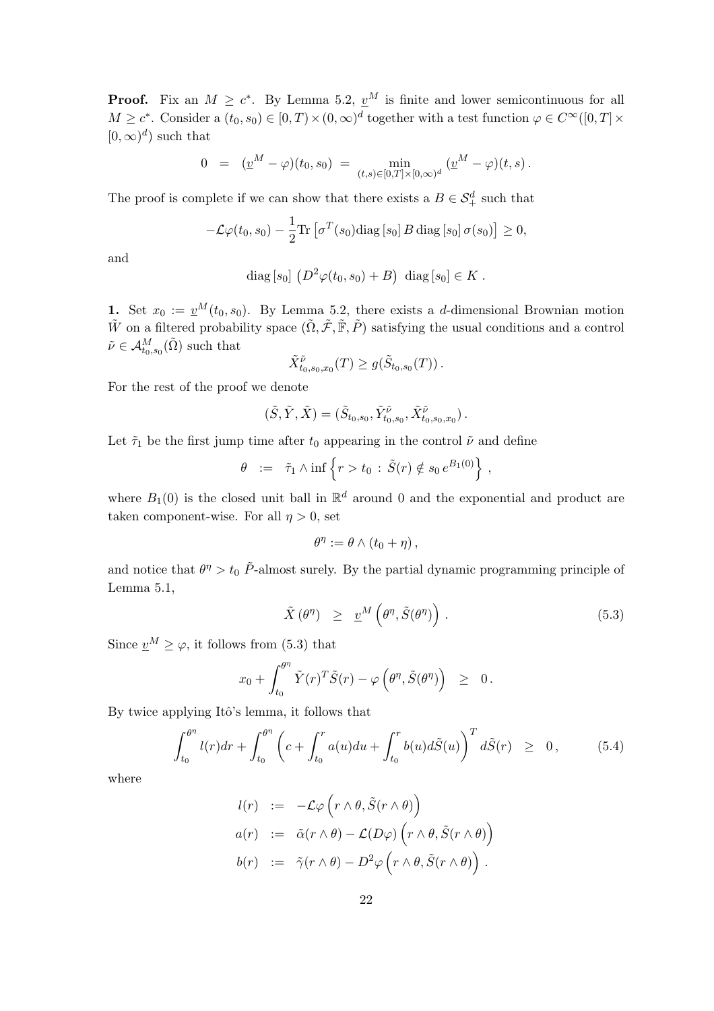**Proof.** Fix an  $M \geq c^*$ . By Lemma 5.2,  $v^M$  is finite and lower semicontinuous for all  $M \geq c^*$ . Consider a  $(t_0, s_0) \in [0, T) \times (0, \infty)^d$  together with a test function  $\varphi \in C^{\infty}([0, T] \times$  $[0,\infty)^d$  such that

$$
0 = (\underline{v}^M - \varphi)(t_0, s_0) = \min_{(t,s) \in [0,T] \times [0,\infty)^d} (\underline{v}^M - \varphi)(t,s).
$$

The proof is complete if we can show that there exists a  $B \in \mathcal{S}_+^d$  such that

$$
-\mathcal{L}\varphi(t_0,s_0)-\frac{1}{2}\text{Tr}\left[\sigma^T(s_0)\text{diag}\left[s_0\right]B\,\text{diag}\left[s_0\right]\sigma(s_0)\right]\geq 0,
$$

and

diag [s<sub>0</sub>] 
$$
(D^2 \varphi(t_0, s_0) + B)
$$
 diag [s<sub>0</sub>]  $\in K$ .

1. Set  $x_0 := \underline{v}^M(t_0, s_0)$ . By Lemma 5.2, there exists a d-dimensional Brownian motion  $\tilde{W}$  on a filtered probability space  $(\tilde{\Omega}, \tilde{\mathcal{F}}, \tilde{\mathbb{F}}, \tilde{P})$  satisfying the usual conditions and a control  $\tilde{\nu} \in \mathcal{A}^M_{t_0, s_0}(\tilde{\Omega})$  such that

$$
\tilde{X}^{\tilde{\nu}}_{t_0,s_0,x_0}(T) \ge g(\tilde{S}_{t_0,s_0}(T)).
$$

For the rest of the proof we denote

$$
(\tilde{S},\tilde{Y},\tilde{X})=(\tilde{S}_{t_0,s_0},\tilde{Y}^{\tilde{\nu}}_{t_0,s_0},\tilde{X}^{\tilde{\nu}}_{t_0,s_0,x_0})\,.
$$

Let  $\tilde{\tau}_1$  be the first jump time after  $t_0$  appearing in the control  $\tilde{\nu}$  and define

$$
\theta \ := \ \tilde{\tau}_1 \wedge \inf \left\{ r > t_0 \, : \, \tilde{S}(r) \notin s_0 \, e^{B_1(0)} \right\} \, ,
$$

where  $B_1(0)$  is the closed unit ball in  $\mathbb{R}^d$  around 0 and the exponential and product are taken component-wise. For all  $\eta > 0$ , set

$$
\theta^{\eta} := \theta \wedge (t_0 + \eta) ,
$$

and notice that  $\theta^{\eta} > t_0 \tilde{P}$ -almost surely. By the partial dynamic programming principle of Lemma 5.1,

$$
\tilde{X}(\theta^{\eta}) \geq \underline{v}^{M}(\theta^{\eta}, \tilde{S}(\theta^{\eta})) \qquad (5.3)
$$

Since  $\underline{v}^M \geq \varphi$ , it follows from (5.3) that

$$
x_0 + \int_{t_0}^{\theta^{\eta}} \tilde{Y}(r)^T \tilde{S}(r) - \varphi\left(\theta^{\eta}, \tilde{S}(\theta^{\eta})\right) \geq 0.
$$

By twice applying Itô's lemma, it follows that

$$
\int_{t_0}^{\theta^{\eta}} l(r) dr + \int_{t_0}^{\theta^{\eta}} \left( c + \int_{t_0}^r a(u) du + \int_{t_0}^r b(u) d\tilde{S}(u) \right)^T d\tilde{S}(r) \geq 0, \qquad (5.4)
$$

where

$$
l(r) := -\mathcal{L}\varphi\left(r \wedge \theta, \tilde{S}(r \wedge \theta)\right)
$$
  
\n
$$
a(r) := \tilde{\alpha}(r \wedge \theta) - \mathcal{L}(D\varphi)\left(r \wedge \theta, \tilde{S}(r \wedge \theta)\right)
$$
  
\n
$$
b(r) := \tilde{\gamma}(r \wedge \theta) - D^2\varphi\left(r \wedge \theta, \tilde{S}(r \wedge \theta)\right).
$$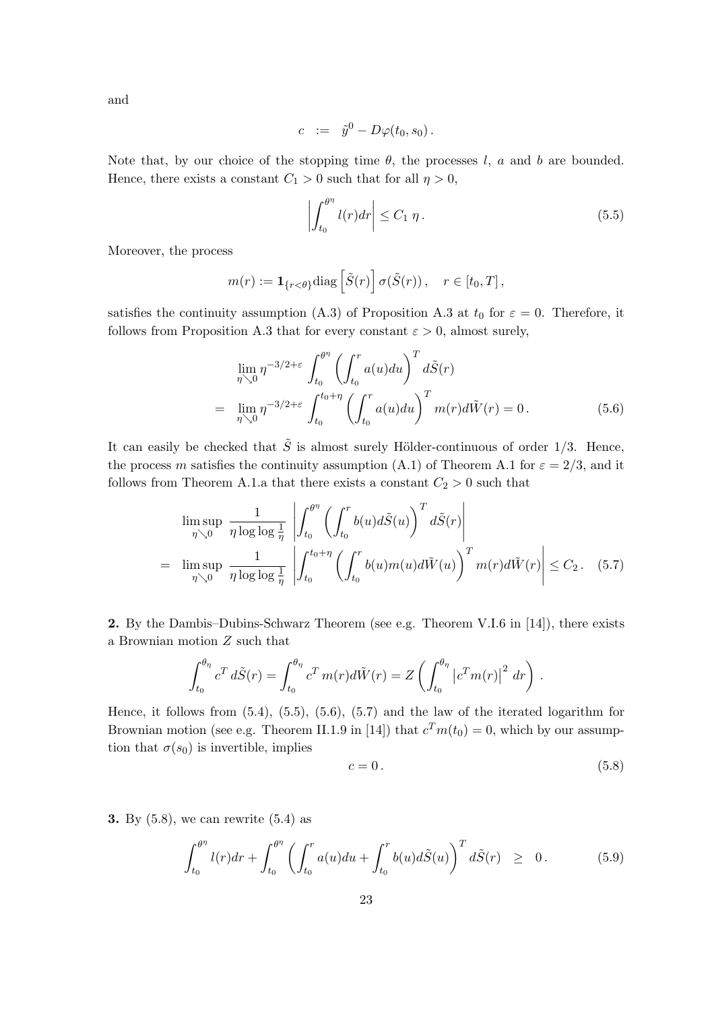and

$$
c := \tilde{y}^0 - D\varphi(t_0, s_0).
$$

Note that, by our choice of the stopping time  $\theta$ , the processes l, a and b are bounded. Hence, there exists a constant  $C_1 > 0$  such that for all  $\eta > 0$ ,

$$
\left| \int_{t_0}^{\theta^{\eta}} l(r) dr \right| \le C_1 \eta. \tag{5.5}
$$

Moreover, the process

$$
m(r) := \mathbf{1}_{\{r < \theta\}} \text{diag}\left[\tilde{S}(r)\right] \sigma(\tilde{S}(r)), \quad r \in [t_0, T],
$$

satisfies the continuity assumption (A.3) of Proposition A.3 at  $t_0$  for  $\varepsilon = 0$ . Therefore, it follows from Proposition A.3 that for every constant  $\varepsilon > 0$ , almost surely,

$$
\lim_{\eta \searrow 0} \eta^{-3/2 + \varepsilon} \int_{t_0}^{\theta^{\eta}} \left( \int_{t_0}^r a(u) du \right)^T d\tilde{S}(r) \n= \lim_{\eta \searrow 0} \eta^{-3/2 + \varepsilon} \int_{t_0}^{t_0 + \eta} \left( \int_{t_0}^r a(u) du \right)^T m(r) d\tilde{W}(r) = 0.
$$
\n(5.6)

It can easily be checked that  $\tilde{S}$  is almost surely Hölder-continuous of order 1/3. Hence, the process m satisfies the continuity assumption (A.1) of Theorem A.1 for  $\varepsilon = 2/3$ , and it follows from Theorem A.1.a that there exists a constant  $C_2 > 0$  such that

$$
\limsup_{\eta \searrow 0} \frac{1}{\eta \log \log \frac{1}{\eta}} \left| \int_{t_0}^{\theta^{\eta}} \left( \int_{t_0}^r b(u) d\tilde{S}(u) \right)^T d\tilde{S}(r) \right|
$$
\n
$$
= \limsup_{\eta \searrow 0} \frac{1}{\eta \log \log \frac{1}{\eta}} \left| \int_{t_0}^{t_0 + \eta} \left( \int_{t_0}^r b(u) m(u) d\tilde{W}(u) \right)^T m(r) d\tilde{W}(r) \right| \leq C_2. (5.7)
$$

2. By the Dambis–Dubins-Schwarz Theorem (see e.g. Theorem V.I.6 in [14]), there exists a Brownian motion Z such that

$$
\int_{t_0}^{\theta_{\eta}} c^T d\tilde{S}(r) = \int_{t_0}^{\theta_{\eta}} c^T m(r) d\tilde{W}(r) = Z \left( \int_{t_0}^{\theta_{\eta}} \left| c^T m(r) \right|^2 dr \right).
$$

Hence, it follows from (5.4), (5.5), (5.6), (5.7) and the law of the iterated logarithm for Brownian motion (see e.g. Theorem II.1.9 in [14]) that  $c<sup>T</sup>m(t<sub>0</sub>) = 0$ , which by our assumption that  $\sigma(s_0)$  is invertible, implies

$$
c = 0.\t\t(5.8)
$$

3. By (5.8), we can rewrite (5.4) as

$$
\int_{t_0}^{\theta^{\eta}} l(r) dr + \int_{t_0}^{\theta^{\eta}} \left( \int_{t_0}^r a(u) du + \int_{t_0}^r b(u) d\tilde{S}(u) \right)^T d\tilde{S}(r) \geq 0. \tag{5.9}
$$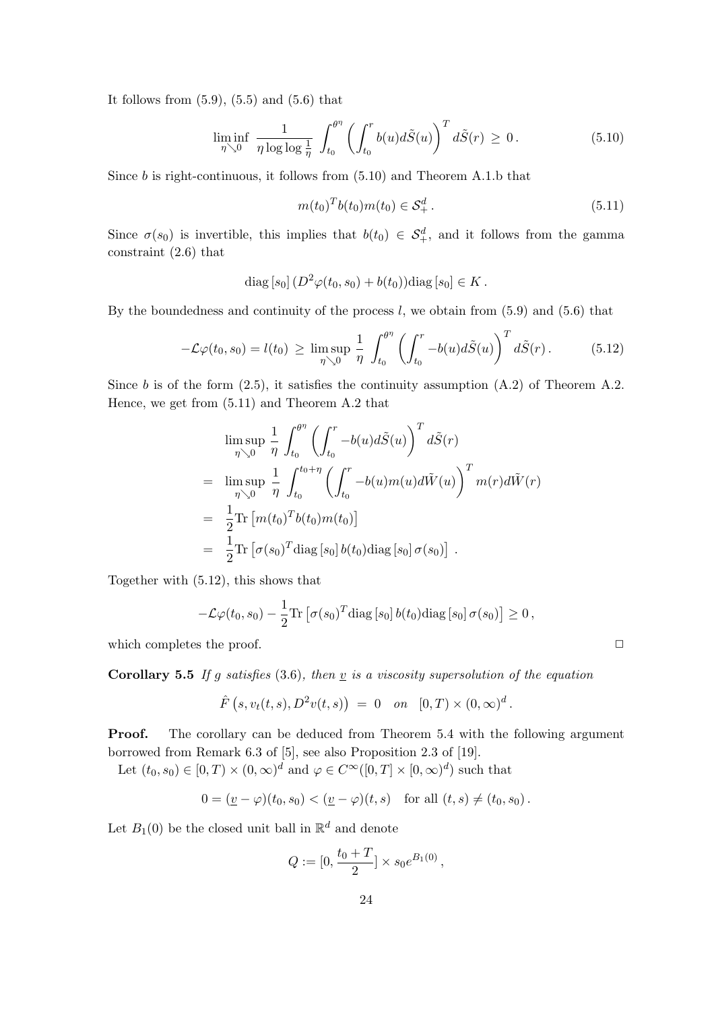It follows from  $(5.9)$ ,  $(5.5)$  and  $(5.6)$  that

$$
\liminf_{\eta \searrow 0} \frac{1}{\eta \log \log \frac{1}{\eta}} \int_{t_0}^{\theta^{\eta}} \left( \int_{t_0}^r b(u) d\tilde{S}(u) \right)^T d\tilde{S}(r) \ge 0.
$$
 (5.10)

Since  $b$  is right-continuous, it follows from  $(5.10)$  and Theorem A.1.b that

$$
m(t_0)^T b(t_0) m(t_0) \in \mathcal{S}_+^d. \tag{5.11}
$$

Since  $\sigma(s_0)$  is invertible, this implies that  $b(t_0) \in S^d_+$ , and it follows from the gamma constraint (2.6) that

diag [s<sub>0</sub>] 
$$
(D^2 \varphi(t_0, s_0) + b(t_0))
$$
diag [s<sub>0</sub>]  $\in K$ .

By the boundedness and continuity of the process  $l$ , we obtain from  $(5.9)$  and  $(5.6)$  that

$$
-\mathcal{L}\varphi(t_0, s_0) = l(t_0) \ge \limsup_{\eta \searrow 0} \frac{1}{\eta} \int_{t_0}^{\theta^{\eta}} \left( \int_{t_0}^r -b(u) d\tilde{S}(u) \right)^T d\tilde{S}(r).
$$
 (5.12)

Since b is of the form  $(2.5)$ , it satisfies the continuity assumption  $(A.2)$  of Theorem A.2. Hence, we get from (5.11) and Theorem A.2 that

$$
\limsup_{\eta \searrow 0} \frac{1}{\eta} \int_{t_0}^{\theta^{\eta}} \left( \int_{t_0}^r -b(u) d\tilde{S}(u) \right)^T d\tilde{S}(r)
$$
\n
$$
= \limsup_{\eta \searrow 0} \frac{1}{\eta} \int_{t_0}^{t_0 + \eta} \left( \int_{t_0}^r -b(u) m(u) d\tilde{W}(u) \right)^T m(r) d\tilde{W}(r)
$$
\n
$$
= \frac{1}{2} \text{Tr} \left[ m(t_0)^T b(t_0) m(t_0) \right]
$$
\n
$$
= \frac{1}{2} \text{Tr} \left[ \sigma(s_0)^T \text{diag} \left[ s_0 \right] b(t_0) \text{diag} \left[ s_0 \right] \sigma(s_0) \right].
$$

Together with (5.12), this shows that

$$
-\mathcal{L}\varphi(t_0,s_0)-\frac{1}{2}\text{Tr}\left[\sigma(s_0)^T\text{diag}\left[s_0\right]b(t_0)\text{diag}\left[s_0\right]\sigma(s_0)\right]\geq 0\,,
$$

which completes the proof.

**Corollary 5.5** If g satisfies (3.6), then  $\underline{v}$  is a viscosity supersolution of the equation

$$
\hat{F}(s, v_t(t, s), D^2v(t, s)) = 0
$$
 on  $[0, T) \times (0, \infty)^d$ .

**Proof.** The corollary can be deduced from Theorem 5.4 with the following argument borrowed from Remark 6.3 of [5], see also Proposition 2.3 of [19].

Let  $(t_0, s_0) \in [0, T) \times (0, \infty)^d$  and  $\varphi \in C^{\infty}([0, T] \times [0, \infty)^d)$  such that

$$
0 = (\underline{v} - \varphi)(t_0, s_0) < (\underline{v} - \varphi)(t, s) \quad \text{for all } (t, s) \neq (t_0, s_0).
$$

Let  $B_1(0)$  be the closed unit ball in  $\mathbb{R}^d$  and denote

$$
Q := [0, \frac{t_0 + T}{2}] \times s_0 e^{B_1(0)},
$$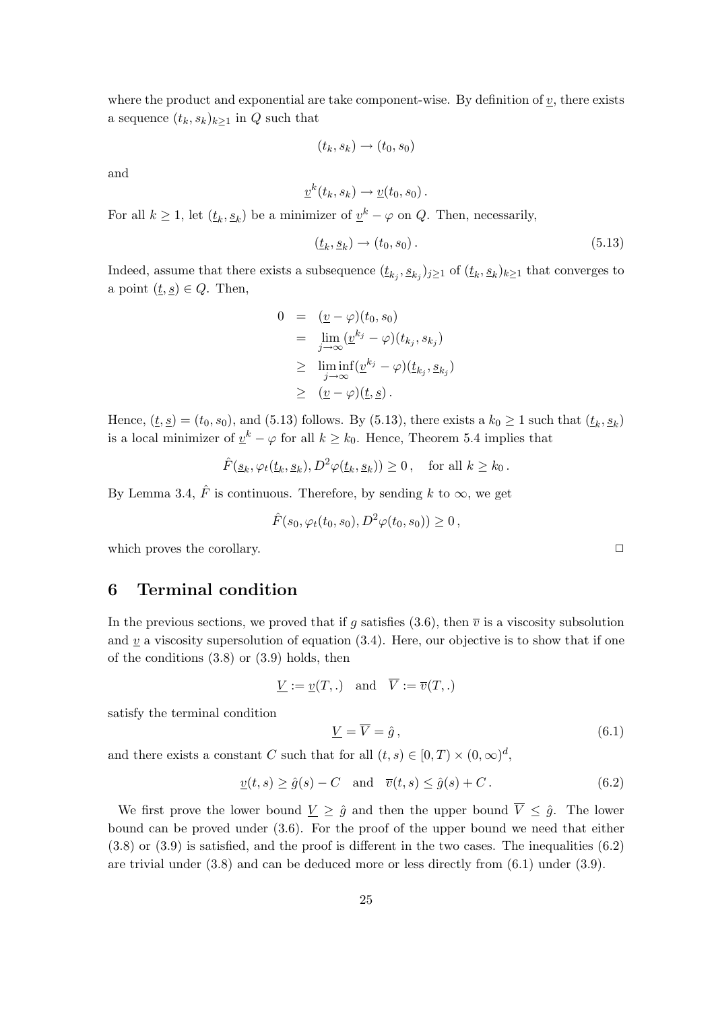where the product and exponential are take component-wise. By definition of  $v$ , there exists a sequence  $(t_k, s_k)_{k\geq 1}$  in Q such that

$$
(t_k, s_k) \rightarrow (t_0, s_0)
$$

and

$$
\underline{v}^k(t_k, s_k) \to \underline{v}(t_0, s_0) .
$$

For all  $k \geq 1$ , let  $(\underline{t}_k, \underline{s}_k)$  be a minimizer of  $\underline{v}^k - \varphi$  on  $Q$ . Then, necessarily,

$$
(\underline{t}_k, \underline{s}_k) \to (t_0, s_0). \tag{5.13}
$$

Indeed, assume that there exists a subsequence  $(t_{k_j}, s_{k_j})_{j\geq 1}$  of  $(t_k, s_k)_{k\geq 1}$  that converges to a point  $(\underline{t}, \underline{s}) \in Q$ . Then,

$$
0 = (\underline{v} - \varphi)(t_0, s_0)
$$
  
\n
$$
= \lim_{j \to \infty} (\underline{v}^{k_j} - \varphi)(t_{k_j}, s_{k_j})
$$
  
\n
$$
\geq \liminf_{j \to \infty} (\underline{v}^{k_j} - \varphi)(t_{k_j}, s_{k_j})
$$
  
\n
$$
\geq (\underline{v} - \varphi)(t, \underline{s}).
$$

Hence,  $(\underline{t}, \underline{s}) = (t_0, s_0)$ , and (5.13) follows. By (5.13), there exists a  $k_0 \ge 1$  such that  $(\underline{t}_k, \underline{s}_k)$ is a local minimizer of  $\underline{v}^k - \varphi$  for all  $k \geq k_0$ . Hence, Theorem 5.4 implies that

$$
\hat{F}(\underline{s}_k, \varphi_t(\underline{t}_k, \underline{s}_k), D^2 \varphi(\underline{t}_k, \underline{s}_k)) \ge 0, \quad \text{for all } k \ge k_0.
$$

By Lemma 3.4,  $\hat{F}$  is continuous. Therefore, by sending k to  $\infty$ , we get

$$
\hat{F}(s_0, \varphi_t(t_0, s_0), D^2 \varphi(t_0, s_0)) \geq 0,
$$

which proves the corollary.  $\Box$ 

# 6 Terminal condition

In the previous sections, we proved that if g satisfies (3.6), then  $\bar{v}$  is a viscosity subsolution and  $v$  a viscosity supersolution of equation (3.4). Here, our objective is to show that if one of the conditions (3.8) or (3.9) holds, then

$$
\underline{V} := \underline{v}(T,.) \quad \text{and} \quad \overline{V} := \overline{v}(T,.)
$$

satisfy the terminal condition

$$
\underline{V} = \overline{V} = \hat{g},\tag{6.1}
$$

and there exists a constant C such that for all  $(t, s) \in [0, T) \times (0, \infty)^d$ ,

$$
\underline{v}(t,s) \ge \hat{g}(s) - C \quad \text{and} \quad \overline{v}(t,s) \le \hat{g}(s) + C. \tag{6.2}
$$

We first prove the lower bound  $\underline{V} \geq \hat{g}$  and then the upper bound  $\overline{V} \leq \hat{g}$ . The lower bound can be proved under (3.6). For the proof of the upper bound we need that either (3.8) or (3.9) is satisfied, and the proof is different in the two cases. The inequalities (6.2) are trivial under (3.8) and can be deduced more or less directly from (6.1) under (3.9).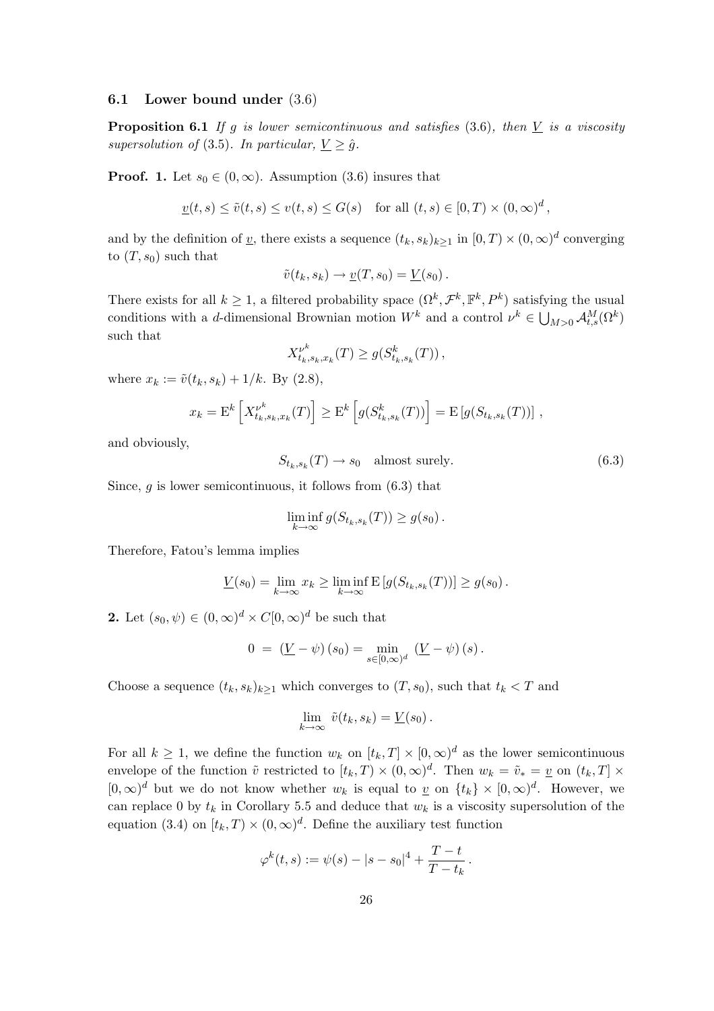## 6.1 Lower bound under (3.6)

**Proposition 6.1** If g is lower semicontinuous and satisfies  $(3.6)$ , then  $\underline{V}$  is a viscosity supersolution of (3.5). In particular,  $\underline{V} \geq \hat{g}$ .

**Proof.** 1. Let  $s_0 \in (0, \infty)$ . Assumption (3.6) insures that

$$
\underline{v}(t,s) \le \tilde{v}(t,s) \le v(t,s) \le G(s) \quad \text{for all } (t,s) \in [0,T) \times (0,\infty)^d,
$$

and by the definition of <u>v</u>, there exists a sequence  $(t_k, s_k)_{k\geq 1}$  in  $[0, T) \times (0, \infty)^d$  converging to  $(T, s_0)$  such that

$$
\tilde{v}(t_k, s_k) \to \underline{v}(T, s_0) = \underline{V}(s_0).
$$

There exists for all  $k \geq 1$ , a filtered probability space  $(\Omega^k, \mathcal{F}^k, \mathbb{F}^k, P^k)$  satisfying the usual conditions with a d-dimensional Brownian motion  $W^k$  and a control  $\nu^k \in \bigcup_{M>0} \mathcal{A}_{t,s}^M(\Omega^k)$ such that

$$
X_{t_k,s_k,x_k}^{\nu^k}(T) \ge g(S_{t_k,s_k}^k(T)),
$$

where  $x_k := \tilde{v}(t_k, s_k) + 1/k$ . By (2.8),

$$
x_k = \mathcal{E}^k \left[ X_{t_k, s_k, x_k}^{\nu^k}(T) \right] \ge \mathcal{E}^k \left[ g(S_{t_k, s_k}^k(T)) \right] = \mathcal{E} \left[ g(S_{t_k, s_k}(T)) \right],
$$

and obviously,

$$
S_{t_k, s_k}(T) \to s_0 \quad \text{almost surely.} \tag{6.3}
$$

Since,  $g$  is lower semicontinuous, it follows from  $(6.3)$  that

$$
\liminf_{k \to \infty} g(S_{t_k,s_k}(T)) \ge g(s_0).
$$

Therefore, Fatou's lemma implies

$$
\underline{V}(s_0) = \lim_{k \to \infty} x_k \ge \liminf_{k \to \infty} \mathbb{E}\left[g(S_{t_k,s_k}(T))\right] \ge g(s_0).
$$

2. Let  $(s_0, \psi) \in (0, \infty)^d \times C[0, \infty)^d$  be such that

$$
0 = (\underline{V} - \psi)(s_0) = \min_{s \in [0,\infty)^d} (\underline{V} - \psi)(s).
$$

Choose a sequence  $(t_k, s_k)_{k\geq 1}$  which converges to  $(T, s_0)$ , such that  $t_k < T$  and

$$
\lim_{k \to \infty} \tilde{v}(t_k, s_k) = \underline{V}(s_0).
$$

For all  $k \geq 1$ , we define the function  $w_k$  on  $[t_k, T] \times [0, \infty)^d$  as the lower semicontinuous envelope of the function  $\tilde{v}$  restricted to  $[t_k, T] \times (0, \infty)^d$ . Then  $w_k = \tilde{v}_* = \underline{v}$  on  $(t_k, T] \times$  $[0,\infty)^d$  but we do not know whether  $w_k$  is equal to  $\underline{v}$  on  $\{t_k\} \times [0,\infty)^d$ . However, we can replace 0 by  $t_k$  in Corollary 5.5 and deduce that  $w_k$  is a viscosity supersolution of the equation (3.4) on  $[t_k, T] \times (0, \infty)^d$ . Define the auxiliary test function

$$
\varphi^k(t,s) := \psi(s) - |s - s_0|^4 + \frac{T - t}{T - t_k}.
$$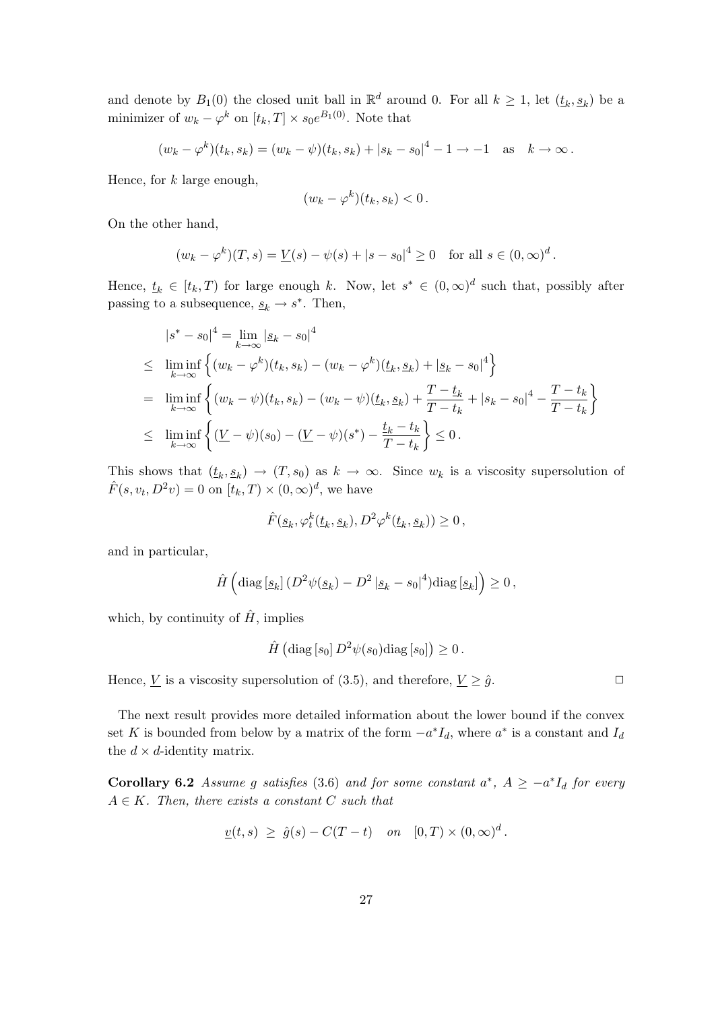and denote by  $B_1(0)$  the closed unit ball in  $\mathbb{R}^d$  around 0. For all  $k \geq 1$ , let  $(t_k, s_k)$  be a minimizer of  $w_k - \varphi^k$  on  $[t_k, T] \times s_0 e^{B_1(0)}$ . Note that

$$
(w_k - \varphi^k)(t_k, s_k) = (w_k - \psi)(t_k, s_k) + |s_k - s_0|^4 - 1 \to -1 \text{ as } k \to \infty.
$$

Hence, for  $k$  large enough,

$$
(w_k - \varphi^k)(t_k, s_k) < 0.
$$

On the other hand,

$$
(w_k - \varphi^k)(T, s) = \underline{V}(s) - \psi(s) + |s - s_0|^4 \ge 0 \text{ for all } s \in (0, \infty)^d.
$$

Hence,  $\underline{t}_k \in [t_k, T)$  for large enough k. Now, let  $s^* \in (0, \infty)^d$  such that, possibly after passing to a subsequence,  $\underline{s}_k \to s^*$ . Then,

$$
|s^* - s_0|^4 = \lim_{k \to \infty} |s_k - s_0|^4
$$
  
\n
$$
\leq \liminf_{k \to \infty} \left\{ (w_k - \varphi^k)(t_k, s_k) - (w_k - \varphi^k)(t_k, s_k) + |s_k - s_0|^4 \right\}
$$
  
\n
$$
= \liminf_{k \to \infty} \left\{ (w_k - \psi)(t_k, s_k) - (w_k - \psi)(t_k, s_k) + \frac{T - t_k}{T - t_k} + |s_k - s_0|^4 - \frac{T - t_k}{T - t_k} \right\}
$$
  
\n
$$
\leq \liminf_{k \to \infty} \left\{ \frac{(\underline{V} - \psi)(s_0) - (\underline{V} - \psi)(s^*) - \frac{t_k - t_k}{T - t_k} \right\} \leq 0.
$$

This shows that  $(t_k, s_k) \to (T, s_0)$  as  $k \to \infty$ . Since  $w_k$  is a viscosity supersolution of  $\hat{F}(s, v_t, D^2 v) = 0$  on  $[t_k, T) \times (0, \infty)^d$ , we have

$$
\hat{F}(\underline{s}_k,\varphi_t^k(\underline{t}_k,\underline{s}_k),D^2\varphi^k(\underline{t}_k,\underline{s}_k))\geq 0\,,
$$

and in particular,

$$
\hat{H}\left(\text{diag}\left[\underline{s}_k\right](D^2\psi(\underline{s}_k) - D^2\left|\underline{s}_k - s_0\right|^4)\text{diag}\left[\underline{s}_k\right]\right) \geq 0,
$$

which, by continuity of  $\hat{H}$ , implies

$$
\hat{H}\left(\text{diag}\left[s_0\right]D^2\psi(s_0)\text{diag}\left[s_0\right]\right)\geq 0\,.
$$

Hence,  $\underline{V}$  is a viscosity supersolution of (3.5), and therefore,  $\underline{V} \geq \hat{g}$ .

The next result provides more detailed information about the lower bound if the convex set K is bounded from below by a matrix of the form  $-a<sup>*</sup>I<sub>d</sub>$ , where  $a<sup>*</sup>$  is a constant and  $I<sub>d</sub>$ the  $d \times d$ -identity matrix.

**Corollary 6.2** Assume g satisfies (3.6) and for some constant  $a^*$ ,  $A \ge -a^*I_d$  for every  $A \in K$ . Then, there exists a constant C such that

$$
\underline{v}(t,s) \geq \hat{g}(s) - C(T-t) \quad on \quad [0,T) \times (0,\infty)^d.
$$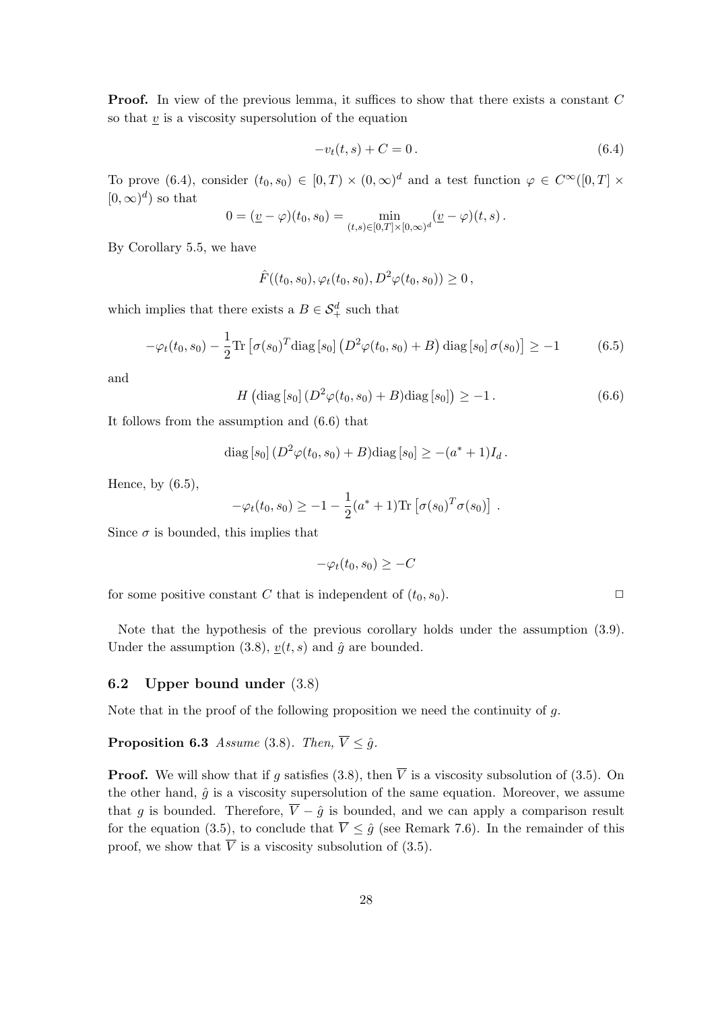**Proof.** In view of the previous lemma, it suffices to show that there exists a constant C so that  $v$  is a viscosity supersolution of the equation

$$
-v_t(t,s) + C = 0.
$$
\n(6.4)

To prove (6.4), consider  $(t_0, s_0) \in [0, T) \times (0, \infty)^d$  and a test function  $\varphi \in C^{\infty}([0, T] \times$  $[0,\infty)^d$  so that

$$
0 = (\underline{v} - \varphi)(t_0, s_0) = \min_{(t,s) \in [0,T] \times [0,\infty)^d} (\underline{v} - \varphi)(t,s).
$$

By Corollary 5.5, we have

 $\hat{F}((t_0, s_0), \varphi_t(t_0, s_0), D^2 \varphi(t_0, s_0)) > 0$ ,

which implies that there exists a  $B \in \mathcal{S}_{+}^{d}$  such that

$$
-\varphi_t(t_0, s_0) - \frac{1}{2} \text{Tr} \left[ \sigma(s_0)^T \text{diag} \left[ s_0 \right] \left( D^2 \varphi(t_0, s_0) + B \right) \text{diag} \left[ s_0 \right] \sigma(s_0) \right] \ge -1 \tag{6.5}
$$

and

$$
H\left(\text{diag}\left[s_0\right] \left(D^2 \varphi(t_0, s_0) + B\right) \text{diag}\left[s_0\right]\right) \ge -1. \tag{6.6}
$$

It follows from the assumption and (6.6) that

diag [s<sub>0</sub>] 
$$
(D^2 \varphi(t_0, s_0) + B)
$$
diag [s<sub>0</sub>]  $\geq -(a^* + 1)I_d$ .

Hence, by (6.5),

$$
-\varphi_t(t_0, s_0) \geq -1 - \frac{1}{2}(a^* + 1)\text{Tr}\left[\sigma(s_0)^T \sigma(s_0)\right].
$$

Since  $\sigma$  is bounded, this implies that

$$
-\varphi_t(t_0, s_0) \ge -C
$$

for some positive constant C that is independent of  $(t_0, s_0)$ .

Note that the hypothesis of the previous corollary holds under the assumption (3.9). Under the assumption (3.8),  $\underline{v}(t, s)$  and  $\hat{g}$  are bounded.

#### 6.2 Upper bound under (3.8)

Note that in the proof of the following proposition we need the continuity of  $q$ .

**Proposition 6.3** Assume (3.8). Then,  $\overline{V} \leq \hat{q}$ .

**Proof.** We will show that if g satisfies (3.8), then  $\overline{V}$  is a viscosity subsolution of (3.5). On the other hand,  $\hat{g}$  is a viscosity supersolution of the same equation. Moreover, we assume that q is bounded. Therefore,  $\overline{V} - \hat{q}$  is bounded, and we can apply a comparison result for the equation (3.5), to conclude that  $\overline{V} \leq \hat{g}$  (see Remark 7.6). In the remainder of this proof, we show that  $\overline{V}$  is a viscosity subsolution of (3.5).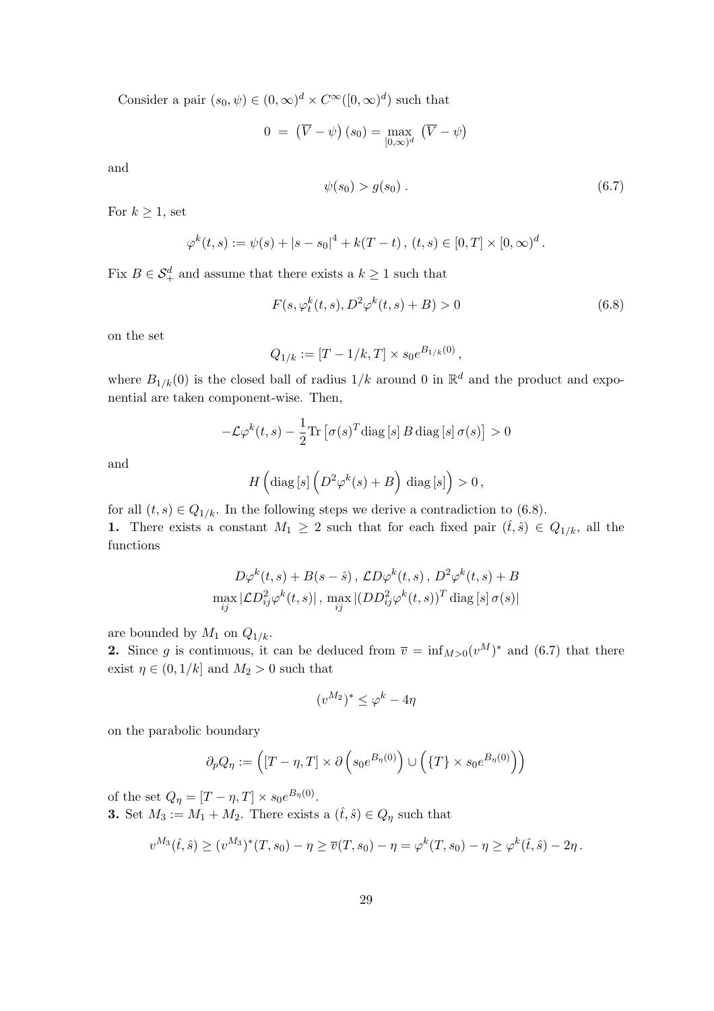Consider a pair  $(s_0, \psi) \in (0, \infty)^d \times C^{\infty}([0, \infty)^d)$  such that

$$
0 = (\overline{V} - \psi) (s_0) = \max_{[0,\infty)^d} (\overline{V} - \psi)
$$

and

$$
\psi(s_0) > g(s_0) \,. \tag{6.7}
$$

For  $k \geq 1$ , set

$$
\varphi^k(t,s) := \psi(s) + |s - s_0|^4 + k(T - t), \ (t,s) \in [0,T] \times [0,\infty)^d.
$$

Fix  $B \in \mathcal{S}_{+}^{d}$  and assume that there exists a  $k \geq 1$  such that

$$
F(s, \varphi_t^k(t, s), D^2 \varphi^k(t, s) + B) > 0
$$
\n
$$
(6.8)
$$

on the set

$$
Q_{1/k} := [T - 1/k, T] \times s_0 e^{B_{1/k}(0)},
$$

where  $B_{1/k}(0)$  is the closed ball of radius  $1/k$  around 0 in  $\mathbb{R}^d$  and the product and exponential are taken component-wise. Then,

$$
-\mathcal{L}\varphi^k(t,s) - \frac{1}{2}\text{Tr}\left[\sigma(s)^T\text{diag}\left[s\right]B\,\text{diag}\left[s\right]\sigma(s)\right] > 0
$$

and

$$
H\left(\text{diag}\left[s\right]\left(D^2\varphi^k(s)+B\right)\,\text{diag}\left[s\right]\right)>0\,,
$$

for all  $(t, s) \in Q_{1/k}$ . In the following steps we derive a contradiction to (6.8). 1. There exists a constant  $M_1 \geq 2$  such that for each fixed pair  $(\hat{t}, \hat{s}) \in Q_{1/k}$ , all the functions

$$
D\varphi^k(t,s) + B(s - \hat{s}), \mathcal{L}D\varphi^k(t,s), D^2\varphi^k(t,s) + B
$$
  

$$
\max_{ij} |\mathcal{L}D_{ij}^2\varphi^k(t,s)|, \max_{ij} |(DD_{ij}^2\varphi^k(t,s))^T \operatorname{diag}[s] \sigma(s)|
$$

are bounded by  $M_1$  on  $Q_{1/k}$ .

**2.** Since g is continuous, it can be deduced from  $\overline{v} = \inf_{M>0}(v^M)^*$  and  $(6.7)$  that there exist  $\eta \in (0,1/k]$  and  $M_2>0$  such that

$$
(v^{M_2})^* \le \varphi^k - 4\eta
$$

on the parabolic boundary

$$
\partial_p Q_\eta := \left( [T - \eta, T] \times \partial \left( s_0 e^{B_\eta(0)} \right) \cup \left( \{T\} \times s_0 e^{B_\eta(0)} \right) \right)
$$

of the set  $Q_{\eta} = [T - \eta, T] \times s_0 e^{B_{\eta}(0)}$ . **3.** Set  $M_3 := M_1 + M_2$ . There exists a  $(\hat{t}, \hat{s}) \in Q_\eta$  such that

$$
v^{M_3}(\hat{t},\hat{s}) \ge (v^{M_3})^*(T,s_0) - \eta \ge \overline{v}(T,s_0) - \eta = \varphi^k(T,s_0) - \eta \ge \varphi^k(\hat{t},\hat{s}) - 2\eta.
$$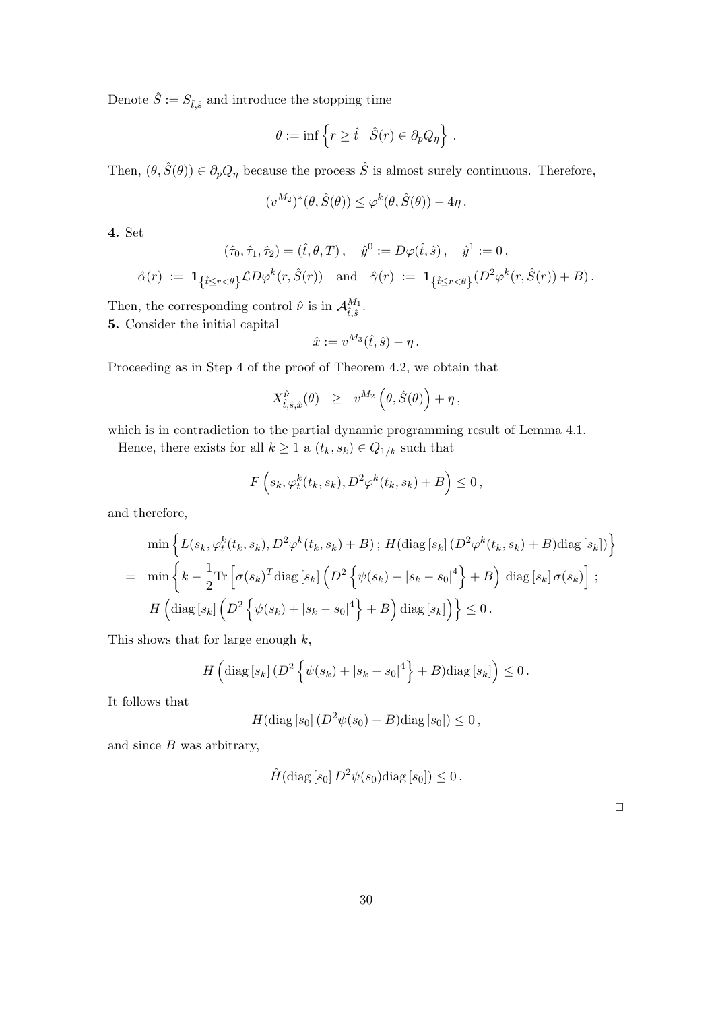Denote  $\hat{S} := S_{\hat{t},\hat{s}}$  and introduce the stopping time

$$
\theta := \inf \left\{ r \ge \hat{t} \mid \hat{S}(r) \in \partial_p Q_\eta \right\} .
$$

Then,  $(\theta, \hat{S}(\theta)) \in \partial_p Q_\eta$  because the process  $\hat{S}$  is almost surely continuous. Therefore,

$$
(v^{M_2})^*(\theta, \hat{S}(\theta)) \leq \varphi^k(\theta, \hat{S}(\theta)) - 4\eta.
$$

4. Set

$$
(\hat{\tau}_0, \hat{\tau}_1, \hat{\tau}_2) = (\hat{t}, \theta, T), \quad \hat{y}^0 := D\varphi(\hat{t}, \hat{s}), \quad \hat{y}^1 := 0,
$$
  

$$
\hat{\alpha}(r) := \mathbf{1}_{\{\hat{t} \le r < \theta\}} \mathcal{L} D\varphi^k(r, \hat{S}(r)) \quad \text{and} \quad \hat{\gamma}(r) := \mathbf{1}_{\{\hat{t} \le r < \theta\}} (D^2 \varphi^k(r, \hat{S}(r)) + B).
$$

Then, the corresponding control  $\hat{\nu}$  is in  $\mathcal{A}^{M_1}_{\hat{\imath} \hat{\jmath}}$  $_{\hat{t},\hat{s}}^{M_1}.$ 

5. Consider the initial capital

$$
\hat{x} := v^{M_3}(\hat{t}, \hat{s}) - \eta.
$$

Proceeding as in Step 4 of the proof of Theorem 4.2, we obtain that

$$
X^{\hat{\nu}}_{\hat{t},\hat{s},\hat{x}}(\theta) \geq v^{M_2}(\theta,\hat{S}(\theta)) + \eta\,,
$$

which is in contradiction to the partial dynamic programming result of Lemma 4.1.

Hence, there exists for all  $k \geq 1$  a  $(t_k, s_k) \in Q_{1/k}$  such that

$$
F\left(s_k, \varphi_t^k(t_k, s_k), D^2\varphi^k(t_k, s_k) + B\right) \leq 0,
$$

and therefore,

$$
\min \left\{ L(s_k, \varphi_t^k(t_k, s_k), D^2 \varphi^k(t_k, s_k) + B) ; H(\text{diag}[s_k] (D^2 \varphi^k(t_k, s_k) + B) \text{diag}[s_k]) \right\}
$$
  
= 
$$
\min \left\{ k - \frac{1}{2} \text{Tr} \left[ \sigma(s_k)^T \text{diag}[s_k] \left( D^2 \left\{ \psi(s_k) + |s_k - s_0|^4 \right\} + B \right) \text{diag}[s_k] \sigma(s_k) \right] ;
$$
  

$$
H \left( \text{diag}[s_k] \left( D^2 \left\{ \psi(s_k) + |s_k - s_0|^4 \right\} + B \right) \text{diag}[s_k] \right) \right\} \leq 0.
$$

This shows that for large enough  $k$ ,

$$
H\left(\text{diag}\left[s_k\right](D^2\left\{\psi(s_k)+\left|s_k-s_0\right|^4\right\}+B)\text{diag}\left[s_k\right]\right)\leq 0.
$$

It follows that

$$
H(\text{diag}\left[s_0\right](D^2\psi(s_0)+B)\text{diag}\left[s_0\right])\leq 0\,,
$$

and since  $B$  was arbitrary,

$$
\hat{H}(\text{diag}\left[s_0\right]D^2\psi(s_0)\text{diag}\left[s_0\right])\leq 0.
$$

 $\Box$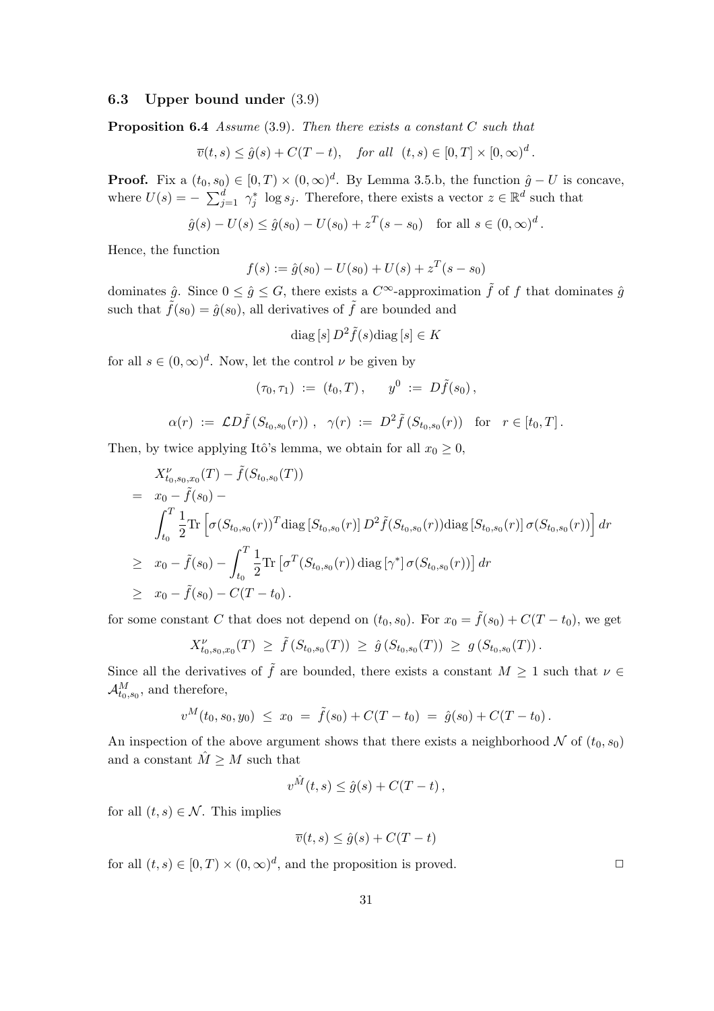## 6.3 Upper bound under (3.9)

**Proposition 6.4** Assume  $(3.9)$ . Then there exists a constant C such that

$$
\overline{v}(t,s) \le \hat{g}(s) + C(T-t), \quad \text{for all} \ \ (t,s) \in [0,T] \times [0,\infty)^d.
$$

**Proof.** Fix a  $(t_0, s_0) \in [0, T) \times (0, \infty)^d$ . By Lemma 3.5.b, the function  $\hat{g} - U$  is concave, where  $U(s) = -\sum_{i=1}^{d}$  $j=1, j \in \mathbb{R}^d$  such that  $j=1, j \in \mathbb{R}^d$  such that

$$
\hat{g}(s) - U(s) \le \hat{g}(s_0) - U(s_0) + z^T(s - s_0)
$$
 for all  $s \in (0, \infty)^d$ .

Hence, the function

$$
f(s) := \hat{g}(s_0) - U(s_0) + U(s) + z^T(s - s_0)
$$

dominates  $\hat{g}$ . Since  $0 \leq \hat{g} \leq G$ , there exists a  $C^{\infty}$ -approximation  $\tilde{f}$  of f that dominates  $\hat{g}$ such that  $\tilde{f}(s_0) = \hat{g}(s_0)$ , all derivatives of  $\tilde{f}$  are bounded and

$$
\operatorname{diag}\left[s\right]D^2\tilde{f}(s)\operatorname{diag}\left[s\right]\in K
$$

for all  $s \in (0, \infty)^d$ . Now, let the control  $\nu$  be given by

$$
(\tau_0,\tau_1) \;:=\; (t_0,T)\,, \quad y^0 \;:=\; D\tilde{f}(s_0)\,,
$$

$$
\alpha(r) := \mathcal{L}D\tilde{f}(S_{t_0,s_0}(r)), \quad \gamma(r) := D^2\tilde{f}(S_{t_0,s_0}(r)) \quad \text{for} \quad r \in [t_0,T].
$$

Then, by twice applying Itô's lemma, we obtain for all  $x_0 \geq 0$ ,

$$
X_{t_0,s_0,x_0}^{\nu}(T) - \tilde{f}(S_{t_0,s_0}(T))
$$
  
=  $x_0 - \tilde{f}(s_0) -$   

$$
\int_{t_0}^{T} \frac{1}{2} \text{Tr} \left[ \sigma(S_{t_0,s_0}(r))^T \text{diag} \left[ S_{t_0,s_0}(r) \right] D^2 \tilde{f}(S_{t_0,s_0}(r)) \text{diag} \left[ S_{t_0,s_0}(r) \right] \sigma(S_{t_0,s_0}(r)) \right] dr
$$
  

$$
\geq x_0 - \tilde{f}(s_0) - \int_{t_0}^{T} \frac{1}{2} \text{Tr} \left[ \sigma^T(S_{t_0,s_0}(r)) \text{diag} \left[ \gamma^* \right] \sigma(S_{t_0,s_0}(r)) \right] dr
$$
  

$$
\geq x_0 - \tilde{f}(s_0) - C(T - t_0).
$$

for some constant C that does not depend on  $(t_0, s_0)$ . For  $x_0 = \tilde{f}(s_0) + C(T - t_0)$ , we get

$$
X_{t_0,s_0,x_0}^{\nu}(T) \geq \tilde{f}(S_{t_0,s_0}(T)) \geq \hat{g}(S_{t_0,s_0}(T)) \geq g(S_{t_0,s_0}(T)).
$$

Since all the derivatives of  $\tilde{f}$  are bounded, there exists a constant  $M \geq 1$  such that  $\nu \in$  $\mathcal{A}_{t_0,s_0}^M$ , and therefore,

$$
v^M(t_0,s_0,y_0) \leq x_0 = \tilde{f}(s_0) + C(T-t_0) = \hat{g}(s_0) + C(T-t_0).
$$

An inspection of the above argument shows that there exists a neighborhood  $\mathcal N$  of  $(t_0, s_0)$ and a constant  $\hat{M} \geq M$  such that

$$
v^{\hat{M}}(t,s) \le \hat{g}(s) + C(T-t) ,
$$

for all  $(t, s) \in \mathcal{N}$ . This implies

$$
\overline{v}(t,s) \le \hat{g}(s) + C(T-t)
$$

for all  $(t, s) \in [0, T) \times (0, \infty)^d$ , and the proposition is proved.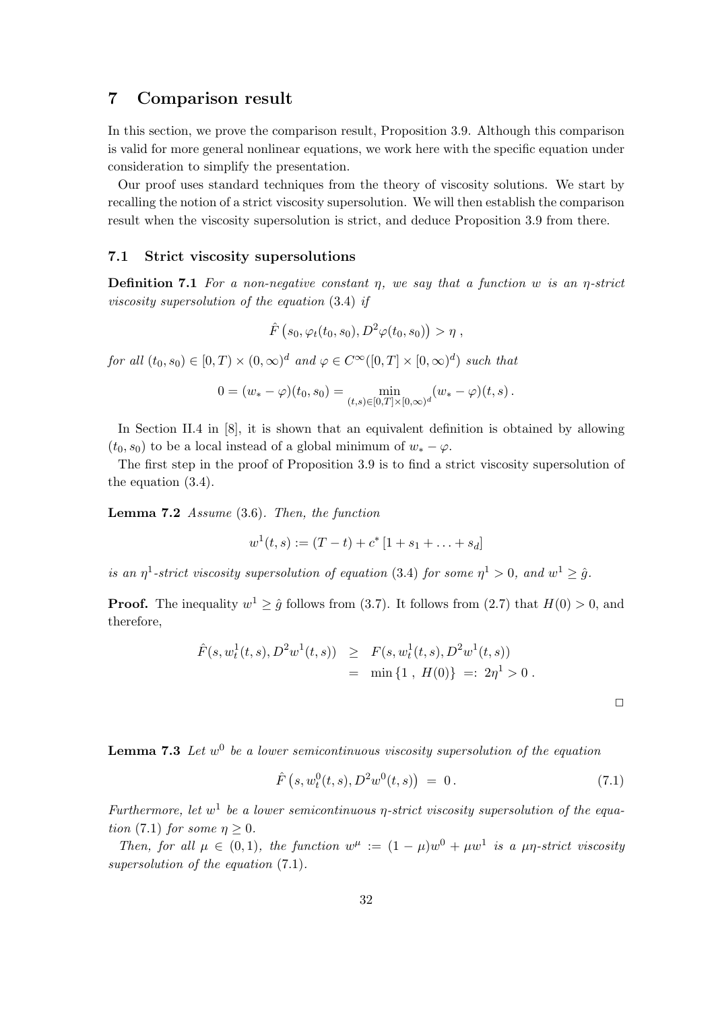# 7 Comparison result

In this section, we prove the comparison result, Proposition 3.9. Although this comparison is valid for more general nonlinear equations, we work here with the specific equation under consideration to simplify the presentation.

Our proof uses standard techniques from the theory of viscosity solutions. We start by recalling the notion of a strict viscosity supersolution. We will then establish the comparison result when the viscosity supersolution is strict, and deduce Proposition 3.9 from there.

## 7.1 Strict viscosity supersolutions

**Definition 7.1** For a non-negative constant  $\eta$ , we say that a function w is an  $\eta$ -strict viscosity supersolution of the equation (3.4) if

$$
\hat{F}\left(s_0,\varphi_t(t_0,s_0),D^2\varphi(t_0,s_0)\right)>\eta\ ,
$$

for all  $(t_0, s_0) \in [0, T) \times (0, \infty)^d$  and  $\varphi \in C^{\infty}([0, T] \times [0, \infty)^d)$  such that

$$
0=(w_*-\varphi)(t_0,s_0)=\min_{(t,s)\in[0,T]\times[0,\infty)^d}(w_*-\varphi)(t,s)\,.
$$

In Section II.4 in [8], it is shown that an equivalent definition is obtained by allowing  $(t_0, s_0)$  to be a local instead of a global minimum of  $w_* - \varphi$ .

The first step in the proof of Proposition 3.9 is to find a strict viscosity supersolution of the equation (3.4).

**Lemma 7.2** Assume  $(3.6)$ . Then, the function

$$
w^{1}(t,s) := (T-t) + c^{*}[1 + s_{1} + \ldots + s_{d}]
$$

is an  $\eta^1$ -strict viscosity supersolution of equation (3.4) for some  $\eta^1 > 0$ , and  $w^1 \geq \hat{g}$ .

**Proof.** The inequality  $w^1 \geq \hat{g}$  follows from (3.7). It follows from (2.7) that  $H(0) > 0$ , and therefore,

$$
\hat{F}(s, w_t^1(t, s), D^2 w^1(t, s)) \geq F(s, w_t^1(t, s), D^2 w^1(t, s))
$$
  
= min {1, H(0)} =: 2 $\eta^1 > 0$ .

**Lemma 7.3** Let  $w^0$  be a lower semicontinuous viscosity supersolution of the equation

$$
\hat{F}\left(s, w_t^0(t,s), D^2 w^0(t,s)\right) = 0.
$$
\n(7.1)

Furthermore, let  $w^1$  be a lower semicontinuous  $\eta$ -strict viscosity supersolution of the equation (7.1) for some  $\eta > 0$ .

Then, for all  $\mu \in (0,1)$ , the function  $w^{\mu} := (1 - \mu)w^0 + \mu w^1$  is a  $\mu \eta$ -strict viscosity supersolution of the equation  $(7.1)$ .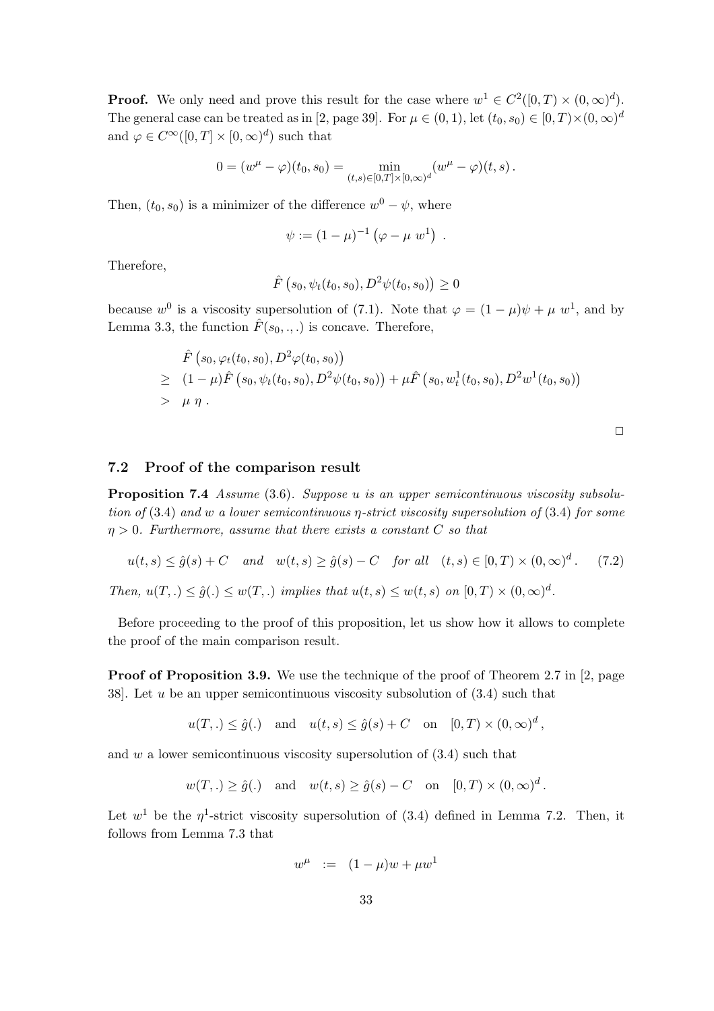**Proof.** We only need and prove this result for the case where  $w^1 \in C^2([0,T) \times (0,\infty)^d)$ . The general case can be treated as in [2, page 39]. For  $\mu \in (0,1)$ , let  $(t_0, s_0) \in [0, T) \times (0, \infty)^d$ and  $\varphi \in C^{\infty}([0,T] \times [0,\infty)^d)$  such that

$$
0 = (w^{\mu} - \varphi)(t_0, s_0) = \min_{(t,s) \in [0,T] \times [0,\infty)^d} (w^{\mu} - \varphi)(t,s).
$$

Then,  $(t_0, s_0)$  is a minimizer of the difference  $w^0 - \psi$ , where

$$
\psi := (1 - \mu)^{-1} (\varphi - \mu w^1) .
$$

Therefore,

$$
\hat{F}\left(s_0, \psi_t(t_0, s_0), D^2\psi(t_0, s_0)\right) \ge 0
$$

because  $w^0$  is a viscosity supersolution of (7.1). Note that  $\varphi = (1 - \mu)\psi + \mu w^1$ , and by Lemma 3.3, the function  $\hat{F}(s_0, \ldots)$  is concave. Therefore,

$$
\hat{F}(s_0, \varphi_t(t_0, s_0), D^2 \varphi(t_0, s_0))
$$
\n
$$
\geq (1 - \mu) \hat{F}(s_0, \psi_t(t_0, s_0), D^2 \psi(t_0, s_0)) + \mu \hat{F}(s_0, w_t^1(t_0, s_0), D^2 w^1(t_0, s_0))
$$
\n
$$
> \mu \eta.
$$

## 7.2 Proof of the comparison result

Proposition 7.4 Assume (3.6). Suppose u is an upper semicontinuous viscosity subsolution of  $(3.4)$  and w a lower semicontinuous  $\eta$ -strict viscosity supersolution of  $(3.4)$  for some  $\eta > 0$ . Furthermore, assume that there exists a constant C so that

$$
u(t,s) \le \hat{g}(s) + C \quad and \quad w(t,s) \ge \hat{g}(s) - C \quad \text{for all} \quad (t,s) \in [0,T) \times (0,\infty)^d. \tag{7.2}
$$
\n
$$
\text{Then, } u(T,.) \le \hat{g}(.) \le w(T,.) \text{ implies that } u(t,s) \le w(t,s) \text{ on } [0,T) \times (0,\infty)^d.
$$

Before proceeding to the proof of this proposition, let us show how it allows to complete the proof of the main comparison result.

Proof of Proposition 3.9. We use the technique of the proof of Theorem 2.7 in [2, page 38. Let u be an upper semicontinuous viscosity subsolution of  $(3.4)$  such that

$$
u(T,.) \le \hat{g}(.)
$$
 and  $u(t,s) \le \hat{g}(s) + C$  on  $[0,T) \times (0,\infty)^d$ ,

and  $w$  a lower semicontinuous viscosity supersolution of  $(3.4)$  such that

$$
w(T,.) \ge \hat{g}(.)
$$
 and  $w(t,s) \ge \hat{g}(s) - C$  on  $[0,T) \times (0,\infty)^d$ .

Let  $w^1$  be the  $\eta^1$ -strict viscosity supersolution of (3.4) defined in Lemma 7.2. Then, it follows from Lemma 7.3 that

$$
w^{\mu} := (1 - \mu)w + \mu w^1
$$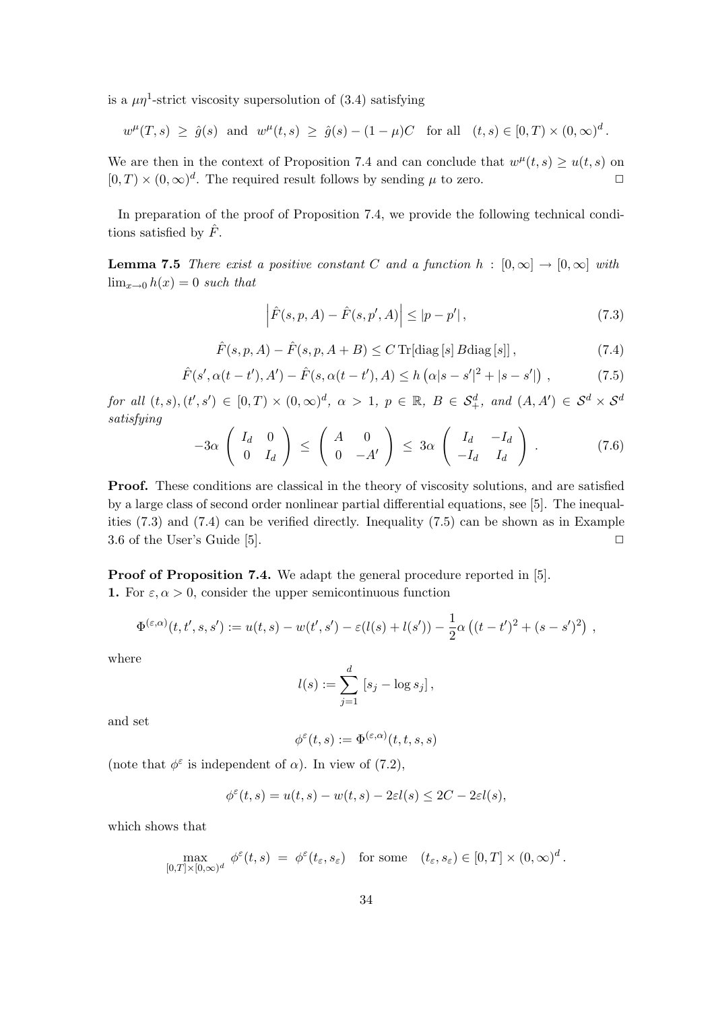is a  $\mu\eta$ <sup>1</sup>-strict viscosity supersolution of (3.4) satisfying

$$
w^{\mu}(T,s) \geq \hat{g}(s)
$$
 and  $w^{\mu}(t,s) \geq \hat{g}(s) - (1 - \mu)C$  for all  $(t,s) \in [0,T) \times (0,\infty)^d$ .

We are then in the context of Proposition 7.4 and can conclude that  $w^{\mu}(t,s) \geq u(t,s)$  on  $[0, T] \times (0, \infty)^d$ . The required result follows by sending  $\mu$  to zero.

In preparation of the proof of Proposition 7.4, we provide the following technical conditions satisfied by  $\hat{F}$ .

**Lemma 7.5** There exist a positive constant C and a function  $h : [0, \infty] \to [0, \infty]$  with  $\lim_{x\to 0} h(x) = 0$  such that

$$
\left| \hat{F}(s, p, A) - \hat{F}(s, p', A) \right| \leq |p - p'|,
$$
\n(7.3)

$$
\hat{F}(s, p, A) - \hat{F}(s, p, A + B) \le C \operatorname{Tr}[\operatorname{diag}[s] B \operatorname{diag}[s]], \qquad (7.4)
$$

$$
\hat{F}(s', \alpha(t - t'), A') - \hat{F}(s, \alpha(t - t'), A) \le h(\alpha|s - s'|^2 + |s - s'|), \qquad (7.5)
$$

for all  $(t, s), (t', s') \in [0, T) \times (0, \infty)^d$ ,  $\alpha > 1$ ,  $p \in \mathbb{R}$ ,  $B \in \mathcal{S}_+^d$ , and  $(A, A') \in \mathcal{S}^d \times \mathcal{S}^d$ satisfying  $\overline{a}$ !<br>}  $\overline{\phantom{a}}$ !<br>}  $\overline{\phantom{a}}$ !<br>}

$$
-3\alpha \left(\begin{array}{cc} I_d & 0 \\ 0 & I_d \end{array}\right) \le \left(\begin{array}{cc} A & 0 \\ 0 & -A' \end{array}\right) \le 3\alpha \left(\begin{array}{cc} I_d & -I_d \\ -I_d & I_d \end{array}\right) . \tag{7.6}
$$

Proof. These conditions are classical in the theory of viscosity solutions, and are satisfied by a large class of second order nonlinear partial differential equations, see [5]. The inequalities (7.3) and (7.4) can be verified directly. Inequality (7.5) can be shown as in Example 3.6 of the User's Guide [5].  $\Box$ 

Proof of Proposition 7.4. We adapt the general procedure reported in [5].

1. For  $\varepsilon, \alpha > 0$ , consider the upper semicontinuous function

$$
\Phi^{(\varepsilon,\alpha)}(t,t',s,s') := u(t,s) - w(t',s') - \varepsilon(l(s) + l(s')) - \frac{1}{2}\alpha\left((t-t')^2 + (s-s')^2\right) \,,
$$

where

$$
l(s) := \sum_{j=1}^d [s_j - \log s_j],
$$

and set

$$
\phi^\varepsilon(t,s):=\Phi^{(\varepsilon,\alpha)}(t,t,s,s)
$$

(note that  $\phi^{\varepsilon}$  is independent of  $\alpha$ ). In view of (7.2),

$$
\phi^{\varepsilon}(t,s) = u(t,s) - w(t,s) - 2\varepsilon l(s) \leq 2C - 2\varepsilon l(s),
$$

which shows that

$$
\max_{[0,T] \times [0,\infty)^d} \phi^{\varepsilon}(t,s) \; = \; \phi^{\varepsilon}(t_{\varepsilon},s_{\varepsilon}) \quad \text{for some} \quad (t_{\varepsilon},s_{\varepsilon}) \in [0,T] \times (0,\infty)^d \, .
$$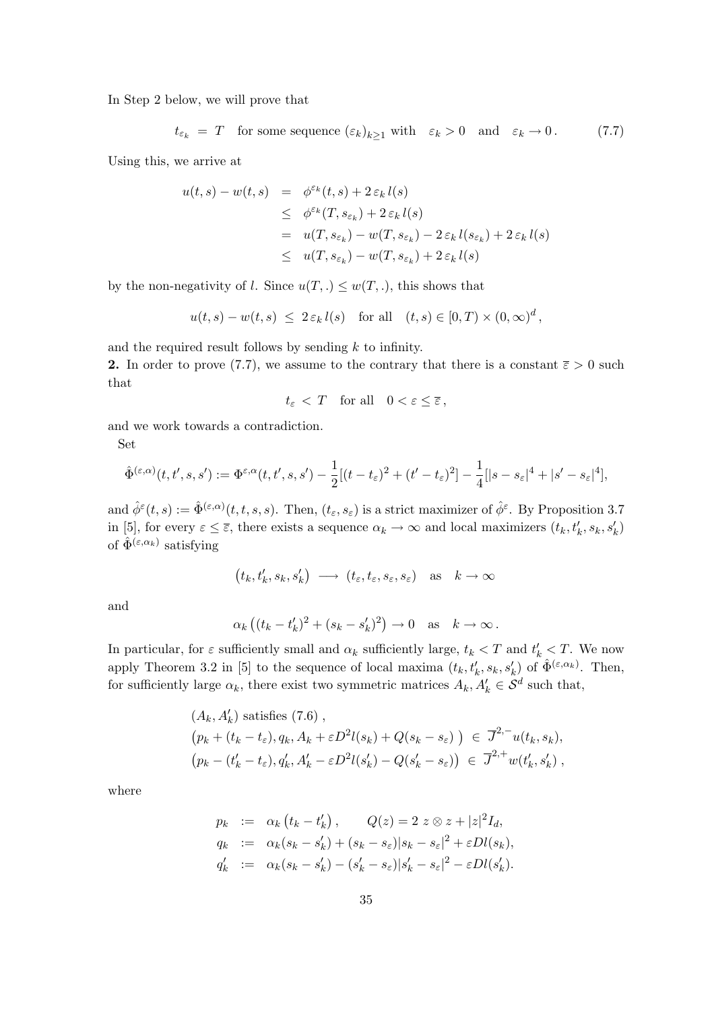In Step 2 below, we will prove that

$$
t_{\varepsilon_k} = T
$$
 for some sequence  $(\varepsilon_k)_{k\geq 1}$  with  $\varepsilon_k > 0$  and  $\varepsilon_k \to 0$ . (7.7)

Using this, we arrive at

$$
u(t,s) - w(t,s) = \phi^{\varepsilon_k}(t,s) + 2 \varepsilon_k l(s)
$$
  
\n
$$
\leq \phi^{\varepsilon_k}(T, s_{\varepsilon_k}) + 2 \varepsilon_k l(s)
$$
  
\n
$$
= u(T, s_{\varepsilon_k}) - w(T, s_{\varepsilon_k}) - 2 \varepsilon_k l(s_{\varepsilon_k}) + 2 \varepsilon_k l(s)
$$
  
\n
$$
\leq u(T, s_{\varepsilon_k}) - w(T, s_{\varepsilon_k}) + 2 \varepsilon_k l(s)
$$

by the non-negativity of l. Since  $u(T,.) \leq w(T,.)$ , this shows that

$$
u(t,s) - w(t,s) \leq 2 \varepsilon_k l(s) \quad \text{for all} \quad (t,s) \in [0,T) \times (0,\infty)^d,
$$

and the required result follows by sending  $k$  to infinity.

2. In order to prove (7.7), we assume to the contrary that there is a constant  $\bar{\varepsilon} > 0$  such that

$$
t_{\varepsilon} < T \quad \text{for all} \quad 0 < \varepsilon \leq \overline{\varepsilon} \,,
$$

and we work towards a contradiction.

Set

$$
\hat{\Phi}^{(\varepsilon,\alpha)}(t,t',s,s') := \Phi^{\varepsilon,\alpha}(t,t',s,s') - \frac{1}{2}[(t-t_{\varepsilon})^2 + (t'-t_{\varepsilon})^2] - \frac{1}{4}[|s-s_{\varepsilon}|^4 + |s'-s_{\varepsilon}|^4],
$$

and  $\hat{\phi}^{\varepsilon}(t,s) := \hat{\Phi}^{(\varepsilon,\alpha)}(t,t,s,s)$ . Then,  $(t_{\varepsilon},s_{\varepsilon})$  is a strict maximizer of  $\hat{\phi}^{\varepsilon}$ . By Proposition 3.7 in [5], for every  $\varepsilon \leq \overline{\varepsilon}$ , there exists a sequence  $\alpha_k \to \infty$  and local maximizers  $(t_k, t'_k, s_k, s'_k)$ of  $\hat{\Phi}^{(\varepsilon,\alpha_k)}$  satisfying

$$
(t_k, t'_k, s_k, s'_k) \longrightarrow (t_{\varepsilon}, t_{\varepsilon}, s_{\varepsilon}, s_{\varepsilon})
$$
 as  $k \to \infty$ 

and

$$
\alpha_k ((t_k - t'_k)^2 + (s_k - s'_k)^2) \to 0
$$
 as  $k \to \infty$ .

In particular, for  $\varepsilon$  sufficiently small and  $\alpha_k$  sufficiently large,  $t_k < T$  and  $t'_k < T$ . We now apply Theorem 3.2 in [5] to the sequence of local maxima  $(t_k, t'_k, s_k, s'_k)$  of  $\hat{\Phi}^{(\varepsilon, \alpha_k)}$ . Then, for sufficiently large  $\alpha_k$ , there exist two symmetric matrices  $A_k, A'_k \in \mathcal{S}^d$  such that,

$$
(A_k, A'_k)
$$
 satisfies (7.6),  
\n $(p_k + (t_k - t_\varepsilon), q_k, A_k + \varepsilon D^2 l(s_k) + Q(s_k - s_\varepsilon)) \in \overline{J}^{2,-} u(t_k, s_k),$   
\n $(p_k - (t'_k - t_\varepsilon), q'_k, A'_k - \varepsilon D^2 l(s'_k) - Q(s'_k - s_\varepsilon)) \in \overline{J}^{2,+} w(t'_k, s'_k),$ 

where

$$
p_k := \alpha_k (t_k - t'_k), \qquad Q(z) = 2 \ z \otimes z + |z|^2 I_d,
$$
  
\n
$$
q_k := \alpha_k (s_k - s'_k) + (s_k - s_\varepsilon) |s_k - s_\varepsilon|^2 + \varepsilon Dl(s_k),
$$
  
\n
$$
q'_k := \alpha_k (s_k - s'_k) - (s'_k - s_\varepsilon) |s'_k - s_\varepsilon|^2 - \varepsilon Dl(s'_k).
$$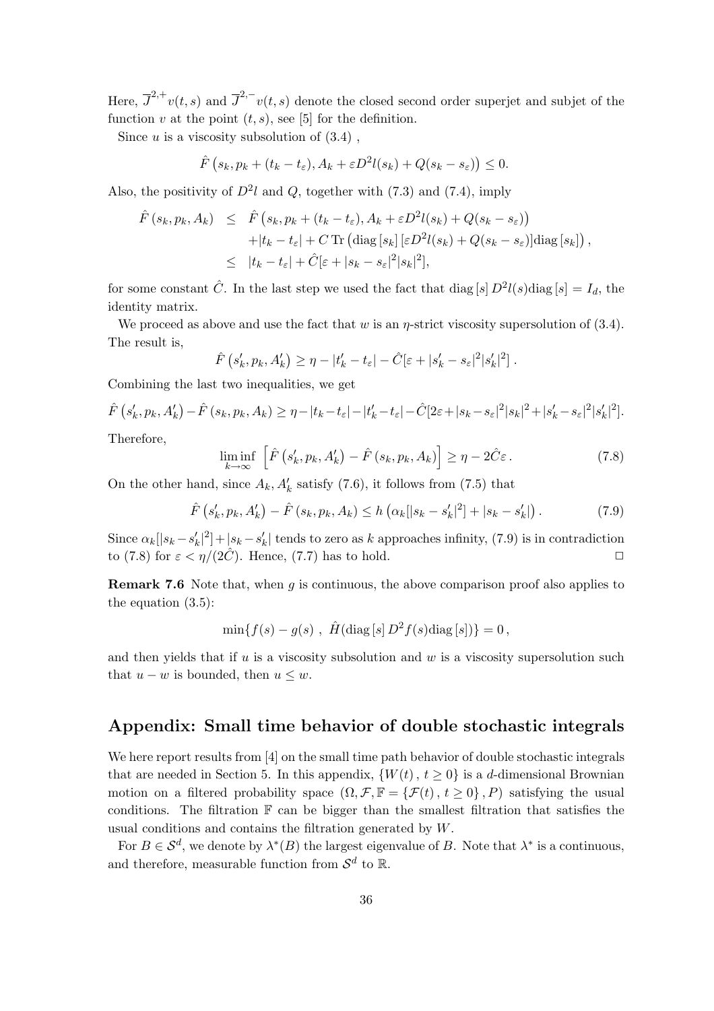Here,  $\overline{J}^{2,+}v(t,s)$  and  $\overline{J}^{2,-}v(t,s)$  denote the closed second order superjet and subjet of the function v at the point  $(t, s)$ , see [5] for the definition.

Since  $u$  is a viscosity subsolution of  $(3.4)$ ,

$$
\hat{F}\left(s_k, p_k + (t_k - t_{\varepsilon}), A_k + \varepsilon D^2 l(s_k) + Q(s_k - s_{\varepsilon})\right) \leq 0.
$$

Also, the positivity of  $D^2l$  and Q, together with (7.3) and (7.4), imply

$$
\hat{F}(s_k, p_k, A_k) \leq \hat{F}(s_k, p_k + (t_k - t_{\varepsilon}), A_k + \varepsilon D^2 l(s_k) + Q(s_k - s_{\varepsilon})) \n+ |t_k - t_{\varepsilon}| + C \operatorname{Tr} \left( \operatorname{diag} [s_k] \left[ \varepsilon D^2 l(s_k) + Q(s_k - s_{\varepsilon}) \right] \operatorname{diag} [s_k] \right), \n\leq |t_k - t_{\varepsilon}| + \hat{C} [\varepsilon + |s_k - s_{\varepsilon}|^2 |s_k|^2],
$$

for some constant  $\hat{C}$ . In the last step we used the fact that diag [s]  $D^2 l(s)$ diag [s] =  $I_d$ , the identity matrix.

We proceed as above and use the fact that w is an  $\eta$ -strict viscosity supersolution of (3.4). The result is,

$$
\hat{F}\left(s'_k, p_k, A'_k\right) \geq \eta - |t'_k - t_{\varepsilon}| - \hat{C}[\varepsilon + |s'_k - s_{\varepsilon}|^2 |s'_k|^2].
$$

Combining the last two inequalities, we get

$$
\hat{F}\left(s'_k, p_k, A'_k\right) - \hat{F}\left(s_k, p_k, A_k\right) \ge \eta - |t_k - t_{\varepsilon}| - |t'_k - t_{\varepsilon}| - \hat{C}[2\varepsilon + |s_k - s_{\varepsilon}|^2 |s_k|^2 + |s'_k - s_{\varepsilon}|^2 |s'_k|^2].
$$

Therefore,

$$
\liminf_{k \to \infty} \left[ \hat{F}\left(s'_k, p_k, A'_k\right) - \hat{F}\left(s_k, p_k, A_k\right) \right] \ge \eta - 2\hat{C}\varepsilon. \tag{7.8}
$$

On the other hand, since  $A_k$ ,  $A'_k$  satisfy (7.6), it follows from (7.5) that

$$
\hat{F}\left(s'_{k}, p_{k}, A'_{k}\right) - \hat{F}\left(s_{k}, p_{k}, A_{k}\right) \le h\left(\alpha_{k}[|s_{k} - s'_{k}|^{2}] + |s_{k} - s'_{k}|\right). \tag{7.9}
$$

Since  $\alpha_k[|s_k - s'_k|^2] + |s_k - s'_k|$  tends to zero as k approaches infinity, (7.9) is in contradiction to (7.8) for  $\varepsilon < \eta/(2\tilde{C})$ . Hence, (7.7) has to hold.

**Remark 7.6** Note that, when  $q$  is continuous, the above comparison proof also applies to the equation (3.5):

$$
\min\{f(s) - g(s) , \ \hat{H}(\text{diag}[s] D^2 f(s) \text{diag}[s])\} = 0,
$$

and then yields that if  $u$  is a viscosity subsolution and  $w$  is a viscosity supersolution such that  $u - w$  is bounded, then  $u \leq w$ .

# Appendix: Small time behavior of double stochastic integrals

We here report results from [4] on the small time path behavior of double stochastic integrals that are needed in Section 5. In this appendix,  $\{W(t), t \ge 0\}$  is a d-dimensional Brownian motion on a filtered probability space  $(\Omega, \mathcal{F}, \mathbb{F} = {\{\mathcal{F}(t), t \geq 0\}} , P)$  satisfying the usual conditions. The filtration  $\mathbb F$  can be bigger than the smallest filtration that satisfies the usual conditions and contains the filtration generated by W.

For  $B \in \mathcal{S}^d$ , we denote by  $\lambda^*(B)$  the largest eigenvalue of B. Note that  $\lambda^*$  is a continuous, and therefore, measurable function from  $\mathcal{S}^d$  to  $\mathbb{R}$ .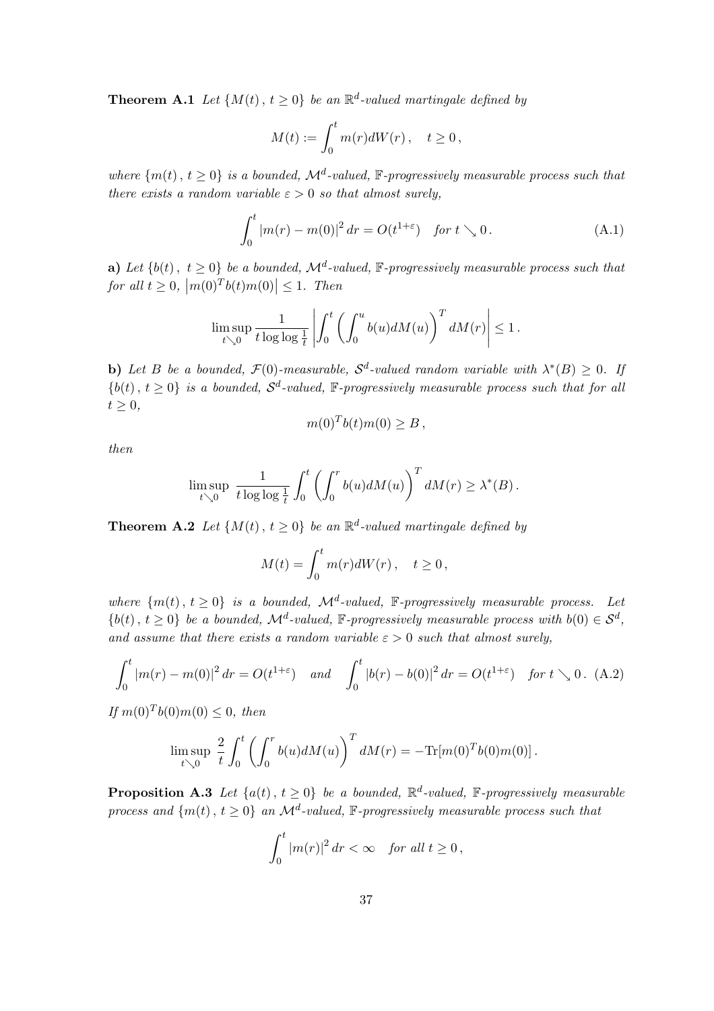**Theorem A.1** Let  $\{M(t), t \geq 0\}$  be an  $\mathbb{R}^d$ -valued martingale defined by

$$
M(t) := \int_0^t m(r)dW(r), \quad t \ge 0,
$$

where  $\{m(t), t \geq 0\}$  is a bounded,  $\mathcal{M}^d$ -valued,  $\mathbb{F}$ -progressively measurable process such that there exists a random variable  $\varepsilon > 0$  so that almost surely,

$$
\int_0^t |m(r) - m(0)|^2 \, dr = O(t^{1+\varepsilon}) \quad \text{for } t \searrow 0. \tag{A.1}
$$

**a**) Let  $\{b(t), t \geq 0\}$  be a bounded,  $\mathcal{M}^d$ -valued,  $\mathbb{F}$ -progressively measurable process such that for all  $t \geq 0$ ,  $|m(0)^T b(t)m(0)| \leq 1$ . Then

$$
\limsup_{t\searrow 0} \frac{1}{t\log\log\frac{1}{t}}\left|\int_0^t \left(\int_0^u b(u)dM(u)\right)^T dM(r)\right| \leq 1.
$$

**b**) Let B be a bounded,  $\mathcal{F}(0)$ -measurable,  $\mathcal{S}^d$ -valued random variable with  $\lambda^*(B) \geq 0$ . If  ${b(t), t \geq 0}$  is a bounded,  $S^d$ -valued, F-progressively measurable process such that for all  $t \geq 0$ ,

$$
m(0)^T b(t) m(0) \geq B,
$$

then

$$
\limsup_{t \searrow 0} \frac{1}{t \log \log \frac{1}{t}} \int_0^t \left( \int_0^r b(u) dM(u) \right)^T dM(r) \geq \lambda^*(B).
$$

**Theorem A.2** Let  $\{M(t), t \geq 0\}$  be an  $\mathbb{R}^d$ -valued martingale defined by

$$
M(t) = \int_0^t m(r)dW(r), \quad t \ge 0,
$$

where  $\{m(t), t \geq 0\}$  is a bounded,  $\mathcal{M}^d$ -valued, F-progressively measurable process. Let  $\{b(t), t \geq 0\}$  be a bounded,  $\mathcal{M}^d$ -valued, F-progressively measurable process with  $b(0) \in \mathcal{S}^d$ , and assume that there exists a random variable  $\varepsilon > 0$  such that almost surely,

$$
\int_0^t |m(r) - m(0)|^2 dr = O(t^{1+\varepsilon}) \quad \text{and} \quad \int_0^t |b(r) - b(0)|^2 dr = O(t^{1+\varepsilon}) \quad \text{for } t \searrow 0. \tag{A.2}
$$

If  $m(0)^T b(0) m(0) \leq 0$ , then

$$
\limsup_{t \searrow 0} \frac{2}{t} \int_0^t \left( \int_0^r b(u) dM(u) \right)^T dM(r) = -\text{Tr}[m(0)^T b(0)m(0)].
$$

**Proposition A.3** Let  $\{a(t), t \ge 0\}$  be a bounded,  $\mathbb{R}^d$ -valued,  $\mathbb{F}$ -progressively measurable process and  $\{m(t), t \geq 0\}$  an  $\mathcal{M}^d$ -valued,  $\mathbb{F}$ -progressively measurable process such that

$$
\int_0^t |m(r)|^2 dr < \infty \quad \text{for all } t \ge 0,
$$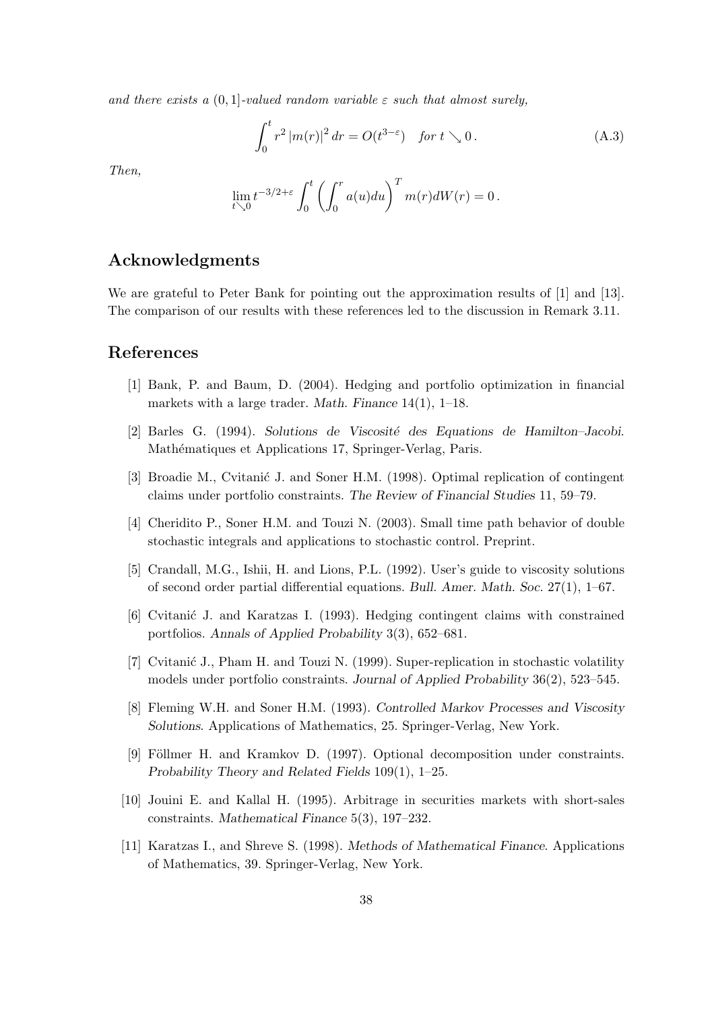and there exists a  $(0, 1]$ -valued random variable  $\varepsilon$  such that almost surely,

$$
\int_0^t r^2 |m(r)|^2 dr = O(t^{3-\varepsilon}) \quad \text{for } t \searrow 0. \tag{A.3}
$$

Then,

$$
\lim_{t\searrow 0}t^{-3/2+\varepsilon}\int_0^t\left(\int_0^r a(u)du\right)^T m(r)dW(r)=0\,.
$$

# Acknowledgments

We are grateful to Peter Bank for pointing out the approximation results of [1] and [13]. The comparison of our results with these references led to the discussion in Remark 3.11.

## References

- [1] Bank, P. and Baum, D. (2004). Hedging and portfolio optimization in financial markets with a large trader. Math. Finance 14(1), 1–18.
- [2] Barles G. (1994). Solutions de Viscosité des Equations de Hamilton–Jacobi. Mathématiques et Applications 17, Springer-Verlag, Paris.
- [3] Broadie M., Cvitanić J. and Soner H.M. (1998). Optimal replication of contingent claims under portfolio constraints. The Review of Financial Studies 11, 59–79.
- [4] Cheridito P., Soner H.M. and Touzi N. (2003). Small time path behavior of double stochastic integrals and applications to stochastic control. Preprint.
- [5] Crandall, M.G., Ishii, H. and Lions, P.L. (1992). User's guide to viscosity solutions of second order partial differential equations. Bull. Amer. Math. Soc. 27(1), 1–67.
- [6] Cvitani´c J. and Karatzas I. (1993). Hedging contingent claims with constrained portfolios. Annals of Applied Probability 3(3), 652–681.
- [7] Cvitanić J., Pham H. and Touzi N. (1999). Super-replication in stochastic volatility models under portfolio constraints. Journal of Applied Probability 36(2), 523–545.
- [8] Fleming W.H. and Soner H.M. (1993). Controlled Markov Processes and Viscosity Solutions. Applications of Mathematics, 25. Springer-Verlag, New York.
- [9] Föllmer H. and Kramkov D. (1997). Optional decomposition under constraints. Probability Theory and Related Fields 109(1), 1–25.
- [10] Jouini E. and Kallal H. (1995). Arbitrage in securities markets with short-sales constraints. Mathematical Finance 5(3), 197–232.
- [11] Karatzas I., and Shreve S. (1998). Methods of Mathematical Finance. Applications of Mathematics, 39. Springer-Verlag, New York.